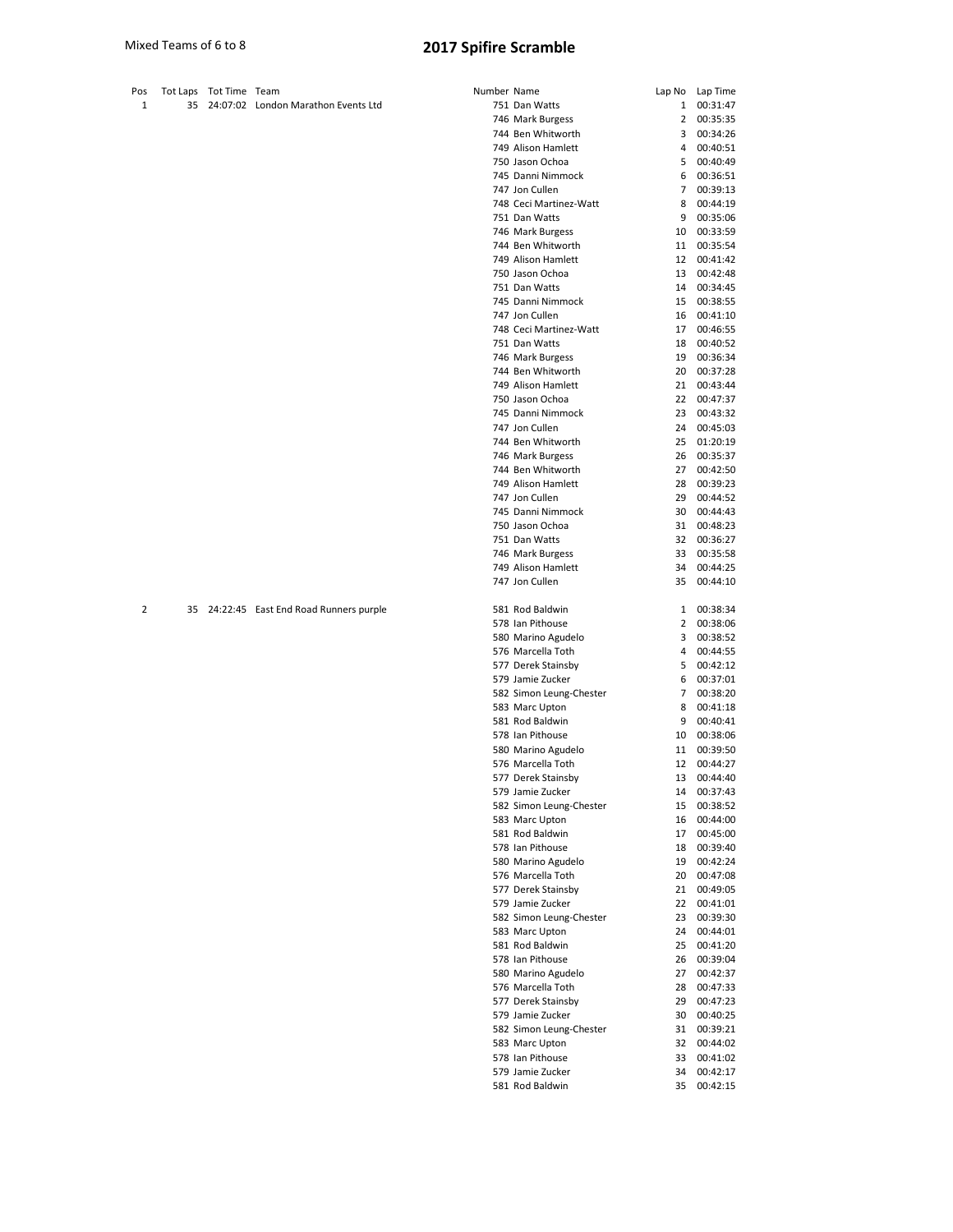| Pos |    | Tot Laps Tot Time Team |                                          | Number Name |                                             |              | Lap No Lap Time         |
|-----|----|------------------------|------------------------------------------|-------------|---------------------------------------------|--------------|-------------------------|
| 1   | 35 |                        | 24:07:02 London Marathon Events Ltd      |             | 751 Dan Watts                               | $\mathbf{1}$ | 00:31:47                |
|     |    |                        |                                          |             | 746 Mark Burgess                            | 2            | 00:35:35                |
|     |    |                        |                                          |             | 744 Ben Whitworth                           | 3            | 00:34:26                |
|     |    |                        |                                          |             | 749 Alison Hamlett                          | 4            | 00:40:51                |
|     |    |                        |                                          |             | 750 Jason Ochoa<br>745 Danni Nimmock        | 5            | 00:40:49                |
|     |    |                        |                                          |             | 747 Jon Cullen                              | 6<br>7       | 00:36:51<br>00:39:13    |
|     |    |                        |                                          |             | 748 Ceci Martinez-Watt                      | 8            | 00:44:19                |
|     |    |                        |                                          |             | 751 Dan Watts                               | 9            | 00:35:06                |
|     |    |                        |                                          |             | 746 Mark Burgess                            | 10           | 00:33:59                |
|     |    |                        |                                          |             | 744 Ben Whitworth                           | 11           | 00:35:54                |
|     |    |                        |                                          |             | 749 Alison Hamlett                          | 12           | 00:41:42                |
|     |    |                        |                                          |             | 750 Jason Ochoa                             | 13           | 00:42:48                |
|     |    |                        |                                          |             | 751 Dan Watts<br>745 Danni Nimmock          | 14<br>15     | 00:34:45                |
|     |    |                        |                                          |             | 747 Jon Cullen                              | 16           | 00:38:55<br>00:41:10    |
|     |    |                        |                                          |             | 748 Ceci Martinez-Watt                      | 17           | 00:46:55                |
|     |    |                        |                                          |             | 751 Dan Watts                               | 18           | 00:40:52                |
|     |    |                        |                                          |             | 746 Mark Burgess                            | 19           | 00:36:34                |
|     |    |                        |                                          |             | 744 Ben Whitworth                           | 20           | 00:37:28                |
|     |    |                        |                                          |             | 749 Alison Hamlett                          | 21           | 00:43:44                |
|     |    |                        |                                          |             | 750 Jason Ochoa                             | 22           | 00:47:37                |
|     |    |                        |                                          |             | 745 Danni Nimmock                           | 23           | 00:43:32                |
|     |    |                        |                                          |             | 747 Jon Cullen<br>744 Ben Whitworth         | 24<br>25     | 00:45:03<br>01:20:19    |
|     |    |                        |                                          |             | 746 Mark Burgess                            | 26           | 00:35:37                |
|     |    |                        |                                          |             | 744 Ben Whitworth                           | 27           | 00:42:50                |
|     |    |                        |                                          |             | 749 Alison Hamlett                          | 28           | 00:39:23                |
|     |    |                        |                                          |             | 747 Jon Cullen                              | 29           | 00:44:52                |
|     |    |                        |                                          |             | 745 Danni Nimmock                           | 30           | 00:44:43                |
|     |    |                        |                                          |             | 750 Jason Ochoa                             | 31           | 00:48:23                |
|     |    |                        |                                          |             | 751 Dan Watts                               | 32           | 00:36:27                |
|     |    |                        |                                          |             | 746 Mark Burgess<br>749 Alison Hamlett      | 33<br>34     | 00:35:58<br>00:44:25    |
|     |    |                        |                                          |             | 747 Jon Cullen                              | 35           | 00:44:10                |
|     |    |                        |                                          |             |                                             |              |                         |
| 2   |    |                        | 35 24:22:45 East End Road Runners purple |             | 581 Rod Baldwin                             | 1            | 00:38:34                |
|     |    |                        |                                          |             | 578 Ian Pithouse                            | 2            | 00:38:06                |
|     |    |                        |                                          |             | 580 Marino Agudelo                          | 3            | 00:38:52                |
|     |    |                        |                                          |             | 576 Marcella Toth<br>577 Derek Stainsby     | 4<br>5       | 00:44:55<br>00:42:12    |
|     |    |                        |                                          |             | 579 Jamie Zucker                            | 6            | 00:37:01                |
|     |    |                        |                                          |             | 582 Simon Leung-Chester                     | 7            | 00:38:20                |
|     |    |                        |                                          |             | 583 Marc Upton                              | 8            | 00:41:18                |
|     |    |                        |                                          |             | 581 Rod Baldwin                             | 9            | 00:40:41                |
|     |    |                        |                                          |             | 578 Ian Pithouse                            | 10           | 00:38:06                |
|     |    |                        |                                          |             | 580 Marino Agudelo                          | 11           | 00:39:50                |
|     |    |                        |                                          |             | 576 Marcella Toth                           | 12           | 00:44:27                |
|     |    |                        |                                          |             | 577 Derek Stainsby<br>579 Jamie Zucker      | 13           | 00:44:40                |
|     |    |                        |                                          |             | 582 Simon Leung-Chester                     | 15           | 14 00:37:43<br>00:38:52 |
|     |    |                        |                                          |             | 583 Marc Upton                              | 16           | 00:44:00                |
|     |    |                        |                                          |             | 581 Rod Baldwin                             | 17           | 00:45:00                |
|     |    |                        |                                          |             | 578 Ian Pithouse                            | 18           | 00:39:40                |
|     |    |                        |                                          |             | 580 Marino Agudelo                          | 19           | 00:42:24                |
|     |    |                        |                                          |             | 576 Marcella Toth                           | 20           | 00:47:08                |
|     |    |                        |                                          |             | 577 Derek Stainsby                          | 21           | 00:49:05                |
|     |    |                        |                                          |             | 579 Jamie Zucker<br>582 Simon Leung-Chester | 22<br>23     | 00:41:01<br>00:39:30    |
|     |    |                        |                                          |             | 583 Marc Upton                              | 24           | 00:44:01                |
|     |    |                        |                                          |             | 581 Rod Baldwin                             | 25           | 00:41:20                |
|     |    |                        |                                          |             | 578 Ian Pithouse                            | 26           | 00:39:04                |
|     |    |                        |                                          |             | 580 Marino Agudelo                          | 27           | 00:42:37                |
|     |    |                        |                                          |             | 576 Marcella Toth                           | 28           | 00:47:33                |
|     |    |                        |                                          |             | 577 Derek Stainsby                          | 29           | 00:47:23                |
|     |    |                        |                                          |             | 579 Jamie Zucker                            | 30           | 00:40:25                |
|     |    |                        |                                          |             | 582 Simon Leung-Chester<br>583 Marc Upton   | 31<br>32     | 00:39:21                |
|     |    |                        |                                          |             | 578 Ian Pithouse                            | 33           | 00:44:02<br>00:41:02    |
|     |    |                        |                                          |             | 579 Jamie Zucker                            | 34           | 00:42:17                |
|     |    |                        |                                          |             | 581 Rod Baldwin                             | 35           | 00:42:15                |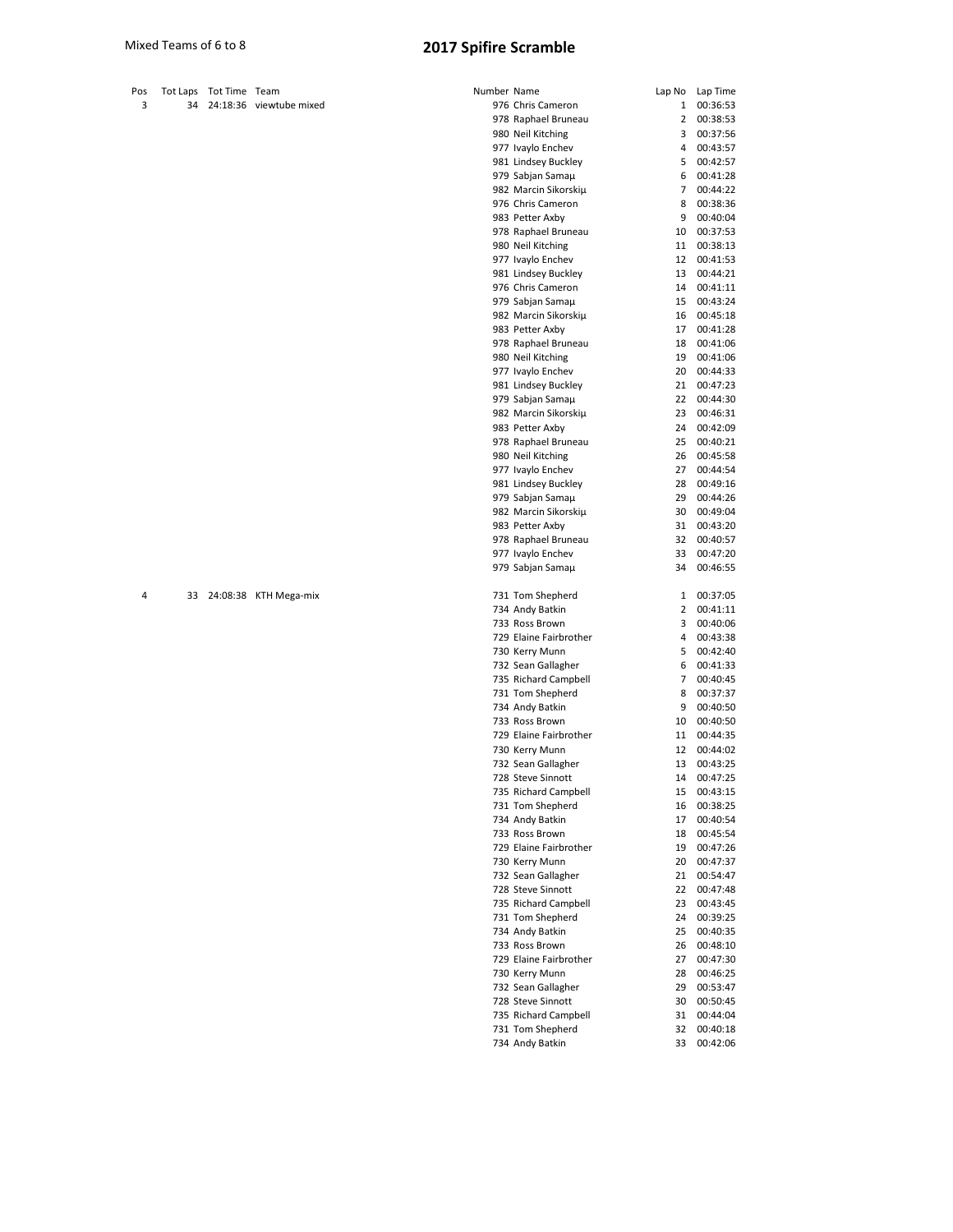| Pos Tot Laps Tot Time Team |                               |
|----------------------------|-------------------------------|
|                            | $34$ $24.18.36$ viewtube mixe |

|  | 34 24:18:36 Viewtube mixed |
|--|----------------------------|
|  |                            |

| Pos |    | Tot Laps Tot Time Team |                          | Number Name |                        |                | Lap No Lap Time |
|-----|----|------------------------|--------------------------|-------------|------------------------|----------------|-----------------|
| 3   | 34 |                        | 24:18:36 viewtube mixed  |             | 976 Chris Cameron      | $\mathbf{1}$   | 00:36:53        |
|     |    |                        |                          |             | 978 Raphael Bruneau    | 2              | 00:38:53        |
|     |    |                        |                          |             | 980 Neil Kitching      | 3              | 00:37:56        |
|     |    |                        |                          |             | 977 Ivaylo Enchev      | 4              | 00:43:57        |
|     |    |                        |                          |             | 981 Lindsey Buckley    | 5              | 00:42:57        |
|     |    |                        |                          |             |                        |                |                 |
|     |    |                        |                          |             | 979 Sabjan Samaµ       | 6              | 00:41:28        |
|     |    |                        |                          |             | 982 Marcin Sikorskiµ   | $\overline{7}$ | 00:44:22        |
|     |    |                        |                          |             | 976 Chris Cameron      | 8              | 00:38:36        |
|     |    |                        |                          |             | 983 Petter Axby        | 9              | 00:40:04        |
|     |    |                        |                          |             | 978 Raphael Bruneau    | 10             | 00:37:53        |
|     |    |                        |                          |             |                        |                |                 |
|     |    |                        |                          |             | 980 Neil Kitching      | 11             | 00:38:13        |
|     |    |                        |                          |             | 977 Ivaylo Enchev      | 12             | 00:41:53        |
|     |    |                        |                          |             | 981 Lindsey Buckley    | 13             | 00:44:21        |
|     |    |                        |                          |             | 976 Chris Cameron      | 14             | 00:41:11        |
|     |    |                        |                          |             | 979 Sabjan Samaµ       | 15             | 00:43:24        |
|     |    |                        |                          |             |                        | 16             | 00:45:18        |
|     |    |                        |                          |             | 982 Marcin Sikorskiµ   |                |                 |
|     |    |                        |                          |             | 983 Petter Axby        | 17             | 00:41:28        |
|     |    |                        |                          |             | 978 Raphael Bruneau    | 18             | 00:41:06        |
|     |    |                        |                          |             | 980 Neil Kitching      | 19             | 00:41:06        |
|     |    |                        |                          |             | 977 Ivaylo Enchev      | 20             | 00:44:33        |
|     |    |                        |                          |             | 981 Lindsey Buckley    | 21             | 00:47:23        |
|     |    |                        |                          |             |                        |                |                 |
|     |    |                        |                          |             | 979 Sabjan Samaµ       | 22             | 00:44:30        |
|     |    |                        |                          |             | 982 Marcin Sikorskiµ   | 23             | 00:46:31        |
|     |    |                        |                          |             | 983 Petter Axby        | 24             | 00:42:09        |
|     |    |                        |                          |             | 978 Raphael Bruneau    | 25             | 00:40:21        |
|     |    |                        |                          |             | 980 Neil Kitching      | 26             | 00:45:58        |
|     |    |                        |                          |             |                        |                |                 |
|     |    |                        |                          |             | 977 Ivaylo Enchev      | 27             | 00:44:54        |
|     |    |                        |                          |             | 981 Lindsey Buckley    | 28             | 00:49:16        |
|     |    |                        |                          |             | 979 Sabjan Samaµ       | 29             | 00:44:26        |
|     |    |                        |                          |             | 982 Marcin Sikorskiµ   | 30             | 00:49:04        |
|     |    |                        |                          |             | 983 Petter Axby        | 31             | 00:43:20        |
|     |    |                        |                          |             | 978 Raphael Bruneau    | 32             | 00:40:57        |
|     |    |                        |                          |             |                        |                |                 |
|     |    |                        |                          |             | 977 Ivaylo Enchev      | 33             | 00:47:20        |
|     |    |                        |                          |             | 979 Sabjan Samaµ       | 34             | 00:46:55        |
|     |    |                        |                          |             |                        |                |                 |
| 4   |    |                        | 33 24:08:38 KTH Mega-mix |             | 731 Tom Shepherd       | 1              | 00:37:05        |
|     |    |                        |                          |             | 734 Andy Batkin        | 2              | 00:41:11        |
|     |    |                        |                          |             |                        | 3              |                 |
|     |    |                        |                          |             | 733 Ross Brown         |                | 00:40:06        |
|     |    |                        |                          |             | 729 Elaine Fairbrother | 4              | 00:43:38        |
|     |    |                        |                          |             | 730 Kerry Munn         | 5              | 00:42:40        |
|     |    |                        |                          |             | 732 Sean Gallagher     | 6              | 00:41:33        |
|     |    |                        |                          |             | 735 Richard Campbell   | $\overline{7}$ | 00:40:45        |
|     |    |                        |                          |             | 731 Tom Shepherd       | 8              | 00:37:37        |
|     |    |                        |                          |             |                        |                |                 |
|     |    |                        |                          |             | 734 Andy Batkin        | 9              | 00:40:50        |
|     |    |                        |                          |             | 733 Ross Brown         | 10             | 00:40:50        |
|     |    |                        |                          |             | 729 Elaine Fairbrother | 11             | 00:44:35        |
|     |    |                        |                          |             | 730 Kerry Munn         | 12             | 00:44:02        |
|     |    |                        |                          |             | 732 Sean Gallagher     | 13             | 00:43:25        |
|     |    |                        |                          |             | 728 Steve Sinnott      | 14             | 00:47:25        |
|     |    |                        |                          |             |                        |                |                 |
|     |    |                        |                          |             | 735 Richard Campbell   | 15             | 00:43:15        |
|     |    |                        |                          |             | 731 Tom Shepherd       | 16             | 00:38:25        |
|     |    |                        |                          |             | 734 Andy Batkin        | 17             | 00:40:54        |
|     |    |                        |                          |             | 733 Ross Brown         | 18             | 00:45:54        |
|     |    |                        |                          |             | 729 Elaine Fairbrother | 19             | 00:47:26        |
|     |    |                        |                          |             |                        |                | 00:47:37        |
|     |    |                        |                          |             | 730 Kerry Munn         | 20             |                 |
|     |    |                        |                          |             | 732 Sean Gallagher     | 21             | 00:54:47        |
|     |    |                        |                          |             | 728 Steve Sinnott      | 22             | 00:47:48        |
|     |    |                        |                          |             | 735 Richard Campbell   | 23             | 00:43:45        |
|     |    |                        |                          |             | 731 Tom Shepherd       | 24             | 00:39:25        |
|     |    |                        |                          |             | 734 Andy Batkin        | 25             | 00:40:35        |
|     |    |                        |                          |             |                        |                |                 |
|     |    |                        |                          |             | 733 Ross Brown         | 26             | 00:48:10        |
|     |    |                        |                          |             | 729 Elaine Fairbrother | 27             | 00:47:30        |
|     |    |                        |                          |             | 730 Kerry Munn         | 28             | 00:46:25        |
|     |    |                        |                          |             | 732 Sean Gallagher     | 29             | 00:53:47        |
|     |    |                        |                          |             | 728 Steve Sinnott      | 30             | 00:50:45        |
|     |    |                        |                          |             |                        |                |                 |
|     |    |                        |                          |             | 735 Richard Campbell   | 31             | 00:44:04        |
|     |    |                        |                          |             | 731 Tom Shepherd       | 32             | 00:40:18        |
|     |    |                        |                          |             | 734 Andy Batkin        | 33             | 00:42:06        |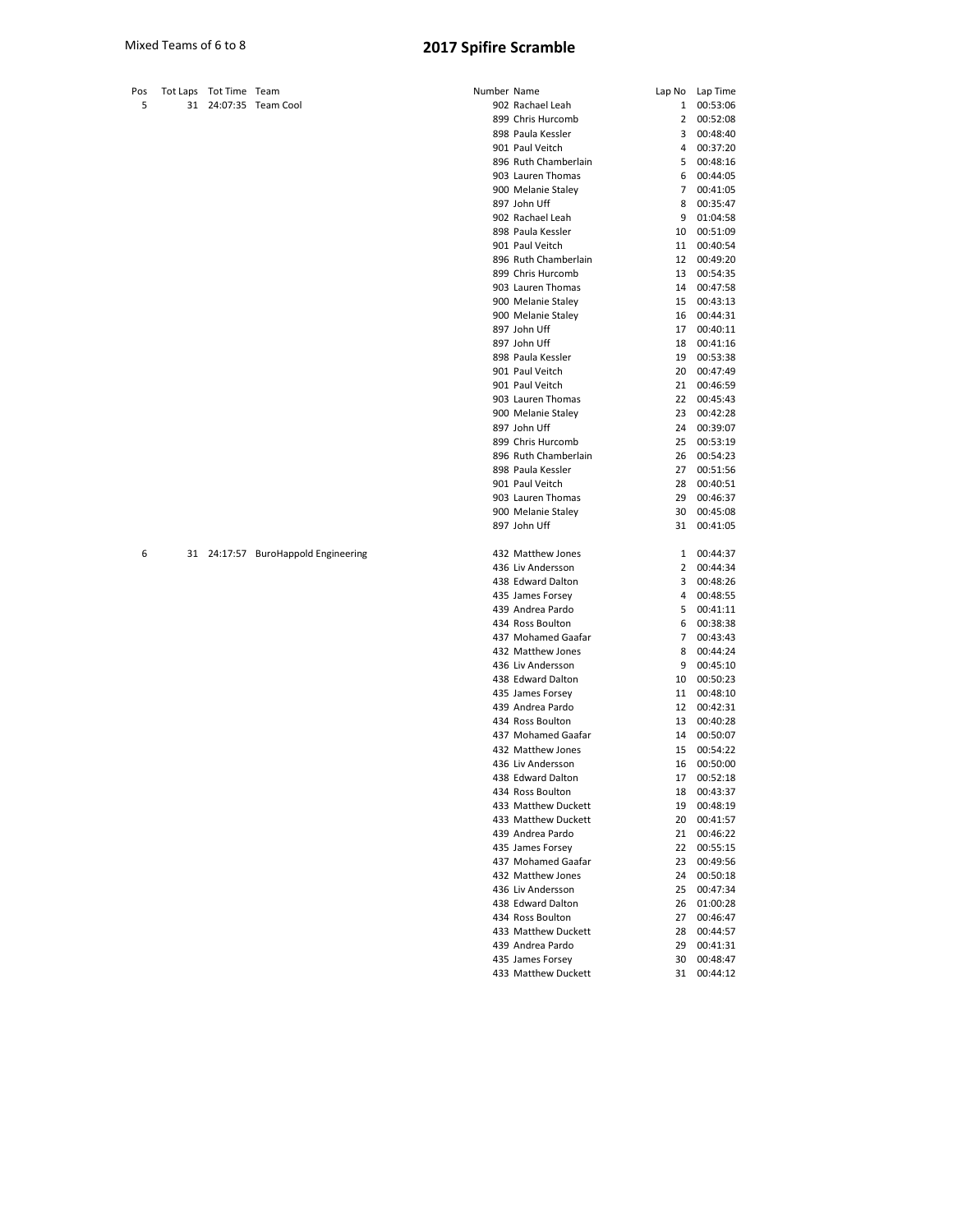| Pos | <b>Tot Laps</b> | Tot Time Team |                    | Number Name |                      | Lap No       | Lap Time |
|-----|-----------------|---------------|--------------------|-------------|----------------------|--------------|----------|
| 5   | 31              |               | 24:07:35 Team Cool |             | 902 Rachael Leah     | $\mathbf{1}$ | 00:53:06 |
|     |                 |               |                    |             | 899 Chris Hurcomb    | 2            | 00:52:08 |
|     |                 |               |                    |             | 898 Paula Kessler    | 3            | 00:48:40 |
|     |                 |               |                    |             | 901 Paul Veitch      | 4            | 00:37:20 |
|     |                 |               |                    |             | 896 Ruth Chamberlain | 5            | 00:48:16 |
|     |                 |               |                    |             | 903 Lauren Thomas    | 6            | 00:44:05 |
|     |                 |               |                    |             | 900 Melanie Staley   | 7            | 00:41:05 |
|     |                 |               |                    |             | 897 John Uff         | 8            | 00:35:47 |
|     |                 |               |                    |             | 902 Rachael Leah     | 9            | 01:04:58 |
|     |                 |               |                    |             | 898 Paula Kessler    | 10           | 00:51:09 |
|     |                 |               |                    |             | 901 Paul Veitch      | 11           | 00:40:54 |
|     |                 |               |                    |             | 896 Ruth Chamberlain | 12           | 00:49:20 |
|     |                 |               |                    |             | 899 Chris Hurcomb    | 13           | 00:54:35 |
|     |                 |               |                    |             | 903 Lauren Thomas    | 14           | 00:47:58 |
|     |                 |               |                    |             | 900 Melanie Staley   | 15           | 00:43:13 |
|     |                 |               |                    |             | 900 Melanie Staley   | 16           | 00:44:31 |
|     |                 |               |                    |             | 897 John Uff         | 17           | 00:40:11 |
|     |                 |               |                    |             | 897 John Uff         | 18           | 00:41:16 |
|     |                 |               |                    |             | 898 Paula Kessler    | 19           | 00:53:38 |
|     |                 |               |                    |             | 901 Paul Veitch      | 20           | 00:47:49 |
|     |                 |               |                    |             | 901 Paul Veitch      | 21           | 00:46:59 |
|     |                 |               |                    |             | 903 Lauren Thomas    | 22           | 00:45:43 |
|     |                 |               |                    |             | 900 Melanie Staley   | 23           | 00:42:28 |
|     |                 |               |                    |             | 897 John Uff         | 24           | 00:39:07 |
|     |                 |               |                    |             | 899 Chris Hurcomb    | 25           | 00:53:19 |
|     |                 |               |                    |             | 896 Ruth Chamberlain | 26           | 00:54:23 |
|     |                 |               |                    |             | 898 Paula Kessler    | 27           | 00:51:56 |
|     |                 |               |                    |             | 901 Paul Veitch      | 28           | 00:40:51 |
|     |                 |               |                    |             | 903 Lauren Thomas    | 29           | 00:46:37 |

6 31 24:17:57 BuroHappold Engineering 432<br>434 A36<br>432 A35

| 902 Rachael Leah                        | 1              | 00:53:06             |
|-----------------------------------------|----------------|----------------------|
| 899 Chris Hurcomb                       | $\overline{2}$ | 00:52:08             |
| 898 Paula Kessler                       | 3              | 00:48:40             |
| 901 Paul Veitch                         | 4              | 00:37:20             |
| 896 Ruth Chamberlain                    | 5              | 00:48:16             |
| 903 Lauren Thomas                       | 6              | 00:44:05             |
| 900 Melanie Staley                      | 7              | 00:41:05             |
| 897 John Uff                            | 8              | 00:35:47             |
| 902 Rachael Leah                        | 9              | 01:04:58             |
| 898 Paula Kessler                       | 10             | 00:51:09             |
| 901 Paul Veitch                         | 11             | 00:40:54             |
| 896 Ruth Chamberlain                    | 12             | 00:49:20             |
| 899 Chris Hurcomb                       | 13             | 00:54:35             |
| 903 Lauren Thomas                       | 14             | 00:47:58             |
| 900 Melanie Staley                      | 15             | 00:43:13             |
| 900 Melanie Staley                      | 16             | 00:44:31             |
| 897 John Uff                            | 17             | 00:40:11             |
| 897 John Uff                            | 18             | 00:41:16             |
| 898 Paula Kessler                       | 19             | 00:53:38             |
| 901 Paul Veitch                         | 20             | 00:47:49             |
| 901 Paul Veitch                         | 21             | 00:46:59             |
| 903 Lauren Thomas                       | 22             | 00:45:43             |
| 900 Melanie Staley                      | 23             | 00:42:28             |
| 897 John Uff                            | 24             | 00:39:07             |
| 899 Chris Hurcomb                       | 25             | 00:53:19             |
| 896 Ruth Chamberlain                    | 26             | 00:54:23             |
| 898 Paula Kessler                       | 27             | 00:51:56             |
| 901 Paul Veitch                         | 28             | 00:40:51             |
| 903 Lauren Thomas                       | 29             | 00:46:37             |
| 900 Melanie Staley                      | 30             | 00:45:08             |
| 897 John Uff                            | 31             | 00:41:05             |
|                                         |                |                      |
|                                         |                |                      |
| 432 Matthew Jones                       | 1              | 00:44:37             |
| 436 Liv Andersson                       | $\overline{2}$ | 00:44:34             |
| 438 Edward Dalton                       | 3              | 00:48:26             |
| 435 James Forsey                        | 4              | 00:48:55             |
| 439 Andrea Pardo                        | 5              | 00:41:11             |
| 434 Ross Boulton                        | 6              | 00:38:38             |
| 437 Mohamed Gaafar                      | 7              | 00:43:43             |
| 432 Matthew Jones                       | 8              | 00:44:24             |
| 436 Liv Andersson                       | 9              | 00:45:10             |
| 438 Edward Dalton                       | 10             | 00:50:23             |
|                                         | 11             | 00:48:10             |
| 435 James Forsey<br>439 Andrea Pardo    | 12             | 00:42:31             |
| 434 Ross Boulton                        | 13             | 00:40:28             |
| 437 Mohamed Gaafar                      | 14             | 00:50:07             |
|                                         | 15             |                      |
| 432 Matthew Jones                       |                | 00:54:22<br>00:50:00 |
| 436 Liv Andersson                       | 16             | 00:52:18             |
| 438 Edward Dalton                       | 17<br>18       | 00:43:37             |
| 434 Ross Boulton                        |                |                      |
| 433 Matthew Duckett                     | 19             | 00:48:19             |
| 433 Matthew Duckett                     | 20             | 00:41:57             |
| 439 Andrea Pardo                        | 21             | 00:46:22             |
| 435 James Forsey                        | 22             | 00:55:15             |
| 437 Mohamed Gaafar                      | 23<br>24       | 00:49:56             |
| 432 Matthew Jones                       |                | 00:50:18             |
| 436 Liv Andersson<br>438 Edward Dalton  | 25<br>26       | 00:47:34<br>01:00:28 |
|                                         | 27             | 00:46:47             |
| 434 Ross Boulton<br>433 Matthew Duckett | 28             | 00:44:57             |
| 439 Andrea Pardo                        | 29             | 00:41:31             |
| 435 James Forsey                        | 30             | 00:48:47             |
| 433 Matthew Duckett                     | 31             | 00:44:12             |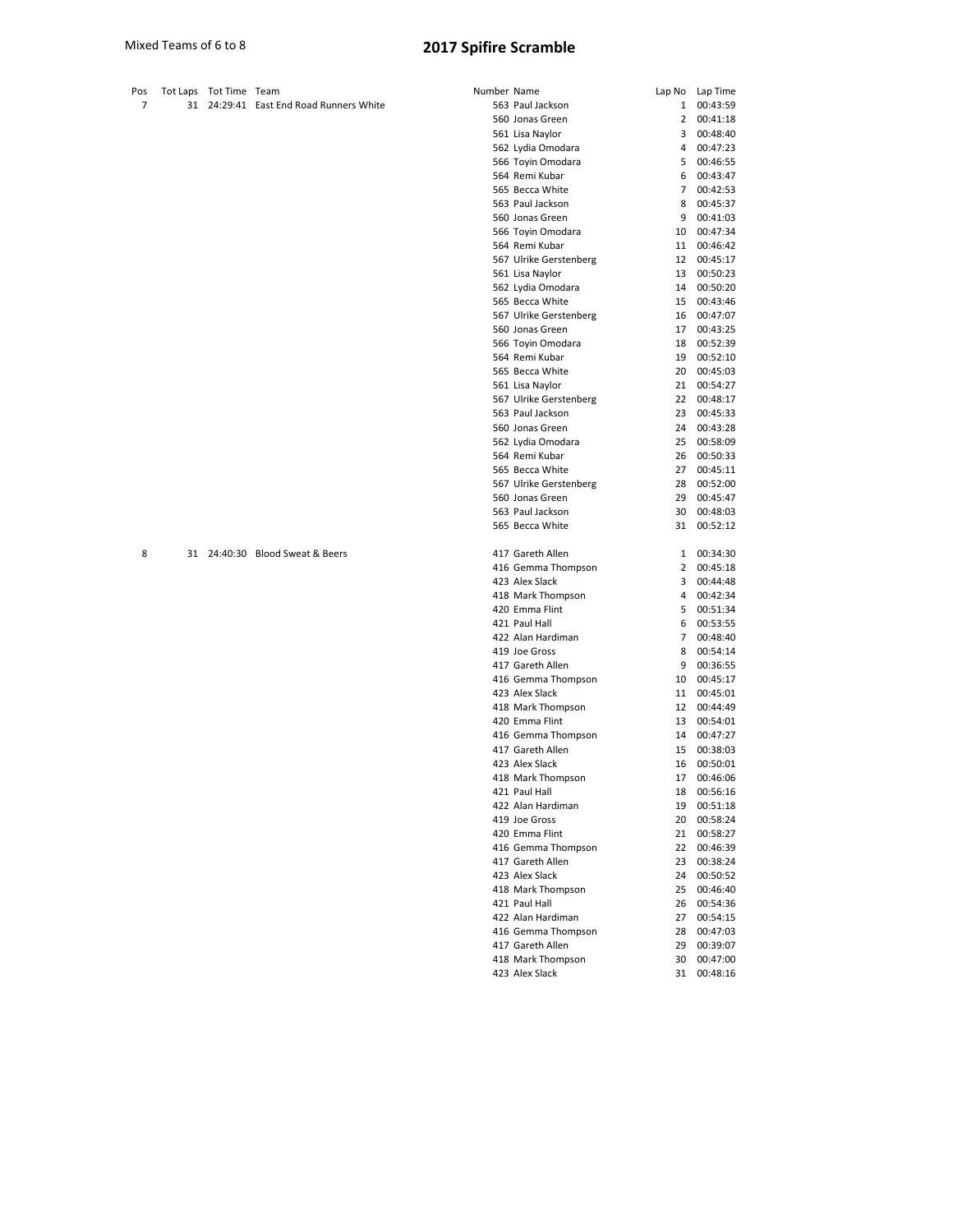| Pos Tot Laps Tot Time Team |                                         | Number Name |                  | Lap No Lap Time |
|----------------------------|-----------------------------------------|-------------|------------------|-----------------|
|                            | 31 24:29:41 East End Road Runners White |             | 563 Paul Jackson | 1 00:43:59      |
|                            |                                         |             | 560 Jonas Green  | 2 00:41:18      |

| ber Name               | Lap No         | Lap Time             |
|------------------------|----------------|----------------------|
| 563 Paul Jackson       | 1              | 00:43:59             |
| 560 Jonas Green        | 2              | 00:41:18             |
| 561 Lisa Naylor        | 3              | 00:48:40             |
| 562 Lydia Omodara      | 4              | 00:47:23             |
| 566 Toyin Omodara      | 5              | 00:46:55             |
| 564 Remi Kubar         | 6              | 00:43:47             |
| 565 Becca White        | $\overline{7}$ | 00:42:53             |
|                        |                |                      |
| 563 Paul Jackson       | 8              | 00:45:37             |
| 560 Jonas Green        | 9              | 00:41:03             |
| 566 Toyin Omodara      | 10             | 00:47:34             |
| 564 Remi Kubar         | 11             | 00:46:42             |
| 567 Ulrike Gerstenberg | 12             | 00:45:17             |
| 561 Lisa Naylor        | 13             | 00:50:23             |
| 562 Lydia Omodara      | 14             | 00:50:20             |
| 565 Becca White        | 15             | 00:43:46             |
| 567 Ulrike Gerstenberg | 16             | 00:47:07             |
| 560 Jonas Green        | 17             | 00:43:25             |
| 566 Toyin Omodara      | 18             | 00:52:39             |
| 564 Remi Kubar         | 19             | 00:52:10             |
| 565 Becca White        | 20             | 00:45:03             |
| 561 Lisa Naylor        | 21             | 00:54:27             |
| 567 Ulrike Gerstenberg | 22             | 00:48:17             |
| 563 Paul Jackson       | 23             | 00:45:33             |
| 560 Jonas Green        | 24             | 00:43:28             |
| 562 Lydia Omodara      | 25             | 00:58:09             |
| 564 Remi Kubar         | 26             | 00:50:33             |
| 565 Becca White        | 27             | 00:45:11             |
| 567 Ulrike Gerstenberg | 28             | 00:52:00             |
| 560 Jonas Green        | 29             | 00:45:47             |
| 563 Paul Jackson       | 30             | 00:48:03             |
| 565 Becca White        | 31             | 00:52:12             |
|                        |                |                      |
| 417 Gareth Allen       | 1              | 00:34:30             |
| 416 Gemma Thompson     | 2              | 00:45:18             |
|                        | 3              |                      |
| 423 Alex Slack         |                | 00:44:48             |
| 418 Mark Thompson      | 4              | 00:42:34             |
| 420 Emma Flint         | 5              | 00:51:34             |
| 421 Paul Hall          | 6              | 00:53:55             |
| 422 Alan Hardiman      | $\overline{7}$ | 00:48:40             |
| 419 Joe Gross          | 8              | 00:54:14             |
| 417 Gareth Allen       | 9              | 00:36:55             |
| 416 Gemma Thompson     | 10             | 00:45:17             |
| 423 Alex Slack         | 11             | 00:45:01             |
| 418 Mark Thompson      | 12             | 00:44:49             |
| 420 Emma Flint         | 13             | 00:54:01             |
| 416 Gemma Thompson     | 14             | 00:47:27             |
| 417 Gareth Allen       | 15             | 00:38:03             |
| 423 Alex Slack         | 16             | 00:50:01             |
| 418 Mark Thompson      | 17             | 00:46:06             |
| 421 Paul Hall          | 18             | 00:56:16             |
| 422 Alan Hardiman      | 19             | 00:51:18             |
| 419 Joe Gross          | 20             | 00:58:24             |
| 420 Emma Flint         | 21             | 00:58:27             |
| 416 Gemma Thompson     | 22             | 00:46:39             |
| 417 Gareth Allen       | 23             | 00:38:24             |
| 423 Alex Slack         | 24             |                      |
| 418 Mark Thompson      | 25             | 00:50:52<br>00:46:40 |
|                        |                |                      |
| 421 Paul Hall          | 26             | 00:54:36             |
| 422 Alan Hardiman      | 27             | 00:54:15             |
| 416 Gemma Thompson     | 28             | 00:47:03             |
| 417 Gareth Allen       | 29             | 00:39:07             |
| 418 Mark Thompson      | 30             | 00:47:00             |
| 423 Alex Slack         | 31             | 00:48:16             |

8 31 24:40:30 Blood Sweat & Beers 41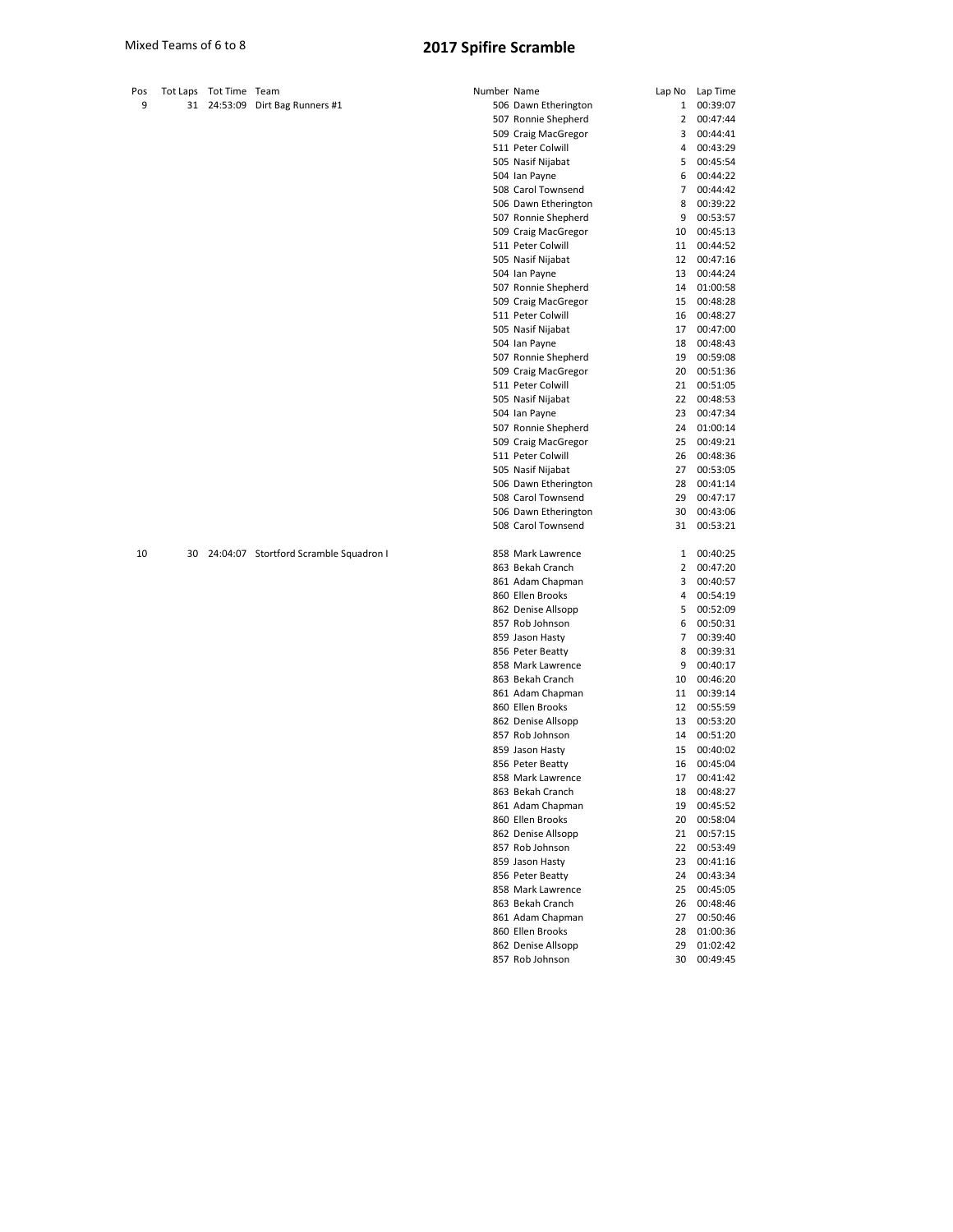| Pos |    | Tot Laps Tot Time Team |                                        | Number Name |                      |    | Lap No Lap Time |
|-----|----|------------------------|----------------------------------------|-------------|----------------------|----|-----------------|
| 9   |    |                        | 31 24:53:09 Dirt Bag Runners #1        |             | 506 Dawn Etherington | 1  | 00:39:07        |
|     |    |                        |                                        |             | 507 Ronnie Shepherd  | 2  | 00:47:44        |
|     |    |                        |                                        |             | 509 Craig MacGregor  | 3  | 00:44:41        |
|     |    |                        |                                        |             | 511 Peter Colwill    | 4  | 00:43:29        |
|     |    |                        |                                        |             | 505 Nasif Nijabat    | 5  | 00:45:54        |
|     |    |                        |                                        |             | 504 Ian Payne        | 6  | 00:44:22        |
|     |    |                        |                                        |             | 508 Carol Townsend   | 7  | 00:44:42        |
|     |    |                        |                                        |             | 506 Dawn Etherington | 8  | 00:39:22        |
|     |    |                        |                                        |             | 507 Ronnie Shepherd  | 9  | 00:53:57        |
|     |    |                        |                                        |             | 509 Craig MacGregor  | 10 | 00:45:13        |
|     |    |                        |                                        |             | 511 Peter Colwill    | 11 | 00:44:52        |
|     |    |                        |                                        |             | 505 Nasif Nijabat    | 12 | 00:47:16        |
|     |    |                        |                                        |             | 504 Ian Payne        | 13 | 00:44:24        |
|     |    |                        |                                        |             | 507 Ronnie Shepherd  | 14 | 01:00:58        |
|     |    |                        |                                        |             | 509 Craig MacGregor  | 15 | 00:48:28        |
|     |    |                        |                                        |             | 511 Peter Colwill    | 16 | 00:48:27        |
|     |    |                        |                                        |             | 505 Nasif Nijabat    | 17 | 00:47:00        |
|     |    |                        |                                        |             | 504 Ian Payne        | 18 | 00:48:43        |
|     |    |                        |                                        |             | 507 Ronnie Shepherd  | 19 | 00:59:08        |
|     |    |                        |                                        |             | 509 Craig MacGregor  | 20 | 00:51:36        |
|     |    |                        |                                        |             | 511 Peter Colwill    | 21 | 00:51:05        |
|     |    |                        |                                        |             | 505 Nasif Nijabat    | 22 | 00:48:53        |
|     |    |                        |                                        |             | 504 Ian Payne        | 23 | 00:47:34        |
|     |    |                        |                                        |             | 507 Ronnie Shepherd  | 24 | 01:00:14        |
|     |    |                        |                                        |             | 509 Craig MacGregor  | 25 | 00:49:21        |
|     |    |                        |                                        |             | 511 Peter Colwill    | 26 | 00:48:36        |
|     |    |                        |                                        |             | 505 Nasif Nijabat    | 27 | 00:53:05        |
|     |    |                        |                                        |             | 506 Dawn Etherington | 28 | 00:41:14        |
|     |    |                        |                                        |             | 508 Carol Townsend   | 29 | 00:47:17        |
|     |    |                        |                                        |             | 506 Dawn Etherington | 30 | 00:43:06        |
|     |    |                        |                                        |             | 508 Carol Townsend   | 31 | 00:53:21        |
| 10  | 30 |                        | 24:04:07 Stortford Scramble Squadron I |             | 858 Mark Lawrence    | 1  | 00:40:25        |
|     |    |                        |                                        |             | 863 Bekah Cranch     | 2  | 00:47:20        |
|     |    |                        |                                        |             | 861 Adam Chapman     | 3  | 00:40:57        |
|     |    |                        |                                        |             | 860 Ellen Brooks     | 4  | 00:54:19        |
|     |    |                        |                                        |             | 862 Denise Allsopp   | 5  | 00:52:09        |
|     |    |                        |                                        |             | 857 Rob Johnson      | 6  | 00:50:31        |
|     |    |                        |                                        |             | 859 Jason Hasty      | 7  | 00:39:40        |
|     |    |                        |                                        |             | 856 Peter Beatty     | 8  | 00:39:31        |
|     |    |                        |                                        |             | 858 Mark Lawrence    | 9  | 00:40:17        |
|     |    |                        |                                        |             | 863 Bekah Cranch     | 10 | 00:46:20        |
|     |    |                        |                                        |             | 861 Adam Chapman     | 11 | 00:39:14        |
|     |    |                        |                                        |             | 860 Ellen Brooks     | 12 | 00:55:59        |
|     |    |                        |                                        |             | 862 Denise Allsopp   | 13 | 00:53:20        |
|     |    |                        |                                        |             | 857 Rob Johnson      | 14 | 00:51:20        |
|     |    |                        |                                        |             | 859 Jason Hasty      | 15 | 00:40:02        |
|     |    |                        |                                        |             | 856 Peter Beatty     | 16 | 00:45:04        |
|     |    |                        |                                        |             | 858 Mark Lawrence    | 17 | 00:41:42        |
|     |    |                        |                                        |             | 863 Bekah Cranch     | 18 | 00:48:27        |
|     |    |                        |                                        |             | 861 Adam Chapman     | 19 | 00:45:52        |
|     |    |                        |                                        |             | 860 Ellen Brooks     | 20 | 00:58:04        |
|     |    |                        |                                        |             | 862 Denise Allsopp   | 21 | 00:57:15        |
|     |    |                        |                                        |             | 857 Rob Johnson      | 22 | 00:53:49        |
|     |    |                        |                                        |             | 859 Jason Hasty      | 23 | 00:41:16        |
|     |    |                        |                                        |             | 856 Peter Beatty     | 24 | 00:43:34        |
|     |    |                        |                                        |             | 858 Mark Lawrence    | 25 | 00:45:05        |
|     |    |                        |                                        |             | 863 Bekah Cranch     | 26 | 00:48:46        |
|     |    |                        |                                        |             | 861 Adam Chapman     | 27 | 00:50:46        |
|     |    |                        |                                        |             | 860 Ellen Brooks     | 28 | 01:00:36        |
|     |    |                        |                                        |             | 862 Denise Allsopp   | 29 | 01:02:42        |
|     |    |                        |                                        |             | 857 Rob Johnson      | 30 | 00:49:45        |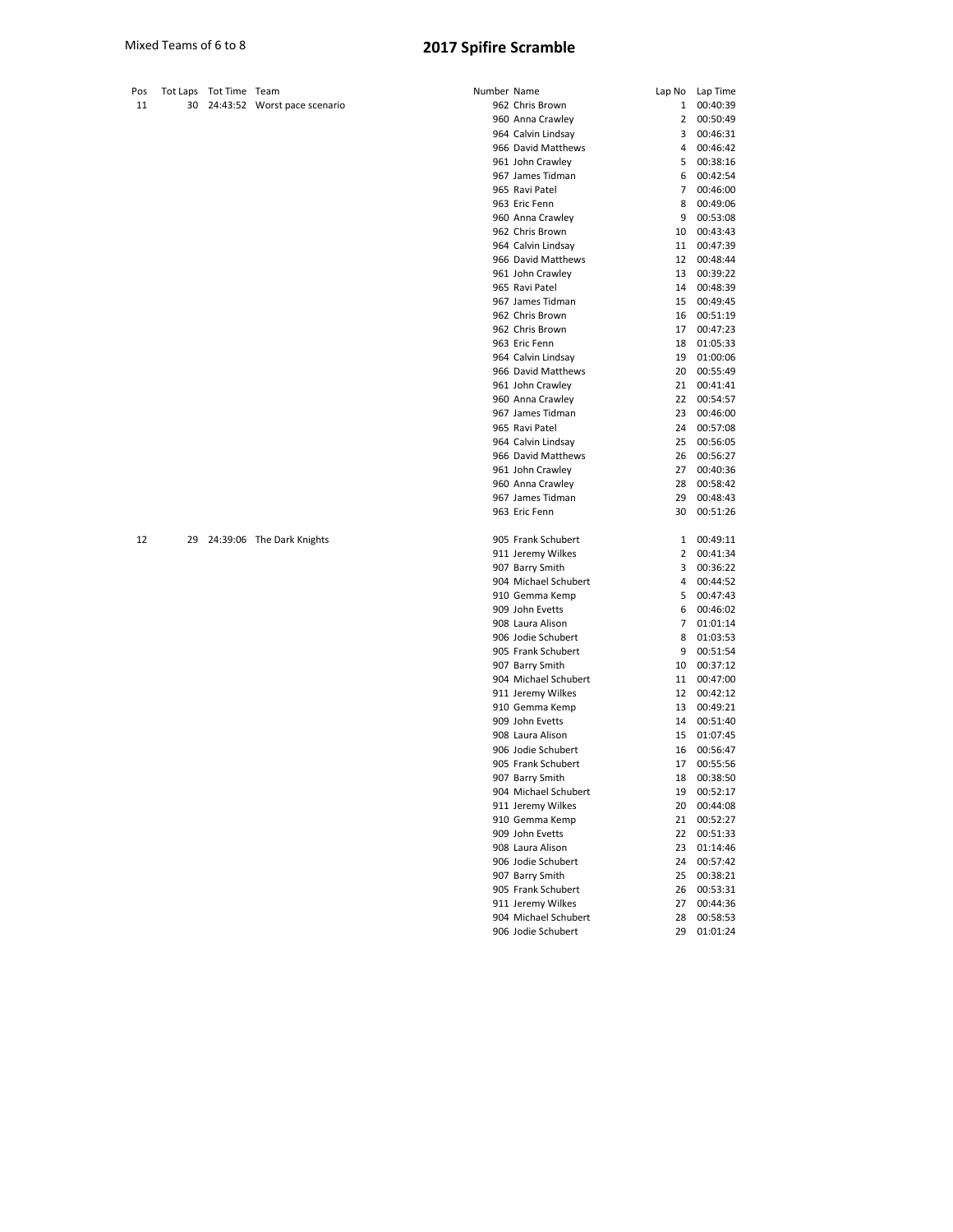| Pos |    | Tot Laps Tot Time Team |                              | Number Name |                                        |                | Lap No Lap Time      |
|-----|----|------------------------|------------------------------|-------------|----------------------------------------|----------------|----------------------|
| 11  | 30 |                        | 24:43:52 Worst pace scenario |             | 962 Chris Brown                        | 1              | 00:40:39             |
|     |    |                        |                              |             | 960 Anna Crawley                       | $\mathbf{2}$   | 00:50:49             |
|     |    |                        |                              |             | 964 Calvin Lindsay                     | 3              | 00:46:31             |
|     |    |                        |                              |             | 966 David Matthews                     | 4              | 00:46:42             |
|     |    |                        |                              |             | 961 John Crawley                       | 5              | 00:38:16             |
|     |    |                        |                              |             | 967 James Tidman                       | 6              | 00:42:54             |
|     |    |                        |                              |             | 965 Ravi Patel                         | $\overline{7}$ | 00:46:00             |
|     |    |                        |                              |             | 963 Eric Fenn                          | 8              | 00:49:06             |
|     |    |                        |                              |             | 960 Anna Crawley                       | 9              | 00:53:08             |
|     |    |                        |                              |             | 962 Chris Brown                        | 10             | 00:43:43             |
|     |    |                        |                              |             | 964 Calvin Lindsay                     | 11             | 00:47:39             |
|     |    |                        |                              |             | 966 David Matthews                     | 12             | 00:48:44             |
|     |    |                        |                              |             | 961 John Crawley                       | 13             | 00:39:22             |
|     |    |                        |                              |             | 965 Ravi Patel                         | 14             | 00:48:39             |
|     |    |                        |                              |             | 967 James Tidman                       | 15             | 00:49:45             |
|     |    |                        |                              |             | 962 Chris Brown                        | 16             | 00:51:19             |
|     |    |                        |                              |             | 962 Chris Brown                        | 17             | 00:47:23             |
|     |    |                        |                              |             | 963 Eric Fenn                          | 18             | 01:05:33             |
|     |    |                        |                              |             | 964 Calvin Lindsay                     | 19             | 01:00:06             |
|     |    |                        |                              |             | 966 David Matthews                     | 20             | 00:55:49             |
|     |    |                        |                              |             | 961 John Crawley                       | 21             | 00:41:41             |
|     |    |                        |                              |             | 960 Anna Crawley                       | 22             | 00:54:57             |
|     |    |                        |                              |             | 967 James Tidman                       | 23             | 00:46:00             |
|     |    |                        |                              |             | 965 Ravi Patel                         | 24             | 00:57:08             |
|     |    |                        |                              |             | 964 Calvin Lindsay                     | 25             | 00:56:05             |
|     |    |                        |                              |             | 966 David Matthews                     | 26             | 00:56:27             |
|     |    |                        |                              |             | 961 John Crawley                       | 27             | 00:40:36             |
|     |    |                        |                              |             | 960 Anna Crawley                       | 28             | 00:58:42             |
|     |    |                        |                              |             | 967 James Tidman                       | 29             | 00:48:43             |
|     |    |                        |                              |             | 963 Eric Fenn                          | 30             | 00:51:26             |
| 12  | 29 |                        | 24:39:06 The Dark Knights    |             | 905 Frank Schubert                     | 1              | 00:49:11             |
|     |    |                        |                              |             | 911 Jeremy Wilkes                      | $\mathbf{2}$   | 00:41:34             |
|     |    |                        |                              |             | 907 Barry Smith                        | 3              | 00:36:22             |
|     |    |                        |                              |             | 904 Michael Schubert                   | 4              | 00:44:52             |
|     |    |                        |                              |             | 910 Gemma Kemp                         | 5              | 00:47:43             |
|     |    |                        |                              |             | 909 John Evetts                        | 6              | 00:46:02             |
|     |    |                        |                              |             | 908 Laura Alison                       | $\overline{7}$ | 01:01:14             |
|     |    |                        |                              |             | 906 Jodie Schubert                     | 8              | 01:03:53             |
|     |    |                        |                              |             | 905 Frank Schubert                     | 9              | 00:51:54             |
|     |    |                        |                              |             | 907 Barry Smith                        | 10             | 00:37:12             |
|     |    |                        |                              |             | 904 Michael Schubert                   | 11             | 00:47:00             |
|     |    |                        |                              |             | 911 Jeremy Wilkes                      | 12             | 00:42:12             |
|     |    |                        |                              |             | 910 Gemma Kemp                         | 13             | 00:49:21             |
|     |    |                        |                              |             | 909 John Evetts                        | 14             | 00:51:40             |
|     |    |                        |                              |             | 908 Laura Alison                       | 15             | 01:07:45             |
|     |    |                        |                              |             | 906 Jodie Schubert                     | 16             | 00:56:47             |
|     |    |                        |                              |             | 905 Frank Schubert                     | 17             | 00:55:56             |
|     |    |                        |                              |             | 907 Barry Smith                        | 18             | 00:38:50             |
|     |    |                        |                              |             | 904 Michael Schubert                   | 19             | 00:52:17             |
|     |    |                        |                              |             | 911 Jeremy Wilkes                      | 20             | 00:44:08             |
|     |    |                        |                              |             | 910 Gemma Kemp                         | 21             | 00:52:27             |
|     |    |                        |                              |             | 909 John Evetts                        | 22             | 00:51:33             |
|     |    |                        |                              |             | 908 Laura Alison<br>906 Jodie Schubert | 23             | 01:14:46             |
|     |    |                        |                              |             |                                        | 24             | 00:57:42             |
|     |    |                        |                              |             | 907 Barry Smith<br>905 Frank Schubert  | 25<br>26       | 00:38:21<br>00:53:31 |
|     |    |                        |                              |             | 911 Jeremy Wilkes                      | 27             | 00:44:36             |
|     |    |                        |                              |             | 904 Michael Schubert                   | 28             | 00:58:53             |
|     |    |                        |                              |             |                                        |                |                      |

Jodie Schubert 29 01:01:24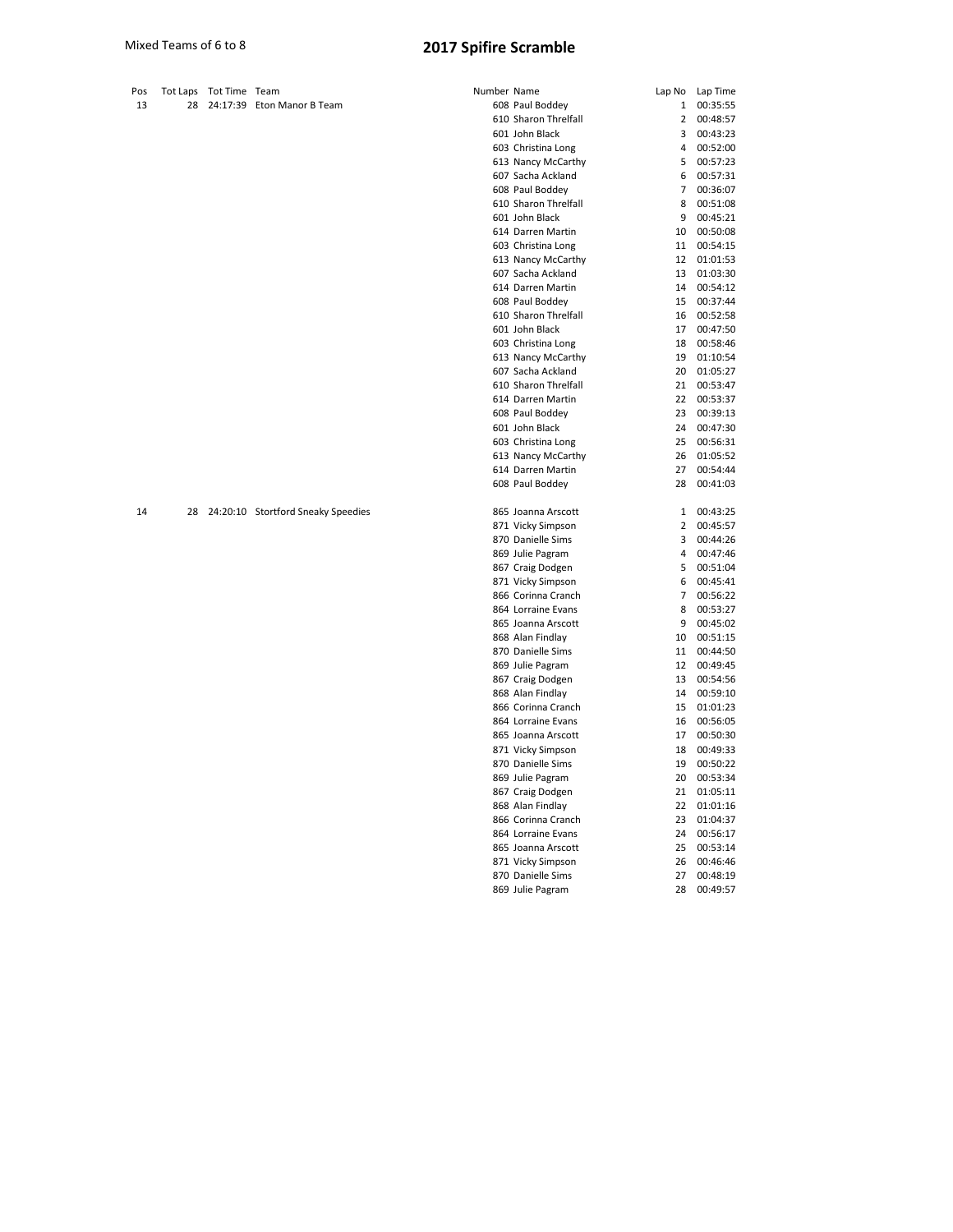| Pos<br>13 | 28 | Tot Laps Tot Time Team |                                    | Number Name |                                          |                | Lap No Lap Time |
|-----------|----|------------------------|------------------------------------|-------------|------------------------------------------|----------------|-----------------|
|           |    |                        | 24:17:39 Eton Manor B Team         |             | 608 Paul Boddey                          | 1<br>2         | 00:35:55        |
|           |    |                        |                                    |             | 610 Sharon Threlfall                     | 3              | 00:48:57        |
|           |    |                        |                                    |             | 601 John Black                           |                | 00:43:23        |
|           |    |                        |                                    |             | 603 Christina Long                       | 4              | 00:52:00        |
|           |    |                        |                                    |             | 613 Nancy McCarthy                       | 5              | 00:57:23        |
|           |    |                        |                                    |             | 607 Sacha Ackland                        | 6              | 00:57:31        |
|           |    |                        |                                    |             | 608 Paul Boddey                          | $\overline{7}$ | 00:36:07        |
|           |    |                        |                                    |             | 610 Sharon Threlfall                     | 8              | 00:51:08        |
|           |    |                        |                                    |             | 601 John Black                           | 9              | 00:45:21        |
|           |    |                        |                                    |             | 614 Darren Martin                        | 10             | 00:50:08        |
|           |    |                        |                                    |             | 603 Christina Long                       |                | 11 00:54:15     |
|           |    |                        |                                    |             | 613 Nancy McCarthy                       | 12             | 01:01:53        |
|           |    |                        |                                    |             | 607 Sacha Ackland                        | 13             | 01:03:30        |
|           |    |                        |                                    |             | 614 Darren Martin                        | 14             | 00:54:12        |
|           |    |                        |                                    |             | 608 Paul Boddey                          | 15             | 00:37:44        |
|           |    |                        |                                    |             | 610 Sharon Threlfall                     | 16             | 00:52:58        |
|           |    |                        |                                    |             | 601 John Black                           | 17             | 00:47:50        |
|           |    |                        |                                    |             | 603 Christina Long                       | 18             | 00:58:46        |
|           |    |                        |                                    |             | 613 Nancy McCarthy                       | 19             | 01:10:54        |
|           |    |                        |                                    |             | 607 Sacha Ackland                        | 20             | 01:05:27        |
|           |    |                        |                                    |             | 610 Sharon Threlfall                     | 21             | 00:53:47        |
|           |    |                        |                                    |             | 614 Darren Martin                        | 22             | 00:53:37        |
|           |    |                        |                                    |             | 608 Paul Boddey                          | 23             | 00:39:13        |
|           |    |                        |                                    |             | 601 John Black                           | 24             | 00:47:30        |
|           |    |                        |                                    |             | 603 Christina Long                       | 25             | 00:56:31        |
|           |    |                        |                                    |             | 613 Nancy McCarthy                       | 26             | 01:05:52        |
|           |    |                        |                                    |             | 614 Darren Martin                        | 27             | 00:54:44        |
|           |    |                        |                                    |             | 608 Paul Boddey                          | 28             | 00:41:03        |
| 14        | 28 |                        | 24:20:10 Stortford Sneaky Speedies |             | 865 Joanna Arscott                       | $\mathbf{1}$   | 00:43:25        |
|           |    |                        |                                    |             | 871 Vicky Simpson                        | $\overline{2}$ | 00:45:57        |
|           |    |                        |                                    |             | 870 Danielle Sims                        | 3              | 00:44:26        |
|           |    |                        |                                    |             | 869 Julie Pagram                         | 4              | 00:47:46        |
|           |    |                        |                                    |             | 867 Craig Dodgen                         | 5              | 00:51:04        |
|           |    |                        |                                    |             | 871 Vicky Simpson                        | 6              | 00:45:41        |
|           |    |                        |                                    |             | 866 Corinna Cranch                       | $\overline{7}$ | 00:56:22        |
|           |    |                        |                                    |             | 864 Lorraine Evans                       | 8              | 00:53:27        |
|           |    |                        |                                    |             | 865 Joanna Arscott                       | 9              | 00:45:02        |
|           |    |                        |                                    |             | 868 Alan Findlay                         | 10             | 00:51:15        |
|           |    |                        |                                    |             | 870 Danielle Sims                        | 11             | 00:44:50        |
|           |    |                        |                                    |             | 869 Julie Pagram                         | 12             | 00:49:45        |
|           |    |                        |                                    |             | 867 Craig Dodgen                         | 13             | 00:54:56        |
|           |    |                        |                                    |             | 868 Alan Findlay                         | 14             | 00:59:10        |
|           |    |                        |                                    |             | 866 Corinna Cranch                       | 15             | 01:01:23        |
|           |    |                        |                                    |             | 864 Lorraine Evans                       | 16             | 00:56:05        |
|           |    |                        |                                    |             |                                          | 17             | 00:50:30        |
|           |    |                        |                                    |             | 865 Joanna Arscott<br>871 Vicky Simpson  | 18             | 00:49:33        |
|           |    |                        |                                    |             | 870 Danielle Sims                        | 19             | 00:50:22        |
|           |    |                        |                                    |             | 869 Julie Pagram                         | 20             | 00:53:34        |
|           |    |                        |                                    |             | 867 Craig Dodgen                         | 21             | 01:05:11        |
|           |    |                        |                                    |             |                                          | 22             | 01:01:16        |
|           |    |                        |                                    |             | 868 Alan Findlay<br>866 Corinna Cranch   | 23             | 01:04:37        |
|           |    |                        |                                    |             |                                          | 24             | 00:56:17        |
|           |    |                        |                                    |             | 864 Lorraine Evans<br>865 Joanna Arscott | 25             | 00:53:14        |
|           |    |                        |                                    |             |                                          | 26             | 00:46:46        |
|           |    |                        |                                    |             | 871 Vicky Simpson                        | 27             | 00:48:19        |
|           |    |                        |                                    |             | 870 Danielle Sims                        |                |                 |

Julie Pagram 28 00:49:57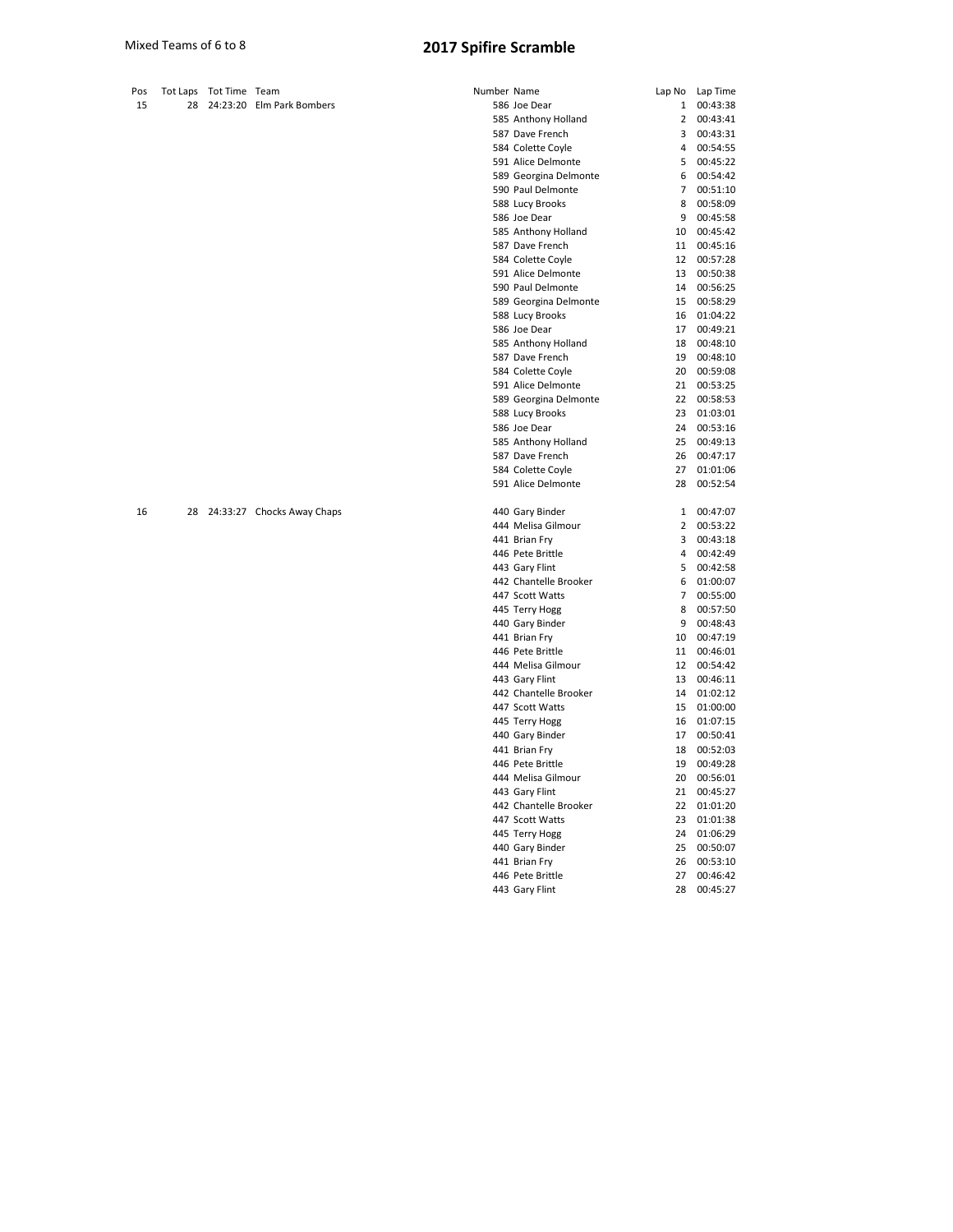| Pos | Tot Laps | Tot Time Team |                            | Number Name |                       | Lap No          | Lap Time |
|-----|----------|---------------|----------------------------|-------------|-----------------------|-----------------|----------|
| 15  | 28       |               | 24:23:20 Elm Park Bombers  |             | 586 Joe Dear          | $\mathbf{1}$    | 00:43:38 |
|     |          |               |                            |             | 585 Anthony Holland   | $\overline{2}$  | 00:43:41 |
|     |          |               |                            |             | 587 Dave French       | 3               | 00:43:31 |
|     |          |               |                            |             | 584 Colette Coyle     | 4               | 00:54:55 |
|     |          |               |                            |             | 591 Alice Delmonte    | 5               | 00:45:22 |
|     |          |               |                            |             | 589 Georgina Delmonte | 6               | 00:54:42 |
|     |          |               |                            |             | 590 Paul Delmonte     | $\overline{7}$  | 00:51:10 |
|     |          |               |                            |             | 588 Lucy Brooks       | 8               | 00:58:09 |
|     |          |               |                            |             | 586 Joe Dear          | 9               | 00:45:58 |
|     |          |               |                            |             | 585 Anthony Holland   | 10              | 00:45:42 |
|     |          |               |                            |             | 587 Dave French       | 11              | 00:45:16 |
|     |          |               |                            |             | 584 Colette Coyle     | 12              | 00:57:28 |
|     |          |               |                            |             | 591 Alice Delmonte    | 13              | 00:50:38 |
|     |          |               |                            |             | 590 Paul Delmonte     | 14              | 00:56:25 |
|     |          |               |                            |             | 589 Georgina Delmonte | 15              | 00:58:29 |
|     |          |               |                            |             | 588 Lucy Brooks       | 16              | 01:04:22 |
|     |          |               |                            |             | 586 Joe Dear          | 17              | 00:49:21 |
|     |          |               |                            |             | 585 Anthony Holland   | 18              | 00:48:10 |
|     |          |               |                            |             | 587 Dave French       | 19              | 00:48:10 |
|     |          |               |                            |             | 584 Colette Coyle     | 20              | 00:59:08 |
|     |          |               |                            |             | 591 Alice Delmonte    | 21              | 00:53:25 |
|     |          |               |                            |             | 589 Georgina Delmonte | 22              | 00:58:53 |
|     |          |               |                            |             | 588 Lucy Brooks       | 23              | 01:03:01 |
|     |          |               |                            |             | 586 Joe Dear          | 24              | 00:53:16 |
|     |          |               |                            |             | 585 Anthony Holland   | 25              | 00:49:13 |
|     |          |               |                            |             | 587 Dave French       | 26              | 00:47:17 |
|     |          |               |                            |             | 584 Colette Coyle     | 27              | 01:01:06 |
|     |          |               |                            |             | 591 Alice Delmonte    | 28              | 00:52:54 |
| 16  | 28       |               | 24:33:27 Chocks Away Chaps |             | 440 Gary Binder       | 1               | 00:47:07 |
|     |          |               |                            |             | 444 Melisa Gilmour    | 2               | 00:53:22 |
|     |          |               |                            |             | 441 Brian Fry         | 3               | 00:43:18 |
|     |          |               |                            |             | 446 Pete Brittle      | 4               | 00:42:49 |
|     |          |               |                            |             | 443 Gary Flint        | 5               | 00:42:58 |
|     |          |               |                            |             | 442 Chantelle Brooker | 6               | 01:00:07 |
|     |          |               |                            |             | 447 Scott Watts       | $\overline{7}$  | 00:55:00 |
|     |          |               |                            |             | 445 Terry Hogg        | 8               | 00:57:50 |
|     |          |               |                            |             | 440 Gary Binder       | 9               | 00:48:43 |
|     |          |               |                            |             | 441 Brian Fry         | 10              | 00:47:19 |
|     |          |               |                            |             | 446 Pete Brittle      | 11              | 00:46:01 |
|     |          |               |                            |             | 444 Melisa Gilmour    | 12 <sup>2</sup> | 00:54:42 |
|     |          |               |                            |             |                       | 13              | 00:46:11 |
|     |          |               |                            |             | 443 Gary Flint        |                 |          |
|     |          |               |                            |             | 442 Chantelle Brooker | 14<br>15        | 01:02:12 |
|     |          |               |                            |             | 447 Scott Watts       |                 | 01:00:00 |
|     |          |               |                            |             | 445 Terry Hogg        | 16              | 01:07:15 |
|     |          |               |                            |             | 440 Gary Binder       | 17              | 00:50:41 |
|     |          |               |                            |             | 441 Brian Fry         | 18              | 00:52:03 |
|     |          |               |                            |             | 446 Pete Brittle      | 19              | 00:49:28 |
|     |          |               |                            |             | 444 Melisa Gilmour    | 20              | 00:56:01 |
|     |          |               |                            |             | 443 Gary Flint        | 21              | 00:45:27 |

 Chantelle Brooker 22 01:01:20 Scott Watts 23 01:01:38 Terry Hogg 24 01:06:29 Gary Binder 25 00:50:07 Brian Fry 26 00:53:10 Pete Brittle 27 00:46:42 Gary Flint 28 00:45:27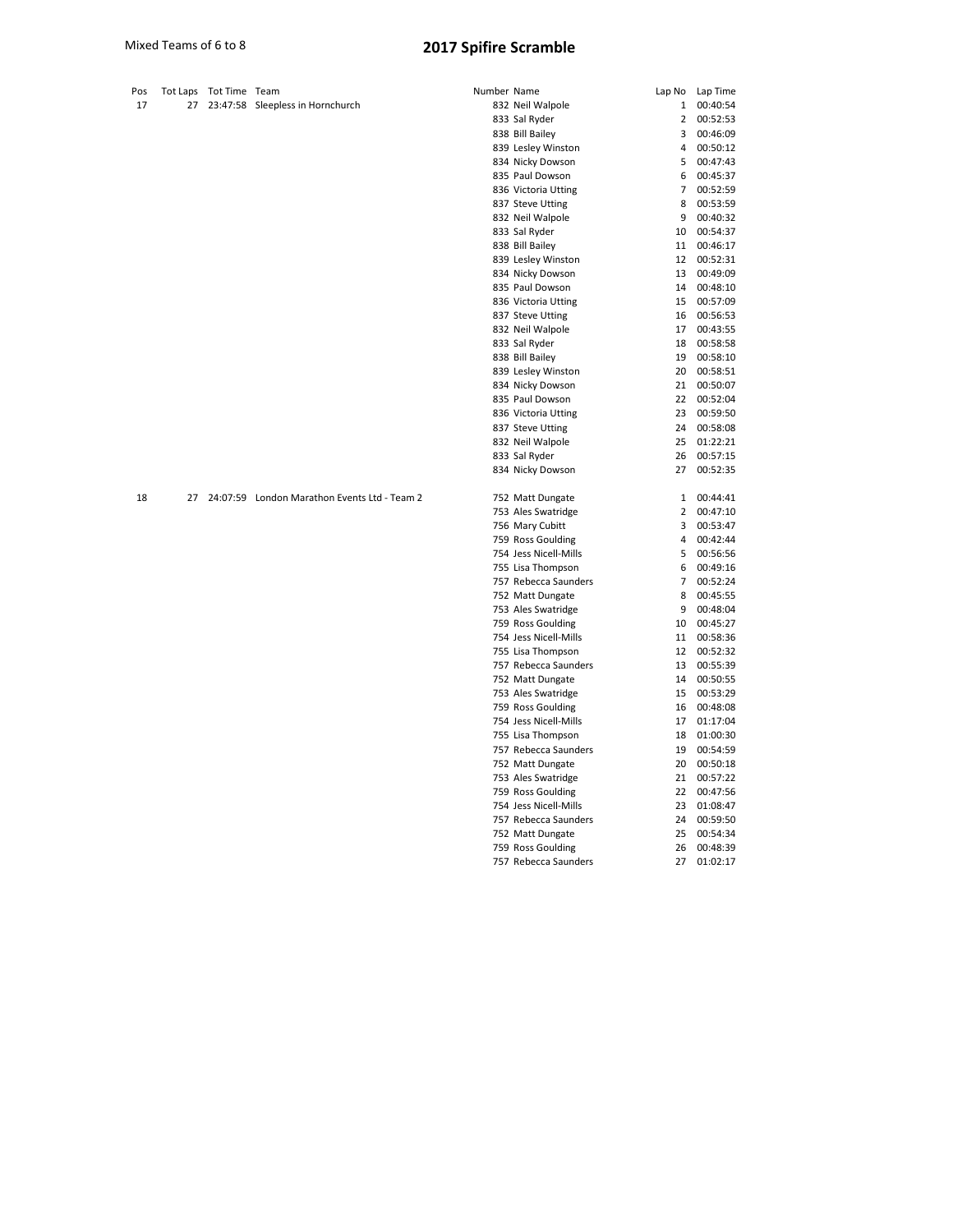| Tot Laps Tot Time Team<br>Number Name<br>Lap No<br>17<br>27<br>23:47:58 Sleepless in Hornchurch<br>832 Neil Walpole<br>1<br>00:40:54<br>833 Sal Ryder<br>2<br>00:52:53<br>838 Bill Bailey<br>3<br>00:46:09<br>839 Lesley Winston<br>4<br>00:50:12<br>834 Nicky Dowson<br>5<br>00:47:43<br>835 Paul Dowson<br>00:45:37<br>6<br>7<br>00:52:59<br>836 Victoria Utting<br>8<br>00:53:59<br>837 Steve Utting<br>832 Neil Walpole<br>9<br>00:40:32<br>833 Sal Ryder<br>10<br>00:54:37<br>838 Bill Bailey<br>11<br>00:46:17<br>839 Lesley Winston<br>00:52:31<br>12<br>834 Nicky Dowson<br>13<br>00:49:09<br>835 Paul Dowson<br>14<br>00:48:10<br>00:57:09<br>836 Victoria Utting<br>15<br>00:56:53<br>837 Steve Utting<br>16<br>832 Neil Walpole<br>17<br>00:43:55<br>833 Sal Ryder<br>00:58:58<br>18<br>838 Bill Bailey<br>19<br>00:58:10<br>839 Lesley Winston<br>20<br>00:58:51<br>834 Nicky Dowson<br>00:50:07<br>21<br>835 Paul Dowson<br>22<br>00:52:04<br>836 Victoria Utting<br>23<br>00:59:50<br>837 Steve Utting<br>24<br>00:58:08<br>832 Neil Walpole<br>25<br>01:22:21<br>833 Sal Ryder<br>26<br>00:57:15<br>834 Nicky Dowson<br>27<br>00:52:35<br>24:07:59 London Marathon Events Ltd - Team 2<br>18<br>00:44:41<br>27<br>752 Matt Dungate<br>$\mathbf{1}$<br>753 Ales Swatridge<br>2<br>00:47:10<br>756 Mary Cubitt<br>3<br>00:53:47<br>759 Ross Goulding<br>4<br>00:42:44<br>754 Jess Nicell-Mills<br>5<br>00:56:56<br>755 Lisa Thompson<br>6<br>00:49:16<br>$\overline{7}$<br>757 Rebecca Saunders<br>00:52:24<br>752 Matt Dungate<br>8<br>00:45:55<br>753 Ales Swatridge<br>9<br>00:48:04<br>759 Ross Goulding<br>00:45:27<br>10<br>754 Jess Nicell-Mills<br>00:58:36<br>11<br>755 Lisa Thompson<br>12<br>00:52:32<br>757 Rebecca Saunders<br>13<br>00:55:39<br>752 Matt Dungate<br>14<br>00:50:55<br>753 Ales Swatridge<br>00:53:29<br>15<br>759 Ross Goulding<br>16<br>00:48:08<br>754 Jess Nicell-Mills<br>01:17:04<br>17<br>755 Lisa Thompson<br>01:00:30<br>18<br>00:54:59<br>757 Rebecca Saunders<br>19<br>752 Matt Dungate<br>20<br>00:50:18<br>753 Ales Swatridge<br>21<br>00:57:22<br>759 Ross Goulding<br>22 00:47:56<br>754 Jess Nicell-Mills<br>23<br>01:08:47<br>757 Rebecca Saunders<br>24<br>00:59:50<br>752 Matt Dungate<br>25<br>00:54:34<br>759 Ross Goulding<br>26<br>00:48:39<br>757 Rebecca Saunders<br>27<br>01:02:17 |     |  |  |  |          |
|--------------------------------------------------------------------------------------------------------------------------------------------------------------------------------------------------------------------------------------------------------------------------------------------------------------------------------------------------------------------------------------------------------------------------------------------------------------------------------------------------------------------------------------------------------------------------------------------------------------------------------------------------------------------------------------------------------------------------------------------------------------------------------------------------------------------------------------------------------------------------------------------------------------------------------------------------------------------------------------------------------------------------------------------------------------------------------------------------------------------------------------------------------------------------------------------------------------------------------------------------------------------------------------------------------------------------------------------------------------------------------------------------------------------------------------------------------------------------------------------------------------------------------------------------------------------------------------------------------------------------------------------------------------------------------------------------------------------------------------------------------------------------------------------------------------------------------------------------------------------------------------------------------------------------------------------------------------------------------------------------------------------------------------------------------------------------------------------------------------------------------------------------------------------------------------------------------------------------------------------------------------------------------------------------------------------------------------------------------|-----|--|--|--|----------|
|                                                                                                                                                                                                                                                                                                                                                                                                                                                                                                                                                                                                                                                                                                                                                                                                                                                                                                                                                                                                                                                                                                                                                                                                                                                                                                                                                                                                                                                                                                                                                                                                                                                                                                                                                                                                                                                                                                                                                                                                                                                                                                                                                                                                                                                                                                                                                        | Pos |  |  |  | Lap Time |
|                                                                                                                                                                                                                                                                                                                                                                                                                                                                                                                                                                                                                                                                                                                                                                                                                                                                                                                                                                                                                                                                                                                                                                                                                                                                                                                                                                                                                                                                                                                                                                                                                                                                                                                                                                                                                                                                                                                                                                                                                                                                                                                                                                                                                                                                                                                                                        |     |  |  |  |          |
|                                                                                                                                                                                                                                                                                                                                                                                                                                                                                                                                                                                                                                                                                                                                                                                                                                                                                                                                                                                                                                                                                                                                                                                                                                                                                                                                                                                                                                                                                                                                                                                                                                                                                                                                                                                                                                                                                                                                                                                                                                                                                                                                                                                                                                                                                                                                                        |     |  |  |  |          |
|                                                                                                                                                                                                                                                                                                                                                                                                                                                                                                                                                                                                                                                                                                                                                                                                                                                                                                                                                                                                                                                                                                                                                                                                                                                                                                                                                                                                                                                                                                                                                                                                                                                                                                                                                                                                                                                                                                                                                                                                                                                                                                                                                                                                                                                                                                                                                        |     |  |  |  |          |
|                                                                                                                                                                                                                                                                                                                                                                                                                                                                                                                                                                                                                                                                                                                                                                                                                                                                                                                                                                                                                                                                                                                                                                                                                                                                                                                                                                                                                                                                                                                                                                                                                                                                                                                                                                                                                                                                                                                                                                                                                                                                                                                                                                                                                                                                                                                                                        |     |  |  |  |          |
|                                                                                                                                                                                                                                                                                                                                                                                                                                                                                                                                                                                                                                                                                                                                                                                                                                                                                                                                                                                                                                                                                                                                                                                                                                                                                                                                                                                                                                                                                                                                                                                                                                                                                                                                                                                                                                                                                                                                                                                                                                                                                                                                                                                                                                                                                                                                                        |     |  |  |  |          |
|                                                                                                                                                                                                                                                                                                                                                                                                                                                                                                                                                                                                                                                                                                                                                                                                                                                                                                                                                                                                                                                                                                                                                                                                                                                                                                                                                                                                                                                                                                                                                                                                                                                                                                                                                                                                                                                                                                                                                                                                                                                                                                                                                                                                                                                                                                                                                        |     |  |  |  |          |
|                                                                                                                                                                                                                                                                                                                                                                                                                                                                                                                                                                                                                                                                                                                                                                                                                                                                                                                                                                                                                                                                                                                                                                                                                                                                                                                                                                                                                                                                                                                                                                                                                                                                                                                                                                                                                                                                                                                                                                                                                                                                                                                                                                                                                                                                                                                                                        |     |  |  |  |          |
|                                                                                                                                                                                                                                                                                                                                                                                                                                                                                                                                                                                                                                                                                                                                                                                                                                                                                                                                                                                                                                                                                                                                                                                                                                                                                                                                                                                                                                                                                                                                                                                                                                                                                                                                                                                                                                                                                                                                                                                                                                                                                                                                                                                                                                                                                                                                                        |     |  |  |  |          |
|                                                                                                                                                                                                                                                                                                                                                                                                                                                                                                                                                                                                                                                                                                                                                                                                                                                                                                                                                                                                                                                                                                                                                                                                                                                                                                                                                                                                                                                                                                                                                                                                                                                                                                                                                                                                                                                                                                                                                                                                                                                                                                                                                                                                                                                                                                                                                        |     |  |  |  |          |
|                                                                                                                                                                                                                                                                                                                                                                                                                                                                                                                                                                                                                                                                                                                                                                                                                                                                                                                                                                                                                                                                                                                                                                                                                                                                                                                                                                                                                                                                                                                                                                                                                                                                                                                                                                                                                                                                                                                                                                                                                                                                                                                                                                                                                                                                                                                                                        |     |  |  |  |          |
|                                                                                                                                                                                                                                                                                                                                                                                                                                                                                                                                                                                                                                                                                                                                                                                                                                                                                                                                                                                                                                                                                                                                                                                                                                                                                                                                                                                                                                                                                                                                                                                                                                                                                                                                                                                                                                                                                                                                                                                                                                                                                                                                                                                                                                                                                                                                                        |     |  |  |  |          |
|                                                                                                                                                                                                                                                                                                                                                                                                                                                                                                                                                                                                                                                                                                                                                                                                                                                                                                                                                                                                                                                                                                                                                                                                                                                                                                                                                                                                                                                                                                                                                                                                                                                                                                                                                                                                                                                                                                                                                                                                                                                                                                                                                                                                                                                                                                                                                        |     |  |  |  |          |
|                                                                                                                                                                                                                                                                                                                                                                                                                                                                                                                                                                                                                                                                                                                                                                                                                                                                                                                                                                                                                                                                                                                                                                                                                                                                                                                                                                                                                                                                                                                                                                                                                                                                                                                                                                                                                                                                                                                                                                                                                                                                                                                                                                                                                                                                                                                                                        |     |  |  |  |          |
|                                                                                                                                                                                                                                                                                                                                                                                                                                                                                                                                                                                                                                                                                                                                                                                                                                                                                                                                                                                                                                                                                                                                                                                                                                                                                                                                                                                                                                                                                                                                                                                                                                                                                                                                                                                                                                                                                                                                                                                                                                                                                                                                                                                                                                                                                                                                                        |     |  |  |  |          |
|                                                                                                                                                                                                                                                                                                                                                                                                                                                                                                                                                                                                                                                                                                                                                                                                                                                                                                                                                                                                                                                                                                                                                                                                                                                                                                                                                                                                                                                                                                                                                                                                                                                                                                                                                                                                                                                                                                                                                                                                                                                                                                                                                                                                                                                                                                                                                        |     |  |  |  |          |
|                                                                                                                                                                                                                                                                                                                                                                                                                                                                                                                                                                                                                                                                                                                                                                                                                                                                                                                                                                                                                                                                                                                                                                                                                                                                                                                                                                                                                                                                                                                                                                                                                                                                                                                                                                                                                                                                                                                                                                                                                                                                                                                                                                                                                                                                                                                                                        |     |  |  |  |          |
|                                                                                                                                                                                                                                                                                                                                                                                                                                                                                                                                                                                                                                                                                                                                                                                                                                                                                                                                                                                                                                                                                                                                                                                                                                                                                                                                                                                                                                                                                                                                                                                                                                                                                                                                                                                                                                                                                                                                                                                                                                                                                                                                                                                                                                                                                                                                                        |     |  |  |  |          |
|                                                                                                                                                                                                                                                                                                                                                                                                                                                                                                                                                                                                                                                                                                                                                                                                                                                                                                                                                                                                                                                                                                                                                                                                                                                                                                                                                                                                                                                                                                                                                                                                                                                                                                                                                                                                                                                                                                                                                                                                                                                                                                                                                                                                                                                                                                                                                        |     |  |  |  |          |
|                                                                                                                                                                                                                                                                                                                                                                                                                                                                                                                                                                                                                                                                                                                                                                                                                                                                                                                                                                                                                                                                                                                                                                                                                                                                                                                                                                                                                                                                                                                                                                                                                                                                                                                                                                                                                                                                                                                                                                                                                                                                                                                                                                                                                                                                                                                                                        |     |  |  |  |          |
|                                                                                                                                                                                                                                                                                                                                                                                                                                                                                                                                                                                                                                                                                                                                                                                                                                                                                                                                                                                                                                                                                                                                                                                                                                                                                                                                                                                                                                                                                                                                                                                                                                                                                                                                                                                                                                                                                                                                                                                                                                                                                                                                                                                                                                                                                                                                                        |     |  |  |  |          |
|                                                                                                                                                                                                                                                                                                                                                                                                                                                                                                                                                                                                                                                                                                                                                                                                                                                                                                                                                                                                                                                                                                                                                                                                                                                                                                                                                                                                                                                                                                                                                                                                                                                                                                                                                                                                                                                                                                                                                                                                                                                                                                                                                                                                                                                                                                                                                        |     |  |  |  |          |
|                                                                                                                                                                                                                                                                                                                                                                                                                                                                                                                                                                                                                                                                                                                                                                                                                                                                                                                                                                                                                                                                                                                                                                                                                                                                                                                                                                                                                                                                                                                                                                                                                                                                                                                                                                                                                                                                                                                                                                                                                                                                                                                                                                                                                                                                                                                                                        |     |  |  |  |          |
|                                                                                                                                                                                                                                                                                                                                                                                                                                                                                                                                                                                                                                                                                                                                                                                                                                                                                                                                                                                                                                                                                                                                                                                                                                                                                                                                                                                                                                                                                                                                                                                                                                                                                                                                                                                                                                                                                                                                                                                                                                                                                                                                                                                                                                                                                                                                                        |     |  |  |  |          |
|                                                                                                                                                                                                                                                                                                                                                                                                                                                                                                                                                                                                                                                                                                                                                                                                                                                                                                                                                                                                                                                                                                                                                                                                                                                                                                                                                                                                                                                                                                                                                                                                                                                                                                                                                                                                                                                                                                                                                                                                                                                                                                                                                                                                                                                                                                                                                        |     |  |  |  |          |
|                                                                                                                                                                                                                                                                                                                                                                                                                                                                                                                                                                                                                                                                                                                                                                                                                                                                                                                                                                                                                                                                                                                                                                                                                                                                                                                                                                                                                                                                                                                                                                                                                                                                                                                                                                                                                                                                                                                                                                                                                                                                                                                                                                                                                                                                                                                                                        |     |  |  |  |          |
|                                                                                                                                                                                                                                                                                                                                                                                                                                                                                                                                                                                                                                                                                                                                                                                                                                                                                                                                                                                                                                                                                                                                                                                                                                                                                                                                                                                                                                                                                                                                                                                                                                                                                                                                                                                                                                                                                                                                                                                                                                                                                                                                                                                                                                                                                                                                                        |     |  |  |  |          |
|                                                                                                                                                                                                                                                                                                                                                                                                                                                                                                                                                                                                                                                                                                                                                                                                                                                                                                                                                                                                                                                                                                                                                                                                                                                                                                                                                                                                                                                                                                                                                                                                                                                                                                                                                                                                                                                                                                                                                                                                                                                                                                                                                                                                                                                                                                                                                        |     |  |  |  |          |
|                                                                                                                                                                                                                                                                                                                                                                                                                                                                                                                                                                                                                                                                                                                                                                                                                                                                                                                                                                                                                                                                                                                                                                                                                                                                                                                                                                                                                                                                                                                                                                                                                                                                                                                                                                                                                                                                                                                                                                                                                                                                                                                                                                                                                                                                                                                                                        |     |  |  |  |          |
|                                                                                                                                                                                                                                                                                                                                                                                                                                                                                                                                                                                                                                                                                                                                                                                                                                                                                                                                                                                                                                                                                                                                                                                                                                                                                                                                                                                                                                                                                                                                                                                                                                                                                                                                                                                                                                                                                                                                                                                                                                                                                                                                                                                                                                                                                                                                                        |     |  |  |  |          |
|                                                                                                                                                                                                                                                                                                                                                                                                                                                                                                                                                                                                                                                                                                                                                                                                                                                                                                                                                                                                                                                                                                                                                                                                                                                                                                                                                                                                                                                                                                                                                                                                                                                                                                                                                                                                                                                                                                                                                                                                                                                                                                                                                                                                                                                                                                                                                        |     |  |  |  |          |
|                                                                                                                                                                                                                                                                                                                                                                                                                                                                                                                                                                                                                                                                                                                                                                                                                                                                                                                                                                                                                                                                                                                                                                                                                                                                                                                                                                                                                                                                                                                                                                                                                                                                                                                                                                                                                                                                                                                                                                                                                                                                                                                                                                                                                                                                                                                                                        |     |  |  |  |          |
|                                                                                                                                                                                                                                                                                                                                                                                                                                                                                                                                                                                                                                                                                                                                                                                                                                                                                                                                                                                                                                                                                                                                                                                                                                                                                                                                                                                                                                                                                                                                                                                                                                                                                                                                                                                                                                                                                                                                                                                                                                                                                                                                                                                                                                                                                                                                                        |     |  |  |  |          |
|                                                                                                                                                                                                                                                                                                                                                                                                                                                                                                                                                                                                                                                                                                                                                                                                                                                                                                                                                                                                                                                                                                                                                                                                                                                                                                                                                                                                                                                                                                                                                                                                                                                                                                                                                                                                                                                                                                                                                                                                                                                                                                                                                                                                                                                                                                                                                        |     |  |  |  |          |
|                                                                                                                                                                                                                                                                                                                                                                                                                                                                                                                                                                                                                                                                                                                                                                                                                                                                                                                                                                                                                                                                                                                                                                                                                                                                                                                                                                                                                                                                                                                                                                                                                                                                                                                                                                                                                                                                                                                                                                                                                                                                                                                                                                                                                                                                                                                                                        |     |  |  |  |          |
|                                                                                                                                                                                                                                                                                                                                                                                                                                                                                                                                                                                                                                                                                                                                                                                                                                                                                                                                                                                                                                                                                                                                                                                                                                                                                                                                                                                                                                                                                                                                                                                                                                                                                                                                                                                                                                                                                                                                                                                                                                                                                                                                                                                                                                                                                                                                                        |     |  |  |  |          |
|                                                                                                                                                                                                                                                                                                                                                                                                                                                                                                                                                                                                                                                                                                                                                                                                                                                                                                                                                                                                                                                                                                                                                                                                                                                                                                                                                                                                                                                                                                                                                                                                                                                                                                                                                                                                                                                                                                                                                                                                                                                                                                                                                                                                                                                                                                                                                        |     |  |  |  |          |
|                                                                                                                                                                                                                                                                                                                                                                                                                                                                                                                                                                                                                                                                                                                                                                                                                                                                                                                                                                                                                                                                                                                                                                                                                                                                                                                                                                                                                                                                                                                                                                                                                                                                                                                                                                                                                                                                                                                                                                                                                                                                                                                                                                                                                                                                                                                                                        |     |  |  |  |          |
|                                                                                                                                                                                                                                                                                                                                                                                                                                                                                                                                                                                                                                                                                                                                                                                                                                                                                                                                                                                                                                                                                                                                                                                                                                                                                                                                                                                                                                                                                                                                                                                                                                                                                                                                                                                                                                                                                                                                                                                                                                                                                                                                                                                                                                                                                                                                                        |     |  |  |  |          |
|                                                                                                                                                                                                                                                                                                                                                                                                                                                                                                                                                                                                                                                                                                                                                                                                                                                                                                                                                                                                                                                                                                                                                                                                                                                                                                                                                                                                                                                                                                                                                                                                                                                                                                                                                                                                                                                                                                                                                                                                                                                                                                                                                                                                                                                                                                                                                        |     |  |  |  |          |
|                                                                                                                                                                                                                                                                                                                                                                                                                                                                                                                                                                                                                                                                                                                                                                                                                                                                                                                                                                                                                                                                                                                                                                                                                                                                                                                                                                                                                                                                                                                                                                                                                                                                                                                                                                                                                                                                                                                                                                                                                                                                                                                                                                                                                                                                                                                                                        |     |  |  |  |          |
|                                                                                                                                                                                                                                                                                                                                                                                                                                                                                                                                                                                                                                                                                                                                                                                                                                                                                                                                                                                                                                                                                                                                                                                                                                                                                                                                                                                                                                                                                                                                                                                                                                                                                                                                                                                                                                                                                                                                                                                                                                                                                                                                                                                                                                                                                                                                                        |     |  |  |  |          |
|                                                                                                                                                                                                                                                                                                                                                                                                                                                                                                                                                                                                                                                                                                                                                                                                                                                                                                                                                                                                                                                                                                                                                                                                                                                                                                                                                                                                                                                                                                                                                                                                                                                                                                                                                                                                                                                                                                                                                                                                                                                                                                                                                                                                                                                                                                                                                        |     |  |  |  |          |
|                                                                                                                                                                                                                                                                                                                                                                                                                                                                                                                                                                                                                                                                                                                                                                                                                                                                                                                                                                                                                                                                                                                                                                                                                                                                                                                                                                                                                                                                                                                                                                                                                                                                                                                                                                                                                                                                                                                                                                                                                                                                                                                                                                                                                                                                                                                                                        |     |  |  |  |          |
|                                                                                                                                                                                                                                                                                                                                                                                                                                                                                                                                                                                                                                                                                                                                                                                                                                                                                                                                                                                                                                                                                                                                                                                                                                                                                                                                                                                                                                                                                                                                                                                                                                                                                                                                                                                                                                                                                                                                                                                                                                                                                                                                                                                                                                                                                                                                                        |     |  |  |  |          |
|                                                                                                                                                                                                                                                                                                                                                                                                                                                                                                                                                                                                                                                                                                                                                                                                                                                                                                                                                                                                                                                                                                                                                                                                                                                                                                                                                                                                                                                                                                                                                                                                                                                                                                                                                                                                                                                                                                                                                                                                                                                                                                                                                                                                                                                                                                                                                        |     |  |  |  |          |
|                                                                                                                                                                                                                                                                                                                                                                                                                                                                                                                                                                                                                                                                                                                                                                                                                                                                                                                                                                                                                                                                                                                                                                                                                                                                                                                                                                                                                                                                                                                                                                                                                                                                                                                                                                                                                                                                                                                                                                                                                                                                                                                                                                                                                                                                                                                                                        |     |  |  |  |          |
|                                                                                                                                                                                                                                                                                                                                                                                                                                                                                                                                                                                                                                                                                                                                                                                                                                                                                                                                                                                                                                                                                                                                                                                                                                                                                                                                                                                                                                                                                                                                                                                                                                                                                                                                                                                                                                                                                                                                                                                                                                                                                                                                                                                                                                                                                                                                                        |     |  |  |  |          |
|                                                                                                                                                                                                                                                                                                                                                                                                                                                                                                                                                                                                                                                                                                                                                                                                                                                                                                                                                                                                                                                                                                                                                                                                                                                                                                                                                                                                                                                                                                                                                                                                                                                                                                                                                                                                                                                                                                                                                                                                                                                                                                                                                                                                                                                                                                                                                        |     |  |  |  |          |
|                                                                                                                                                                                                                                                                                                                                                                                                                                                                                                                                                                                                                                                                                                                                                                                                                                                                                                                                                                                                                                                                                                                                                                                                                                                                                                                                                                                                                                                                                                                                                                                                                                                                                                                                                                                                                                                                                                                                                                                                                                                                                                                                                                                                                                                                                                                                                        |     |  |  |  |          |
|                                                                                                                                                                                                                                                                                                                                                                                                                                                                                                                                                                                                                                                                                                                                                                                                                                                                                                                                                                                                                                                                                                                                                                                                                                                                                                                                                                                                                                                                                                                                                                                                                                                                                                                                                                                                                                                                                                                                                                                                                                                                                                                                                                                                                                                                                                                                                        |     |  |  |  |          |
|                                                                                                                                                                                                                                                                                                                                                                                                                                                                                                                                                                                                                                                                                                                                                                                                                                                                                                                                                                                                                                                                                                                                                                                                                                                                                                                                                                                                                                                                                                                                                                                                                                                                                                                                                                                                                                                                                                                                                                                                                                                                                                                                                                                                                                                                                                                                                        |     |  |  |  |          |
|                                                                                                                                                                                                                                                                                                                                                                                                                                                                                                                                                                                                                                                                                                                                                                                                                                                                                                                                                                                                                                                                                                                                                                                                                                                                                                                                                                                                                                                                                                                                                                                                                                                                                                                                                                                                                                                                                                                                                                                                                                                                                                                                                                                                                                                                                                                                                        |     |  |  |  |          |
|                                                                                                                                                                                                                                                                                                                                                                                                                                                                                                                                                                                                                                                                                                                                                                                                                                                                                                                                                                                                                                                                                                                                                                                                                                                                                                                                                                                                                                                                                                                                                                                                                                                                                                                                                                                                                                                                                                                                                                                                                                                                                                                                                                                                                                                                                                                                                        |     |  |  |  |          |
|                                                                                                                                                                                                                                                                                                                                                                                                                                                                                                                                                                                                                                                                                                                                                                                                                                                                                                                                                                                                                                                                                                                                                                                                                                                                                                                                                                                                                                                                                                                                                                                                                                                                                                                                                                                                                                                                                                                                                                                                                                                                                                                                                                                                                                                                                                                                                        |     |  |  |  |          |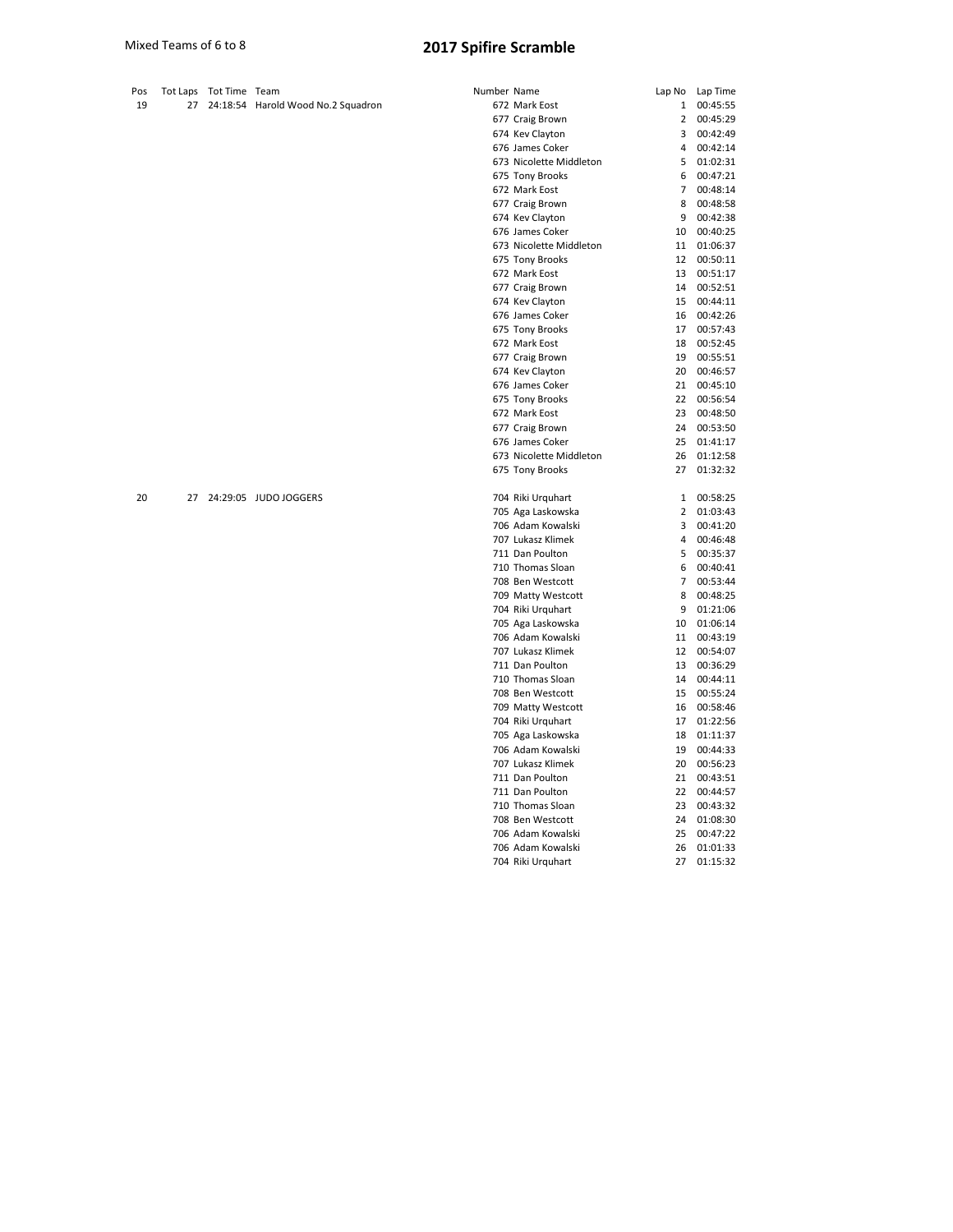| Pos | Tot Laps | Tot Time Team |                                    | Number Name |                         | Lap No         | Lap Time |
|-----|----------|---------------|------------------------------------|-------------|-------------------------|----------------|----------|
| 19  | 27       |               | 24:18:54 Harold Wood No.2 Squadron |             | 672 Mark Eost           | $\mathbf{1}$   | 00:45:55 |
|     |          |               |                                    |             | 677 Craig Brown         | $\overline{2}$ | 00:45:29 |
|     |          |               |                                    |             | 674 Kev Clayton         | 3              | 00:42:49 |
|     |          |               |                                    |             | 676 James Coker         | 4              | 00:42:14 |
|     |          |               |                                    |             | 673 Nicolette Middleton | 5              | 01:02:31 |
|     |          |               |                                    |             | 675 Tony Brooks         | 6              | 00:47:21 |
|     |          |               |                                    |             | 672 Mark Eost           | $\overline{7}$ | 00:48:14 |
|     |          |               |                                    |             | 677 Craig Brown         | 8              | 00:48:58 |
|     |          |               |                                    |             | 674 Kev Clayton         | 9              | 00:42:38 |
|     |          |               |                                    |             | 676 James Coker         | 10             | 00:40:25 |
|     |          |               |                                    |             | 673 Nicolette Middleton | 11             | 01:06:37 |
|     |          |               |                                    |             | 675 Tony Brooks         | 12             | 00:50:11 |
|     |          |               |                                    |             | 672 Mark Eost           | 13             | 00:51:17 |
|     |          |               |                                    |             | 677 Craig Brown         | 14             | 00:52:51 |
|     |          |               |                                    |             | 674 Kev Clayton         | 15             | 00:44:11 |
|     |          |               |                                    |             | 676 James Coker         | 16             | 00:42:26 |
|     |          |               |                                    |             | 675 Tony Brooks         | 17             | 00:57:43 |
|     |          |               |                                    |             | 672 Mark Eost           | 18             | 00:52:45 |
|     |          |               |                                    |             | 677 Craig Brown         | 19             | 00:55:51 |
|     |          |               |                                    |             | 674 Kev Clayton         | 20             | 00:46:57 |
|     |          |               |                                    |             | 676 James Coker         | 21             | 00:45:10 |
|     |          |               |                                    |             | 675 Tony Brooks         | 22             | 00:56:54 |
|     |          |               |                                    |             | 672 Mark Eost           | 23             | 00:48:50 |
|     |          |               |                                    |             | 677 Craig Brown         | 24             | 00:53:50 |
|     |          |               |                                    |             | 676 James Coker         | 25             | 01:41:17 |
|     |          |               |                                    |             | 673 Nicolette Middleton | 26             | 01:12:58 |
|     |          |               |                                    |             | 675 Tony Brooks         | 27             | 01:32:32 |
| 20  | 27       |               | 24:29:05 JUDO JOGGERS              |             | 704 Riki Urquhart       | $\mathbf{1}$   | 00:58:25 |
|     |          |               |                                    |             | 705 Aga Laskowska       | $\overline{2}$ | 01:03:43 |
|     |          |               |                                    |             | 706 Adam Kowalski       | 3              | 00:41:20 |
|     |          |               |                                    |             | 707 Lukasz Klimek       | 4              | 00:46:48 |
|     |          |               |                                    |             | 711 Dan Poulton         | 5              | 00:35:37 |
|     |          |               |                                    |             | 710 Thomas Sloan        | 6              | 00:40:41 |
|     |          |               |                                    |             | 708 Ben Westcott        | $\overline{7}$ | 00:53:44 |
|     |          |               |                                    |             | 709 Matty Westcott      | 8              | 00:48:25 |
|     |          |               |                                    |             | 704 Riki Urquhart       | 9              | 01:21:06 |
|     |          |               |                                    |             | 705 Aga Laskowska       | 10             | 01:06:14 |
|     |          |               |                                    |             | 706 Adam Kowalski       | 11             | 00:43:19 |
|     |          |               |                                    |             | 707 Lukasz Klimek       | 12             | 00:54:07 |
|     |          |               |                                    |             | 711 Dan Poulton         | 13             | 00:36:29 |
|     |          |               |                                    |             | 710 Thomas Sloan        | 14             | 00:44:11 |
|     |          |               |                                    |             | 708 Ben Westcott        | 15             | 00:55:24 |
|     |          |               |                                    |             | 709 Matty Westcott      | 16             | 00:58:46 |
|     |          |               |                                    |             | 704 Riki Urquhart       | 17             | 01:22:56 |
|     |          |               |                                    |             | 705 Aga Laskowska       | 18             | 01:11:37 |
|     |          |               |                                    |             | 706 Adam Kowalski       | 19             | 00:44:33 |
|     |          |               |                                    |             | 707 Lukasz Klimek       | 20             | 00:56:23 |
|     |          |               |                                    |             | 711 Dan Poulton         | 21             | 00:43:51 |
|     |          |               |                                    |             | 711 Dan Poulton         | 22             | 00:44:57 |
|     |          |               |                                    |             | 710 Thomas Sloan        | 23             | 00:43:32 |

 Ben Westcott 24 01:08:30 Adam Kowalski 25 00:47:22

706 Adam Kowalski 704 Riki Urquhart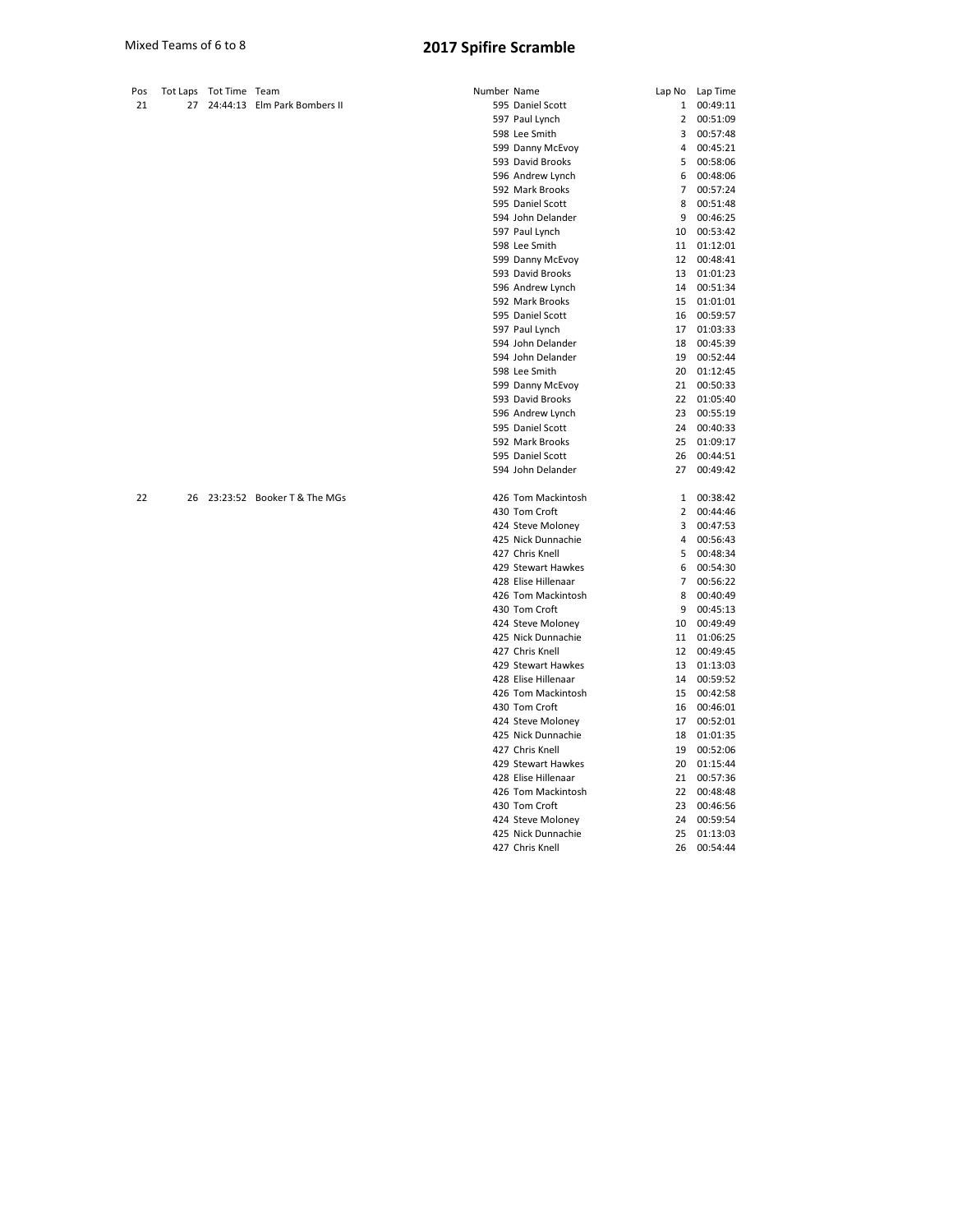| Pos |    | Tot Laps Tot Time Team |                              | Number Name |                     |                | Lap No Lap Time |
|-----|----|------------------------|------------------------------|-------------|---------------------|----------------|-----------------|
| 21  | 27 |                        | 24:44:13 Elm Park Bombers II |             | 595 Daniel Scott    | $\mathbf{1}$   | 00:49:11        |
|     |    |                        |                              |             | 597 Paul Lynch      | $\overline{2}$ | 00:51:09        |
|     |    |                        |                              |             | 598 Lee Smith       | 3              | 00:57:48        |
|     |    |                        |                              |             | 599 Danny McEvoy    | 4              | 00:45:21        |
|     |    |                        |                              |             | 593 David Brooks    | 5              | 00:58:06        |
|     |    |                        |                              |             | 596 Andrew Lynch    | 6              | 00:48:06        |
|     |    |                        |                              |             | 592 Mark Brooks     | 7              | 00:57:24        |
|     |    |                        |                              |             | 595 Daniel Scott    | 8              | 00:51:48        |
|     |    |                        |                              |             | 594 John Delander   | 9              | 00:46:25        |
|     |    |                        |                              |             | 597 Paul Lynch      | 10             | 00:53:42        |
|     |    |                        |                              |             | 598 Lee Smith       | 11             | 01:12:01        |
|     |    |                        |                              |             | 599 Danny McEvoy    | 12             | 00:48:41        |
|     |    |                        |                              |             | 593 David Brooks    | 13             | 01:01:23        |
|     |    |                        |                              |             | 596 Andrew Lynch    | 14             | 00:51:34        |
|     |    |                        |                              |             | 592 Mark Brooks     | 15             | 01:01:01        |
|     |    |                        |                              |             | 595 Daniel Scott    | 16             | 00:59:57        |
|     |    |                        |                              |             | 597 Paul Lynch      | 17             | 01:03:33        |
|     |    |                        |                              |             | 594 John Delander   | 18             | 00:45:39        |
|     |    |                        |                              |             | 594 John Delander   | 19             | 00:52:44        |
|     |    |                        |                              |             | 598 Lee Smith       |                | 20 01:12:45     |
|     |    |                        |                              |             | 599 Danny McEvoy    | 21             | 00:50:33        |
|     |    |                        |                              |             | 593 David Brooks    | 22             | 01:05:40        |
|     |    |                        |                              |             | 596 Andrew Lynch    | 23             | 00:55:19        |
|     |    |                        |                              |             | 595 Daniel Scott    | 24             | 00:40:33        |
|     |    |                        |                              |             | 592 Mark Brooks     | 25             | 01:09:17        |
|     |    |                        |                              |             | 595 Daniel Scott    | 26             | 00:44:51        |
|     |    |                        |                              |             | 594 John Delander   | 27             | 00:49:42        |
| 22  | 26 |                        | 23:23:52 Booker T & The MGs  |             | 426 Tom Mackintosh  | 1              | 00:38:42        |
|     |    |                        |                              |             | 430 Tom Croft       | 2              | 00:44:46        |
|     |    |                        |                              |             | 424 Steve Moloney   | 3              | 00:47:53        |
|     |    |                        |                              |             | 425 Nick Dunnachie  | 4              | 00:56:43        |
|     |    |                        |                              |             | 427 Chris Knell     | 5              | 00:48:34        |
|     |    |                        |                              |             | 429 Stewart Hawkes  | 6              | 00:54:30        |
|     |    |                        |                              |             | 428 Elise Hillenaar | $\overline{7}$ | 00:56:22        |
|     |    |                        |                              |             | 426 Tom Mackintosh  | 8              | 00:40:49        |
|     |    |                        |                              |             | 430 Tom Croft       | 9              | 00:45:13        |
|     |    |                        |                              |             | 424 Steve Moloney   | 10             | 00:49:49        |
|     |    |                        |                              |             | 425 Nick Dunnachie  | 11             | 01:06:25        |
|     |    |                        |                              |             | 427 Chris Knell     | 12             | 00:49:45        |
|     |    |                        |                              |             | 429 Stewart Hawkes  | 13             | 01:13:03        |
|     |    |                        |                              |             | 428 Elise Hillenaar | 14             | 00:59:52        |
|     |    |                        |                              |             | 426 Tom Mackintosh  | 15             | 00:42:58        |
|     |    |                        |                              |             | 430 Tom Croft       | 16             | 00:46:01        |
|     |    |                        |                              |             | 424 Steve Moloney   | 17             | 00:52:01        |
|     |    |                        |                              |             | 425 Nick Dunnachie  | 18             | 01:01:35        |

 Chris Knell 19 00:52:06 Stewart Hawkes 20 01:15:44 Elise Hillenaar 21 00:57:36 Tom Mackintosh 22 00:48:48 Tom Croft 23 00:46:56 Steve Moloney 24 00:59:54 Nick Dunnachie 25 01:13:03 Chris Knell 26 00:54:44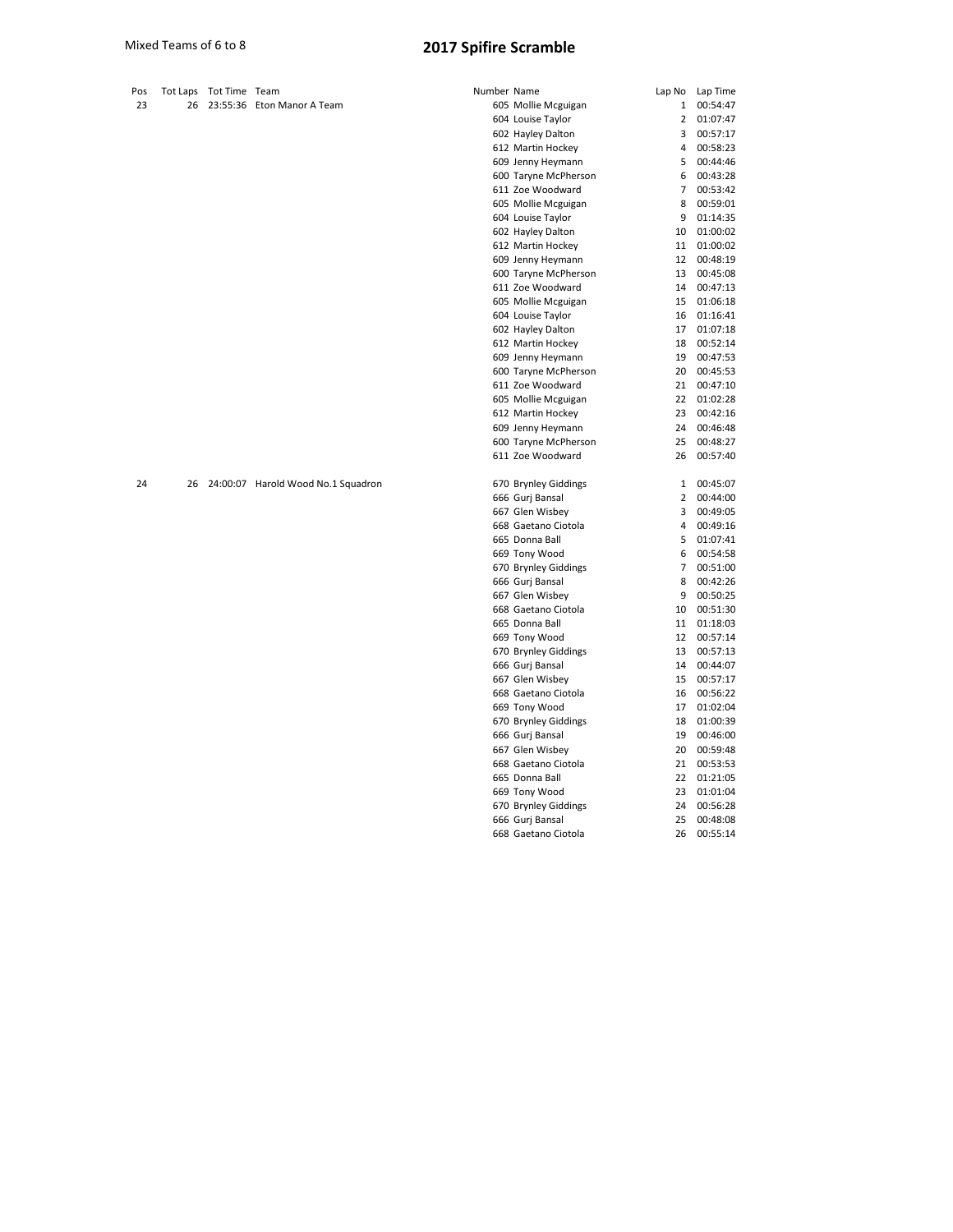| 23<br>26<br>23:55:36 Eton Manor A Team<br>605 Mollie Mcguigan<br>1<br>604 Louise Taylor<br>$\overline{2}$<br>602 Hayley Dalton<br>3<br>612 Martin Hockey<br>4<br>609 Jenny Heymann<br>5<br>600 Taryne McPherson<br>6<br>611 Zoe Woodward<br>$7^{\circ}$<br>605 Mollie Mcguigan<br>8<br>604 Louise Taylor<br>9<br>602 Hayley Dalton<br>10<br>612 Martin Hockey<br>11<br>609 Jenny Heymann<br>12<br>600 Taryne McPherson<br>13 | 00:54:47<br>01:07:47<br>00:57:17<br>00:58:23<br>00:44:46<br>00:43:28<br>00:53:42<br>00:59:01 |
|------------------------------------------------------------------------------------------------------------------------------------------------------------------------------------------------------------------------------------------------------------------------------------------------------------------------------------------------------------------------------------------------------------------------------|----------------------------------------------------------------------------------------------|
|                                                                                                                                                                                                                                                                                                                                                                                                                              |                                                                                              |
|                                                                                                                                                                                                                                                                                                                                                                                                                              |                                                                                              |
|                                                                                                                                                                                                                                                                                                                                                                                                                              |                                                                                              |
|                                                                                                                                                                                                                                                                                                                                                                                                                              |                                                                                              |
|                                                                                                                                                                                                                                                                                                                                                                                                                              |                                                                                              |
|                                                                                                                                                                                                                                                                                                                                                                                                                              |                                                                                              |
|                                                                                                                                                                                                                                                                                                                                                                                                                              |                                                                                              |
|                                                                                                                                                                                                                                                                                                                                                                                                                              |                                                                                              |
|                                                                                                                                                                                                                                                                                                                                                                                                                              | 01:14:35                                                                                     |
|                                                                                                                                                                                                                                                                                                                                                                                                                              | 01:00:02                                                                                     |
|                                                                                                                                                                                                                                                                                                                                                                                                                              | 01:00:02                                                                                     |
|                                                                                                                                                                                                                                                                                                                                                                                                                              | 00:48:19                                                                                     |
|                                                                                                                                                                                                                                                                                                                                                                                                                              | 00:45:08                                                                                     |
| 611 Zoe Woodward<br>14                                                                                                                                                                                                                                                                                                                                                                                                       | 00:47:13                                                                                     |
| 605 Mollie Mcguigan<br>15                                                                                                                                                                                                                                                                                                                                                                                                    | 01:06:18                                                                                     |
| 604 Louise Taylor<br>16                                                                                                                                                                                                                                                                                                                                                                                                      | 01:16:41                                                                                     |
| 602 Hayley Dalton<br>17                                                                                                                                                                                                                                                                                                                                                                                                      | 01:07:18                                                                                     |
| 612 Martin Hockey<br>18                                                                                                                                                                                                                                                                                                                                                                                                      | 00:52:14                                                                                     |
| 609 Jenny Heymann<br>19                                                                                                                                                                                                                                                                                                                                                                                                      | 00:47:53                                                                                     |
| 600 Taryne McPherson<br>20                                                                                                                                                                                                                                                                                                                                                                                                   | 00:45:53                                                                                     |
| 611 Zoe Woodward<br>21                                                                                                                                                                                                                                                                                                                                                                                                       | 00:47:10                                                                                     |
| 605 Mollie Mcguigan<br>22                                                                                                                                                                                                                                                                                                                                                                                                    | 01:02:28                                                                                     |
| 612 Martin Hockey<br>23                                                                                                                                                                                                                                                                                                                                                                                                      | 00:42:16                                                                                     |
| 609 Jenny Heymann<br>24                                                                                                                                                                                                                                                                                                                                                                                                      | 00:46:48                                                                                     |
| 600 Taryne McPherson<br>25                                                                                                                                                                                                                                                                                                                                                                                                   | 00:48:27                                                                                     |
| 611 Zoe Woodward<br>26                                                                                                                                                                                                                                                                                                                                                                                                       | 00:57:40                                                                                     |
| 670 Brynley Giddings<br>24<br>26<br>24:00:07 Harold Wood No.1 Squadron<br>1                                                                                                                                                                                                                                                                                                                                                  | 00:45:07                                                                                     |
| 666 Gurj Bansal<br>2                                                                                                                                                                                                                                                                                                                                                                                                         | 00:44:00                                                                                     |
| 667 Glen Wisbey<br>3                                                                                                                                                                                                                                                                                                                                                                                                         | 00:49:05                                                                                     |
| 668 Gaetano Ciotola<br>4                                                                                                                                                                                                                                                                                                                                                                                                     | 00:49:16                                                                                     |
| 665 Donna Ball<br>5                                                                                                                                                                                                                                                                                                                                                                                                          | 01:07:41                                                                                     |
| 669 Tony Wood<br>6                                                                                                                                                                                                                                                                                                                                                                                                           | 00:54:58                                                                                     |
| 670 Brynley Giddings<br>$7^{\circ}$                                                                                                                                                                                                                                                                                                                                                                                          | 00:51:00                                                                                     |
| 666 Gurj Bansal<br>8                                                                                                                                                                                                                                                                                                                                                                                                         | 00:42:26                                                                                     |
| 667 Glen Wisbey<br>9                                                                                                                                                                                                                                                                                                                                                                                                         | 00:50:25                                                                                     |
| 668 Gaetano Ciotola<br>10                                                                                                                                                                                                                                                                                                                                                                                                    | 00:51:30                                                                                     |
| 665 Donna Ball<br>11                                                                                                                                                                                                                                                                                                                                                                                                         | 01:18:03                                                                                     |
| 669 Tony Wood<br>12                                                                                                                                                                                                                                                                                                                                                                                                          | 00:57:14                                                                                     |
| 670 Brynley Giddings<br>13                                                                                                                                                                                                                                                                                                                                                                                                   | 00:57:13                                                                                     |
| 666 Gurj Bansal<br>14                                                                                                                                                                                                                                                                                                                                                                                                        | 00:44:07                                                                                     |
| 667 Glen Wisbey<br>15                                                                                                                                                                                                                                                                                                                                                                                                        | 00:57:17                                                                                     |
| 668 Gaetano Ciotola<br>16                                                                                                                                                                                                                                                                                                                                                                                                    | 00:56:22                                                                                     |
| 669 Tony Wood<br>17                                                                                                                                                                                                                                                                                                                                                                                                          | 01:02:04                                                                                     |
| 670 Brynley Giddings<br>18                                                                                                                                                                                                                                                                                                                                                                                                   | 01:00:39                                                                                     |
| 666 Gurj Bansal<br>19                                                                                                                                                                                                                                                                                                                                                                                                        | 00:46:00                                                                                     |
| 667 Glen Wisbey<br>20                                                                                                                                                                                                                                                                                                                                                                                                        | 00:59:48                                                                                     |
| 668 Gaetano Ciotola<br>21                                                                                                                                                                                                                                                                                                                                                                                                    | 00:53:53                                                                                     |
| 665 Donna Ball<br>22                                                                                                                                                                                                                                                                                                                                                                                                         | 01:21:05                                                                                     |
| 669 Tony Wood<br>23                                                                                                                                                                                                                                                                                                                                                                                                          | 01:01:04                                                                                     |
| 670 Brynley Giddings<br>24                                                                                                                                                                                                                                                                                                                                                                                                   | 00:56:28                                                                                     |

 Gurj Bansal 25 00:48:08 Gaetano Ciotola 26 00:55:14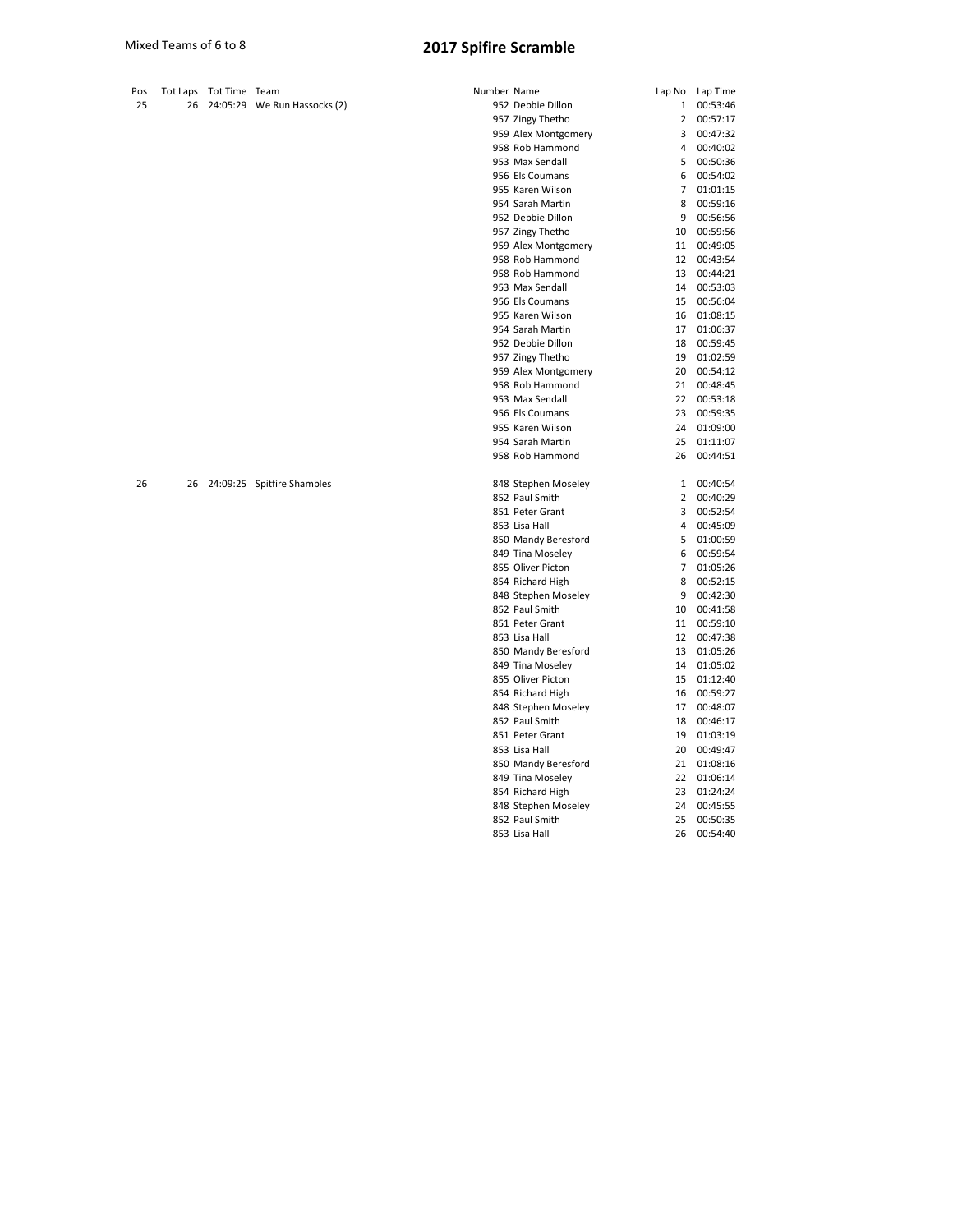| Pos |    | Tot Laps Tot Time Team |                               | Number Name |                     | Lap No         | Lap Time |
|-----|----|------------------------|-------------------------------|-------------|---------------------|----------------|----------|
| 25  | 26 |                        | 24:05:29 We Run Hassocks (2)  |             | 952 Debbie Dillon   | $\mathbf{1}$   | 00:53:46 |
|     |    |                        |                               |             | 957 Zingy Thetho    | $\overline{2}$ | 00:57:17 |
|     |    |                        |                               |             | 959 Alex Montgomery | 3              | 00:47:32 |
|     |    |                        |                               |             | 958 Rob Hammond     | 4              | 00:40:02 |
|     |    |                        |                               |             | 953 Max Sendall     | 5              | 00:50:36 |
|     |    |                        |                               |             | 956 Els Coumans     | 6              | 00:54:02 |
|     |    |                        |                               |             | 955 Karen Wilson    | $\overline{7}$ | 01:01:15 |
|     |    |                        |                               |             | 954 Sarah Martin    | 8              | 00:59:16 |
|     |    |                        |                               |             | 952 Debbie Dillon   | 9              | 00:56:56 |
|     |    |                        |                               |             | 957 Zingy Thetho    | 10             | 00:59:56 |
|     |    |                        |                               |             | 959 Alex Montgomery | 11             | 00:49:05 |
|     |    |                        |                               |             | 958 Rob Hammond     | 12             | 00:43:54 |
|     |    |                        |                               |             | 958 Rob Hammond     | 13             | 00:44:21 |
|     |    |                        |                               |             | 953 Max Sendall     | 14             | 00:53:03 |
|     |    |                        |                               |             | 956 Els Coumans     | 15             | 00:56:04 |
|     |    |                        |                               |             | 955 Karen Wilson    | 16             | 01:08:15 |
|     |    |                        |                               |             | 954 Sarah Martin    | 17             | 01:06:37 |
|     |    |                        |                               |             | 952 Debbie Dillon   | 18             | 00:59:45 |
|     |    |                        |                               |             | 957 Zingy Thetho    | 19             | 01:02:59 |
|     |    |                        |                               |             | 959 Alex Montgomery | 20             | 00:54:12 |
|     |    |                        |                               |             | 958 Rob Hammond     | 21             | 00:48:45 |
|     |    |                        |                               |             | 953 Max Sendall     | 22             | 00:53:18 |
|     |    |                        |                               |             | 956 Els Coumans     | 23             | 00:59:35 |
|     |    |                        |                               |             | 955 Karen Wilson    | 24             | 01:09:00 |
|     |    |                        |                               |             | 954 Sarah Martin    | 25             | 01:11:07 |
|     |    |                        |                               |             | 958 Rob Hammond     | 26             | 00:44:51 |
| 26  |    |                        | 26 24:09:25 Spitfire Shambles |             | 848 Stephen Moseley | $\mathbf{1}$   | 00:40:54 |
|     |    |                        |                               |             | 852 Paul Smith      | $\overline{2}$ | 00:40:29 |
|     |    |                        |                               |             | 851 Peter Grant     | 3              | 00:52:54 |
|     |    |                        |                               |             | 853 Lisa Hall       | 4              | 00:45:09 |
|     |    |                        |                               |             | 850 Mandy Beresford | 5              | 01:00:59 |
|     |    |                        |                               |             | 849 Tina Moseley    | 6              | 00:59:54 |
|     |    |                        |                               |             | 855 Oliver Picton   | $\overline{7}$ | 01:05:26 |
|     |    |                        |                               |             | 854 Richard High    | 8              | 00:52:15 |
|     |    |                        |                               |             | 848 Stephen Moseley | 9              | 00:42:30 |
|     |    |                        |                               |             | 852 Paul Smith      | 10             | 00:41:58 |
|     |    |                        |                               |             | 851 Peter Grant     | 11             | 00:59:10 |
|     |    |                        |                               |             | 853 Lisa Hall       | 12             | 00:47:38 |
|     |    |                        |                               |             | 850 Mandy Beresford | 13             | 01:05:26 |
|     |    |                        |                               |             | 849 Tina Moseley    | 14             | 01:05:02 |
|     |    |                        |                               |             | 855 Oliver Picton   | 15             | 01:12:40 |
|     |    |                        |                               |             | 854 Richard High    | 16             | 00:59:27 |
|     |    |                        |                               |             | 848 Stephen Moseley | 17             | 00:48:07 |
|     |    |                        |                               |             | 852 Paul Smith      | 18             | 00:46:17 |
|     |    |                        |                               |             | 851 Peter Grant     | 19             | 01:03:19 |
|     |    |                        |                               |             | 853 Lisa Hall       | 20             | 00:49:47 |
|     |    |                        |                               |             | 850 Mandy Beresford | 21             | 01:08:16 |
|     |    |                        |                               |             | 849 Tina Moseley    | 22             | 01:06:14 |
|     |    |                        |                               |             | 854 Richard High    | 23             | 01:24:24 |
|     |    |                        |                               |             | 848 Stephen Moseley | 24             | 00:45:55 |

 Paul Smith 25 00:50:35 Lisa Hall 26 00:54:40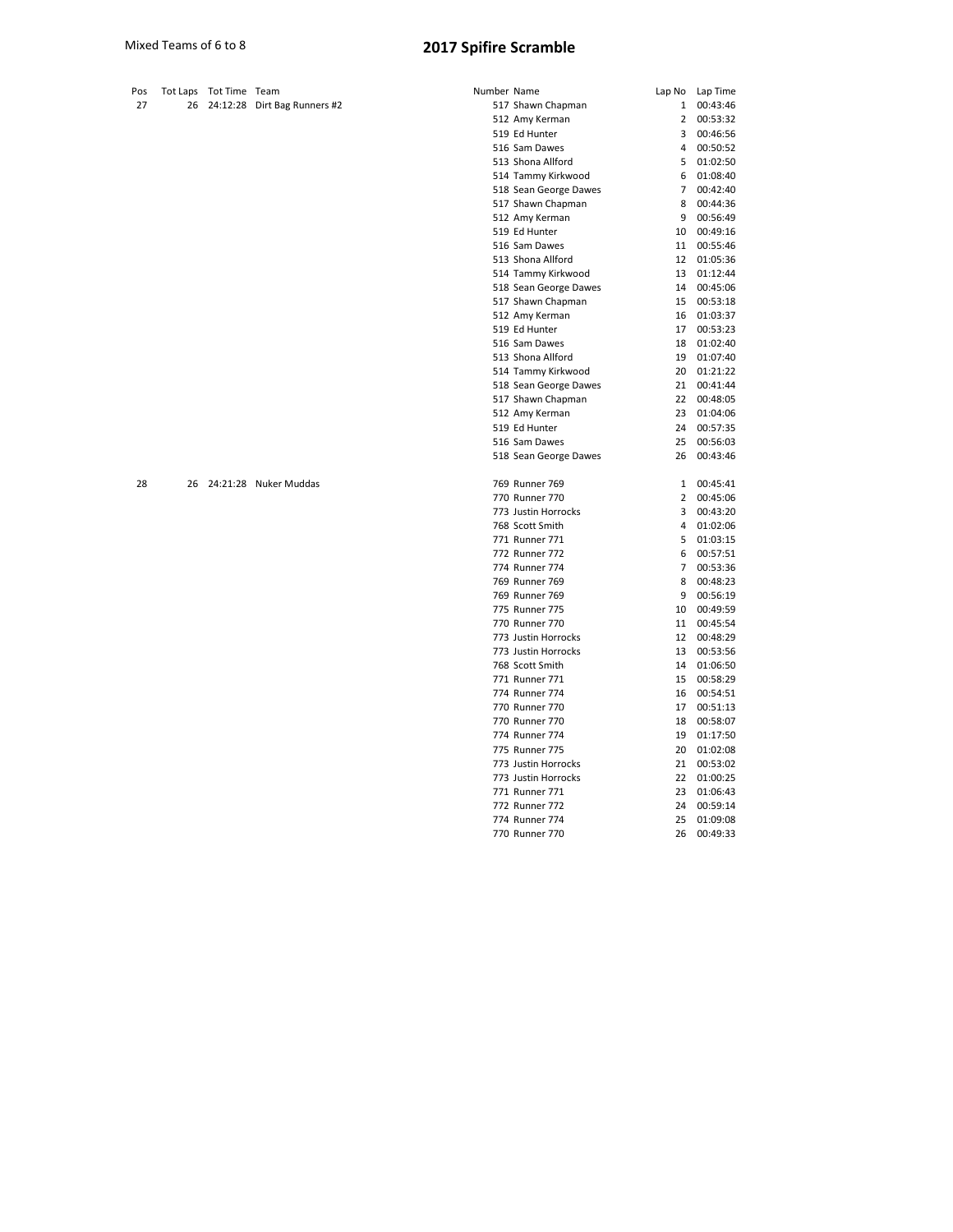| Pos | Tot Laps | Tot Time Team |                              | Number Name |                       | Lap No         | Lap Time |
|-----|----------|---------------|------------------------------|-------------|-----------------------|----------------|----------|
| 27  | 26       |               | 24:12:28 Dirt Bag Runners #2 |             | 517 Shawn Chapman     | 1              | 00:43:46 |
|     |          |               |                              |             | 512 Amy Kerman        | $\overline{2}$ | 00:53:32 |
|     |          |               |                              |             | 519 Ed Hunter         | 3              | 00:46:56 |
|     |          |               |                              |             | 516 Sam Dawes         | 4              | 00:50:52 |
|     |          |               |                              |             | 513 Shona Allford     | 5              | 01:02:50 |
|     |          |               |                              |             | 514 Tammy Kirkwood    | 6              | 01:08:40 |
|     |          |               |                              |             | 518 Sean George Dawes | $\overline{7}$ | 00:42:40 |
|     |          |               |                              |             | 517 Shawn Chapman     | 8              | 00:44:36 |
|     |          |               |                              |             | 512 Amy Kerman        | 9              | 00:56:49 |
|     |          |               |                              |             | 519 Ed Hunter         | 10             | 00:49:16 |
|     |          |               |                              |             | 516 Sam Dawes         | 11             | 00:55:46 |
|     |          |               |                              |             | 513 Shona Allford     | 12             | 01:05:36 |
|     |          |               |                              |             | 514 Tammy Kirkwood    | 13             | 01:12:44 |
|     |          |               |                              |             | 518 Sean George Dawes | 14             | 00:45:06 |
|     |          |               |                              |             | 517 Shawn Chapman     | 15             | 00:53:18 |
|     |          |               |                              |             | 512 Amy Kerman        | 16             | 01:03:37 |
|     |          |               |                              |             | 519 Ed Hunter         | 17             | 00:53:23 |
|     |          |               |                              |             | 516 Sam Dawes         | 18             | 01:02:40 |
|     |          |               |                              |             | 513 Shona Allford     | 19             | 01:07:40 |
|     |          |               |                              |             | 514 Tammy Kirkwood    | 20             | 01:21:22 |
|     |          |               |                              |             | 518 Sean George Dawes | 21             | 00:41:44 |
|     |          |               |                              |             | 517 Shawn Chapman     | 22             | 00:48:05 |
|     |          |               |                              |             | 512 Amy Kerman        | 23             | 01:04:06 |
|     |          |               |                              |             | 519 Ed Hunter         | 24             | 00:57:35 |
|     |          |               |                              |             | 516 Sam Dawes         | 25             | 00:56:03 |
|     |          |               |                              |             | 518 Sean George Dawes | 26             | 00:43:46 |
|     |          |               |                              |             |                       |                |          |
| 28  | 26       |               | 24:21:28 Nuker Muddas        |             | 769 Runner 769        | 1              | 00:45:41 |
|     |          |               |                              |             | 770 Runner 770        | 2              | 00:45:06 |
|     |          |               |                              |             | 773 Justin Horrocks   | 3              | 00:43:20 |
|     |          |               |                              |             | 768 Scott Smith       | 4              | 01:02:06 |
|     |          |               |                              |             | 771 Runner 771        | 5              | 01:03:15 |
|     |          |               |                              |             | 772 Runner 772        | 6              | 00:57:51 |
|     |          |               |                              |             | 774 Runner 774        | $\overline{7}$ | 00:53:36 |
|     |          |               |                              |             | 769 Runner 769        | 8              | 00:48:23 |
|     |          |               |                              |             | 769 Runner 769        | 9              | 00:56:19 |
|     |          |               |                              |             | 775 Runner 775        | 10             | 00:49:59 |
|     |          |               |                              |             | 770 Runner 770        | 11             | 00:45:54 |
|     |          |               |                              |             | 773 Justin Horrocks   | 12             | 00:48:29 |
|     |          |               |                              |             | 773 Justin Horrocks   | 13             | 00:53:56 |
|     |          |               |                              |             | 768 Scott Smith       | 14             | 01:06:50 |
|     |          |               |                              |             | 771 Runner 771        | 15             | 00:58:29 |
|     |          |               |                              |             | 774 Runner 774        | 16             | 00:54:51 |
|     |          |               |                              |             | 770 Runner 770        | 17             | 00:51:13 |
|     |          |               |                              |             | 770 Runner 770        | 18             | 00:58:07 |
|     |          |               |                              |             | 774 Runner 774        | 19             | 01:17:50 |
|     |          |               |                              |             | 775 Runner 775        | 20             | 01:02:08 |
|     |          |               |                              |             |                       |                |          |

Justin Horrocks 21 00:53:02

Runner 771 23 01:06:43

122 Runner 172<br>
1772 Runner 772<br>
1774 Runner 774<br>
25 01:09:08 Runner 770 26 00:49:33

773 Justin Horrocks

772 Runner 772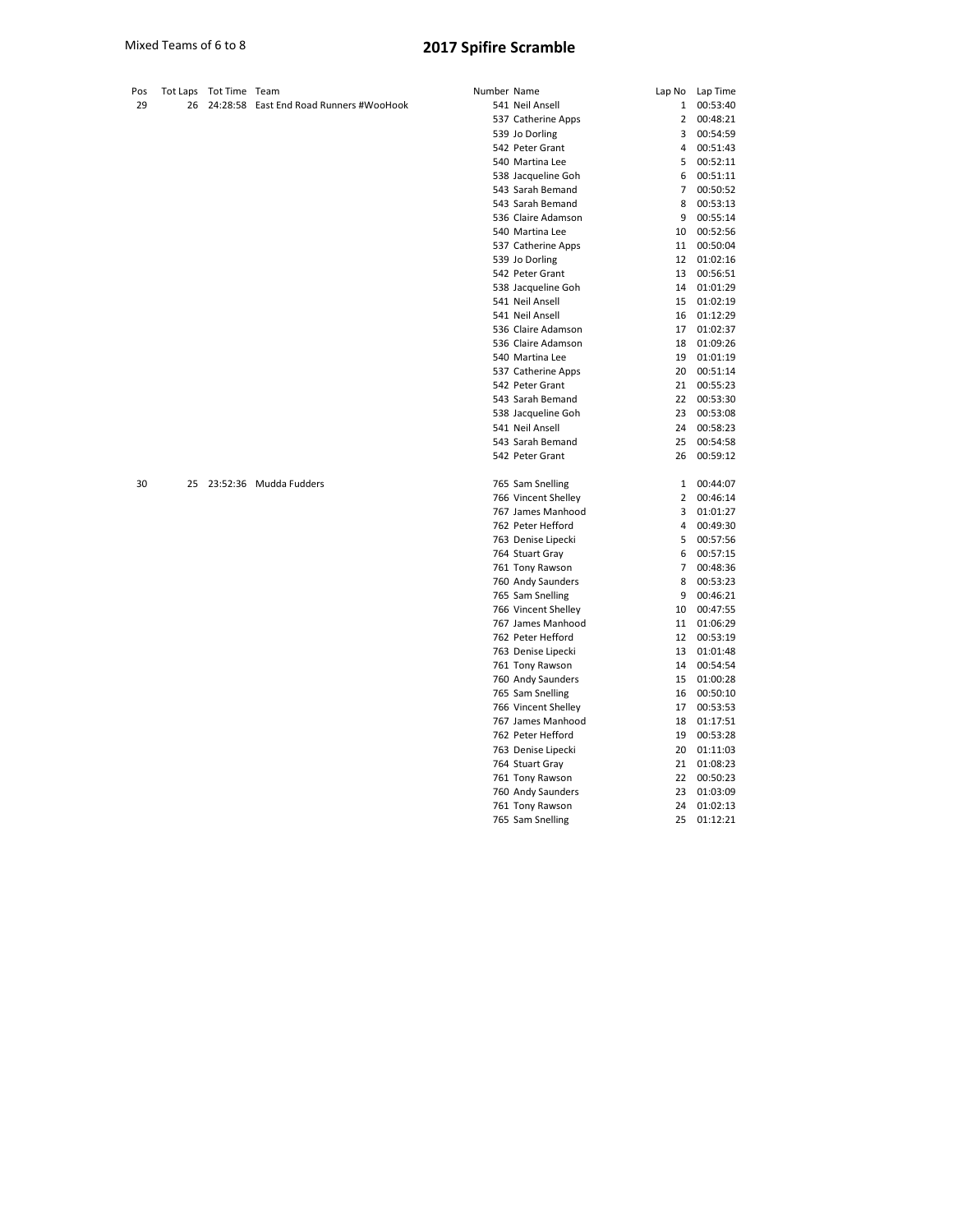| Pos |    | Tot Laps Tot Time Team |                                         | Number Name |                                         | Lap No         | Lap Time             |
|-----|----|------------------------|-----------------------------------------|-------------|-----------------------------------------|----------------|----------------------|
| 29  | 26 |                        | 24:28:58 East End Road Runners #WooHook |             | 541 Neil Ansell                         | $\mathbf{1}$   | 00:53:40             |
|     |    |                        |                                         |             | 537 Catherine Apps                      | $\overline{2}$ | 00:48:21             |
|     |    |                        |                                         |             | 539 Jo Dorling                          | 3              | 00:54:59             |
|     |    |                        |                                         |             | 542 Peter Grant                         | 4              | 00:51:43             |
|     |    |                        |                                         |             | 540 Martina Lee                         | 5              | 00:52:11             |
|     |    |                        |                                         |             | 538 Jacqueline Goh                      | 6              | 00:51:11             |
|     |    |                        |                                         |             | 543 Sarah Bemand                        | 7              | 00:50:52             |
|     |    |                        |                                         |             | 543 Sarah Bemand                        | 8              | 00:53:13             |
|     |    |                        |                                         |             | 536 Claire Adamson                      | 9              | 00:55:14             |
|     |    |                        |                                         |             | 540 Martina Lee                         | 10             | 00:52:56             |
|     |    |                        |                                         |             | 537 Catherine Apps                      | 11             | 00:50:04             |
|     |    |                        |                                         |             | 539 Jo Dorling                          | 12             | 01:02:16             |
|     |    |                        |                                         |             | 542 Peter Grant                         | 13             | 00:56:51             |
|     |    |                        |                                         |             | 538 Jacqueline Goh                      | 14             | 01:01:29             |
|     |    |                        |                                         |             | 541 Neil Ansell                         | 15             | 01:02:19             |
|     |    |                        |                                         |             | 541 Neil Ansell                         | 16             | 01:12:29             |
|     |    |                        |                                         |             | 536 Claire Adamson                      | 17             | 01:02:37             |
|     |    |                        |                                         |             | 536 Claire Adamson                      | 18             | 01:09:26             |
|     |    |                        |                                         |             | 540 Martina Lee                         | 19             | 01:01:19             |
|     |    |                        |                                         |             | 537 Catherine Apps                      | 20             | 00:51:14             |
|     |    |                        |                                         |             | 542 Peter Grant                         | 21             | 00:55:23             |
|     |    |                        |                                         |             | 543 Sarah Bemand                        | 22             | 00:53:30             |
|     |    |                        |                                         |             | 538 Jacqueline Goh                      | 23             | 00:53:08             |
|     |    |                        |                                         |             | 541 Neil Ansell                         | 24             | 00:58:23             |
|     |    |                        |                                         |             | 543 Sarah Bemand                        | 25             | 00:54:58             |
|     |    |                        |                                         |             | 542 Peter Grant                         | 26             | 00:59:12             |
| 30  | 25 |                        | 23:52:36 Mudda Fudders                  |             | 765 Sam Snelling                        | $\mathbf{1}$   | 00:44:07             |
|     |    |                        |                                         |             | 766 Vincent Shelley                     | 2              | 00:46:14             |
|     |    |                        |                                         |             | 767 James Manhood                       | 3              | 01:01:27             |
|     |    |                        |                                         |             | 762 Peter Hefford                       | 4              | 00:49:30             |
|     |    |                        |                                         |             | 763 Denise Lipecki                      | 5              | 00:57:56             |
|     |    |                        |                                         |             |                                         | 6              | 00:57:15             |
|     |    |                        |                                         |             | 764 Stuart Gray<br>761 Tony Rawson      | $\overline{7}$ | 00:48:36             |
|     |    |                        |                                         |             | 760 Andy Saunders                       | 8              | 00:53:23             |
|     |    |                        |                                         |             |                                         | 9              | 00:46:21             |
|     |    |                        |                                         |             | 765 Sam Snelling<br>766 Vincent Shelley | 10             | 00:47:55             |
|     |    |                        |                                         |             | 767 James Manhood                       | 11             | 01:06:29             |
|     |    |                        |                                         |             |                                         | 12             | 00:53:19             |
|     |    |                        |                                         |             | 762 Peter Hefford<br>763 Denise Lipecki | 13             | 01:01:48             |
|     |    |                        |                                         |             |                                         | 14             | 00:54:54             |
|     |    |                        |                                         |             | 761 Tony Rawson<br>760 Andy Saunders    | 15             | 01:00:28             |
|     |    |                        |                                         |             |                                         |                |                      |
|     |    |                        |                                         |             | 765 Sam Snelling                        | 16             | 00:50:10             |
|     |    |                        |                                         |             | 766 Vincent Shelley                     | 17             | 00:53:53             |
|     |    |                        |                                         |             | 767 James Manhood                       | 18<br>19       | 01:17:51             |
|     |    |                        |                                         |             | 762 Peter Hefford                       |                | 00:53:28             |
|     |    |                        |                                         |             | 763 Denise Lipecki<br>764 Stuart Gray   | 20<br>21       | 01:11:03<br>01:08:23 |
|     |    |                        |                                         |             |                                         | 22             | 00:50:23             |
|     |    |                        |                                         |             | 761 Tony Rawson<br>760 Andy Saunders    | 23             | 01:03:09             |
|     |    |                        |                                         |             | 761 Tony Rawson                         | 24             | 01:02:13             |
|     |    |                        |                                         |             | 765 Sam Snelling                        | 25             | 01:12:21             |
|     |    |                        |                                         |             |                                         |                |                      |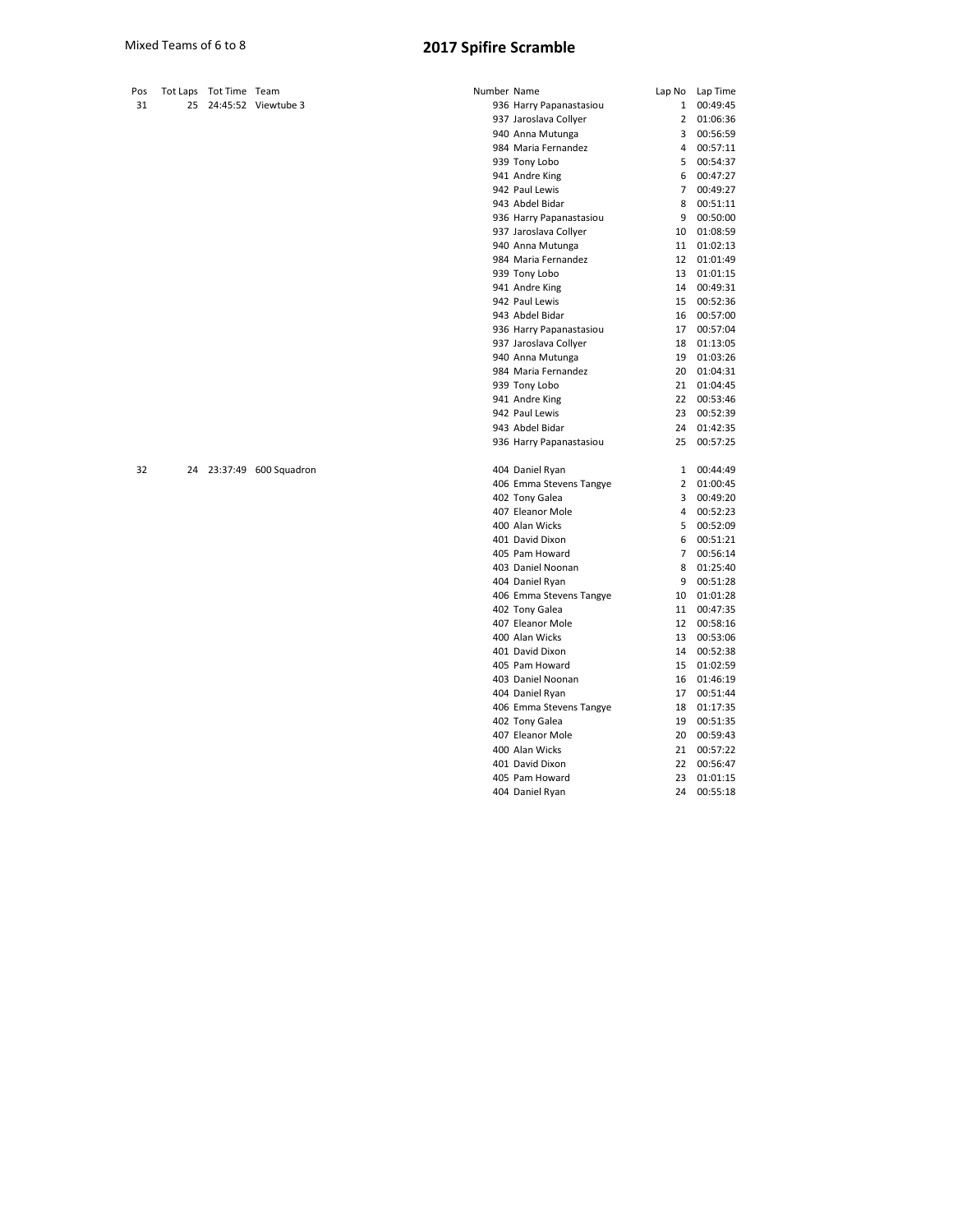| Pos |    | Tot Laps Tot Time Team |                          | Number Name |                         | Lap No         | Lap Time |
|-----|----|------------------------|--------------------------|-------------|-------------------------|----------------|----------|
| 31  | 25 |                        | 24:45:52 Viewtube 3      |             | 936 Harry Papanastasiou | 1              | 00:49:45 |
|     |    |                        |                          |             | 937 Jaroslava Collyer   | 2              | 01:06:36 |
|     |    |                        |                          |             | 940 Anna Mutunga        | 3              | 00:56:59 |
|     |    |                        |                          |             | 984 Maria Fernandez     | 4              | 00:57:11 |
|     |    |                        |                          |             | 939 Tony Lobo           | 5              | 00:54:37 |
|     |    |                        |                          |             | 941 Andre King          | 6              | 00:47:27 |
|     |    |                        |                          |             | 942 Paul Lewis          | $\overline{7}$ | 00:49:27 |
|     |    |                        |                          |             | 943 Abdel Bidar         | 8              | 00:51:11 |
|     |    |                        |                          |             | 936 Harry Papanastasiou | 9              | 00:50:00 |
|     |    |                        |                          |             | 937 Jaroslava Collyer   | 10             | 01:08:59 |
|     |    |                        |                          |             | 940 Anna Mutunga        | 11             | 01:02:13 |
|     |    |                        |                          |             | 984 Maria Fernandez     | 12             | 01:01:49 |
|     |    |                        |                          |             | 939 Tony Lobo           | 13             | 01:01:15 |
|     |    |                        |                          |             | 941 Andre King          | 14             | 00:49:31 |
|     |    |                        |                          |             | 942 Paul Lewis          | 15             | 00:52:36 |
|     |    |                        |                          |             | 943 Abdel Bidar         | 16             | 00:57:00 |
|     |    |                        |                          |             | 936 Harry Papanastasiou | 17             | 00:57:04 |
|     |    |                        |                          |             | 937 Jaroslava Collyer   | 18             | 01:13:05 |
|     |    |                        |                          |             | 940 Anna Mutunga        | 19             | 01:03:26 |
|     |    |                        |                          |             | 984 Maria Fernandez     | 20             | 01:04:31 |
|     |    |                        |                          |             | 939 Tony Lobo           | 21             | 01:04:45 |
|     |    |                        |                          |             | 941 Andre King          | 22             | 00:53:46 |
|     |    |                        |                          |             | 942 Paul Lewis          | 23             | 00:52:39 |
|     |    |                        |                          |             | 943 Abdel Bidar         | 24             | 01:42:35 |
|     |    |                        |                          |             | 936 Harry Papanastasiou | 25             | 00:57:25 |
| 32  |    |                        | 24 23:37:49 600 Squadron |             | 404 Daniel Ryan         | $\mathbf{1}$   | 00:44:49 |
|     |    |                        |                          |             | 406 Emma Stevens Tangye | 2              | 01:00:45 |
|     |    |                        |                          |             | 402 Tony Galea          | 3              | 00:49:20 |
|     |    |                        |                          |             | 407 Eleanor Mole        | 4              | 00:52:23 |
|     |    |                        |                          |             | 400 Alan Wicks          | 5              | 00:52:09 |
|     |    |                        |                          |             | 401 David Dixon         | 6              | 00:51:21 |
|     |    |                        |                          |             | 405 Pam Howard          | $\overline{7}$ | 00:56:14 |
|     |    |                        |                          |             | 403 Daniel Noonan       | 8              | 01:25:40 |
|     |    |                        |                          |             | 404 Daniel Ryan         | 9              | 00:51:28 |
|     |    |                        |                          |             | 406 Emma Stevens Tangye | 10             | 01:01:28 |
|     |    |                        |                          |             | 402 Tony Galea          | 11             | 00:47:35 |
|     |    |                        |                          |             | 407 Eleanor Mole        | 12             | 00:58:16 |
|     |    |                        |                          |             | 400 Alan Wicks          | 13             | 00:53:06 |
|     |    |                        |                          |             | 401 David Dixon         | 14             | 00:52:38 |
|     |    |                        |                          |             | 405 Pam Howard          | 15             | 01:02:59 |
|     |    |                        |                          |             | 403 Daniel Noonan       | 16             | 01:46:19 |
|     |    |                        |                          |             | 404 Daniel Ryan         | 17             | 00:51:44 |
|     |    |                        |                          |             | 406 Emma Stevens Tangye | 18             | 01:17:35 |
|     |    |                        |                          |             | 402 Tony Galea          | 19             | 00:51:35 |
|     |    |                        |                          |             | 407 Eleanor Mole        | 20             | 00:59:43 |
|     |    |                        |                          |             | 400 Alan Wicks          | 21             | 00:57:22 |
|     |    |                        |                          |             | 401 David Dixon         | 22             | 00:56:47 |
|     |    |                        |                          |             |                         |                |          |

 Pam Howard 23 01:01:15 Daniel Ryan 24 00:55:18

Pos Tot Laps Tot Time Team<br>31 25 24:45:52 Viewtu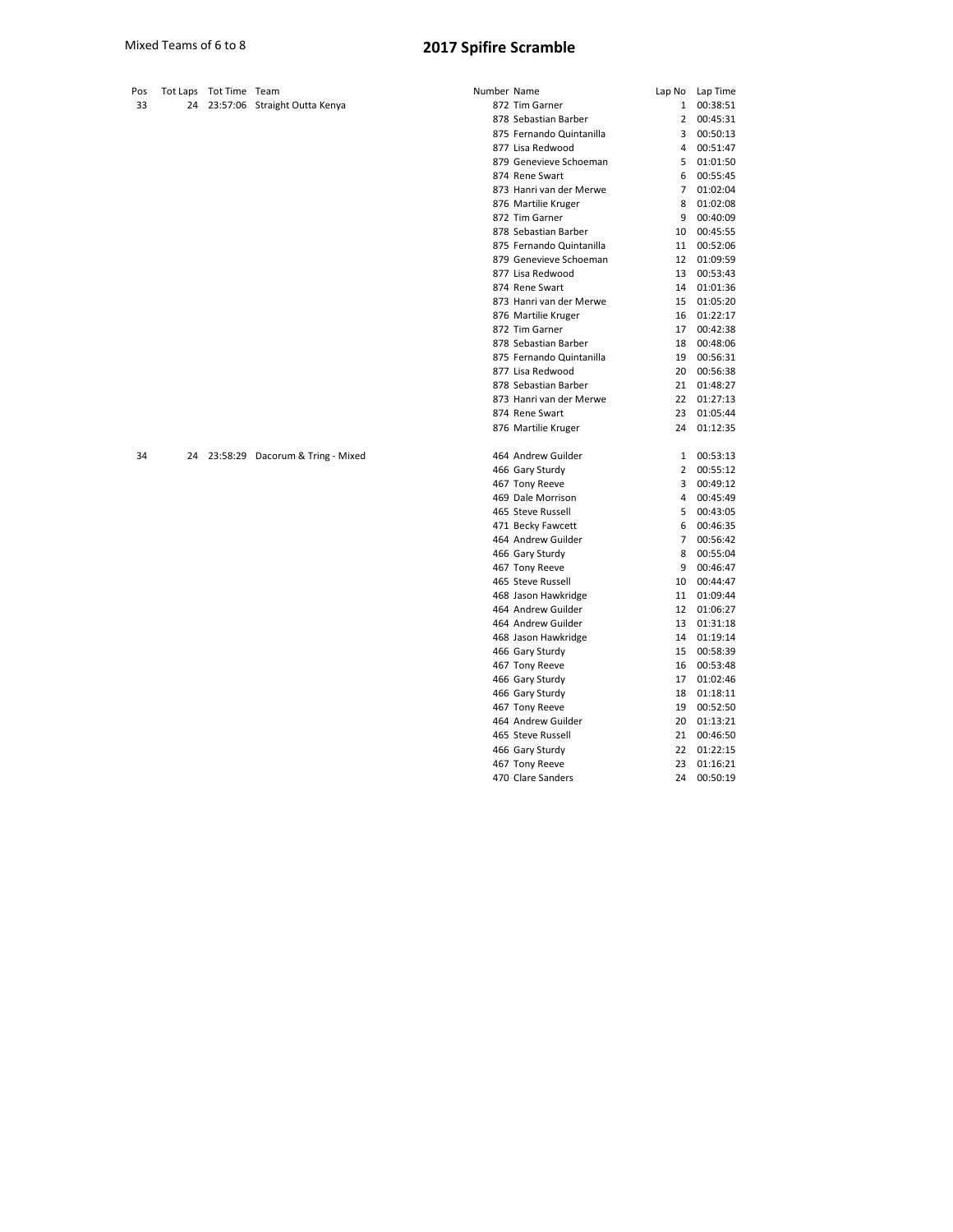| Pos | Tot Laps Tot Time Team |                                     | Number Name |                          | Lap No         | Lap Time |
|-----|------------------------|-------------------------------------|-------------|--------------------------|----------------|----------|
| 33  |                        | 24 23:57:06 Straight Outta Kenya    |             | 872 Tim Garner           | $\mathbf{1}$   | 00:38:51 |
|     |                        |                                     |             | 878 Sebastian Barber     | $\mathbf{2}$   | 00:45:31 |
|     |                        |                                     |             | 875 Fernando Quintanilla | 3              | 00:50:13 |
|     |                        |                                     |             | 877 Lisa Redwood         | 4              | 00:51:47 |
|     |                        |                                     |             | 879 Genevieve Schoeman   | 5              | 01:01:50 |
|     |                        |                                     |             | 874 Rene Swart           | 6              | 00:55:45 |
|     |                        |                                     |             | 873 Hanri van der Merwe  | $\overline{7}$ | 01:02:04 |
|     |                        |                                     |             | 876 Martilie Kruger      | 8              | 01:02:08 |
|     |                        |                                     |             | 872 Tim Garner           | 9              | 00:40:09 |
|     |                        |                                     |             | 878 Sebastian Barber     | 10             | 00:45:55 |
|     |                        |                                     |             | 875 Fernando Quintanilla | 11             | 00:52:06 |
|     |                        |                                     |             | 879 Genevieve Schoeman   | 12             | 01:09:59 |
|     |                        |                                     |             | 877 Lisa Redwood         | 13             | 00:53:43 |
|     |                        |                                     |             | 874 Rene Swart           | 14             | 01:01:36 |
|     |                        |                                     |             | 873 Hanri van der Merwe  | 15             | 01:05:20 |
|     |                        |                                     |             | 876 Martilie Kruger      | 16             | 01:22:17 |
|     |                        |                                     |             | 872 Tim Garner           | 17             | 00:42:38 |
|     |                        |                                     |             | 878 Sebastian Barber     | 18             | 00:48:06 |
|     |                        |                                     |             | 875 Fernando Quintanilla | 19             | 00:56:31 |
|     |                        |                                     |             | 877 Lisa Redwood         | 20             | 00:56:38 |
|     |                        |                                     |             | 878 Sebastian Barber     | 21             | 01:48:27 |
|     |                        |                                     |             | 873 Hanri van der Merwe  | 22             | 01:27:13 |
|     |                        |                                     |             | 874 Rene Swart           | 23             | 01:05:44 |
|     |                        |                                     |             | 876 Martilie Kruger      | 24             | 01:12:35 |
| 34  |                        | 24 23:58:29 Dacorum & Tring - Mixed |             | 464 Andrew Guilder       | $\mathbf{1}$   | 00:53:13 |
|     |                        |                                     |             | 466 Gary Sturdy          | 2              | 00:55:12 |
|     |                        |                                     |             | 467 Tony Reeve           | 3              | 00:49:12 |
|     |                        |                                     |             | 469 Dale Morrison        | 4              | 00:45:49 |
|     |                        |                                     |             | 465 Steve Russell        | 5              | 00:43:05 |
|     |                        |                                     |             | 471 Becky Fawcett        | 6              | 00:46:35 |
|     |                        |                                     |             | 464 Andrew Guilder       | $\overline{7}$ | 00:56:42 |
|     |                        |                                     |             | 466 Gary Sturdy          | 8              | 00:55:04 |
|     |                        |                                     |             | 467 Tony Reeve           | 9              | 00:46:47 |
|     |                        |                                     |             | 465 Steve Russell        | 10             | 00:44:47 |
|     |                        |                                     |             | 468 Jason Hawkridge      | 11             | 01:09:44 |
|     |                        |                                     |             | 464 Andrew Guilder       | 12             | 01:06:27 |
|     |                        |                                     |             | 464 Andrew Guilder       | 13             | 01:31:18 |
|     |                        |                                     |             | 468 Jason Hawkridge      | 14             | 01:19:14 |
|     |                        |                                     |             | 466 Gary Sturdy          | 15             | 00:58:39 |
|     |                        |                                     |             | 467 Tony Reeve           | 16             | 00:53:48 |
|     |                        |                                     |             | 466 Gary Sturdy          | 17             | 01:02:46 |
|     |                        |                                     |             | 466 Gary Sturdy          | 18             | 01:18:11 |

467 Tony Reeve 19 00:52:50 Andrew Guilder 20 01:13:21 Steve Russell 21 00:46:50 Gary Sturdy 22 01:22:15 Tony Reeve 23 01:16:21 Clare Sanders 24 00:50:19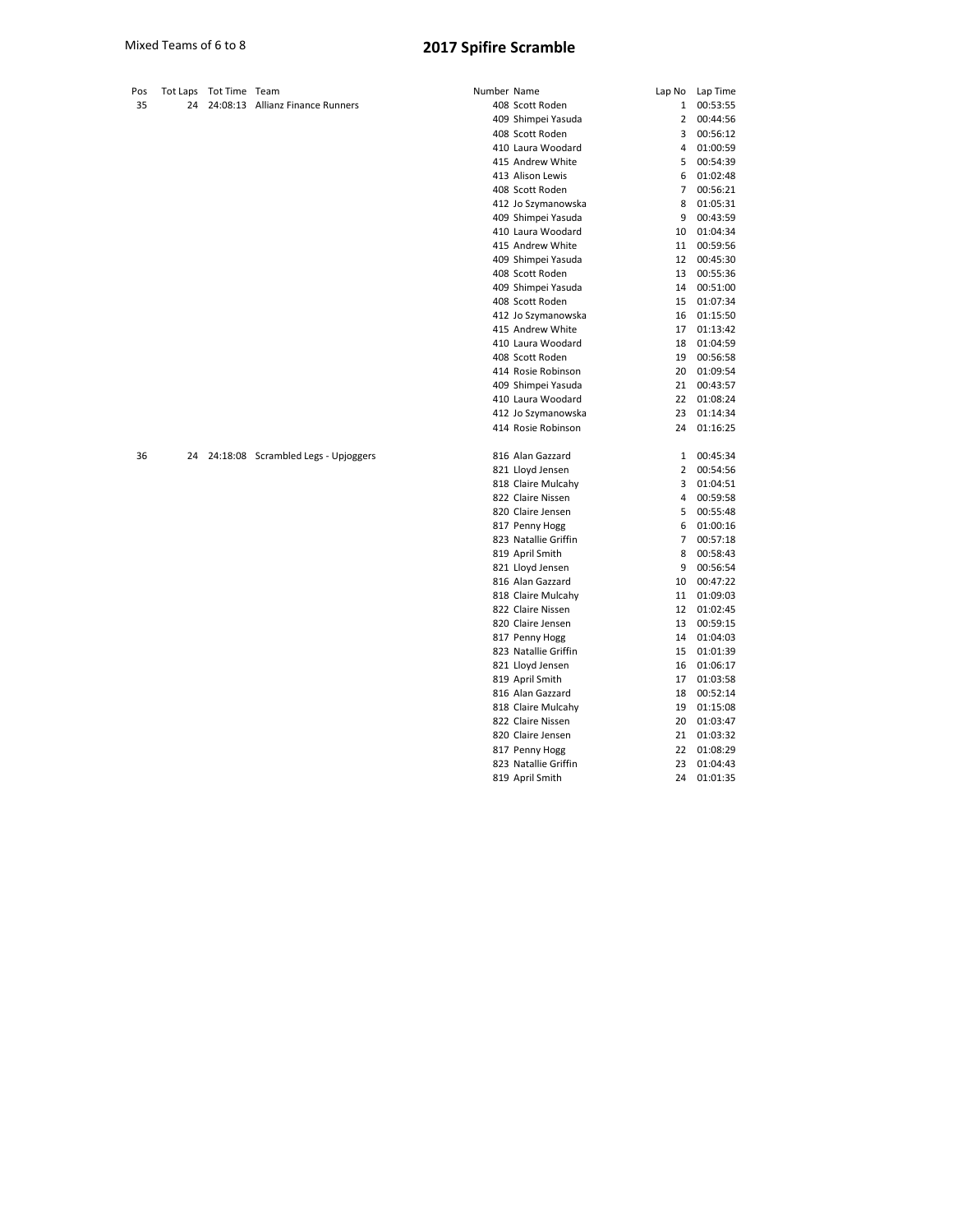| Pos | Tot Laps | Tot Time Team |                                        | Number Name |                      |                | Lap No Lap Time |
|-----|----------|---------------|----------------------------------------|-------------|----------------------|----------------|-----------------|
| 35  | 24       |               | 24:08:13 Allianz Finance Runners       |             | 408 Scott Roden      | 1              | 00:53:55        |
|     |          |               |                                        |             | 409 Shimpei Yasuda   | $\overline{2}$ | 00:44:56        |
|     |          |               |                                        |             | 408 Scott Roden      | 3              | 00:56:12        |
|     |          |               |                                        |             | 410 Laura Woodard    | 4              | 01:00:59        |
|     |          |               |                                        |             | 415 Andrew White     | 5              | 00:54:39        |
|     |          |               |                                        |             | 413 Alison Lewis     | 6              | 01:02:48        |
|     |          |               |                                        |             | 408 Scott Roden      | 7              | 00:56:21        |
|     |          |               |                                        |             | 412 Jo Szymanowska   | 8              | 01:05:31        |
|     |          |               |                                        |             | 409 Shimpei Yasuda   | 9              | 00:43:59        |
|     |          |               |                                        |             | 410 Laura Woodard    | 10             | 01:04:34        |
|     |          |               |                                        |             | 415 Andrew White     | 11             | 00:59:56        |
|     |          |               |                                        |             | 409 Shimpei Yasuda   | 12             | 00:45:30        |
|     |          |               |                                        |             | 408 Scott Roden      | 13             | 00:55:36        |
|     |          |               |                                        |             | 409 Shimpei Yasuda   | 14             | 00:51:00        |
|     |          |               |                                        |             | 408 Scott Roden      | 15             | 01:07:34        |
|     |          |               |                                        |             | 412 Jo Szymanowska   | 16             | 01:15:50        |
|     |          |               |                                        |             | 415 Andrew White     | 17             | 01:13:42        |
|     |          |               |                                        |             | 410 Laura Woodard    | 18             | 01:04:59        |
|     |          |               |                                        |             | 408 Scott Roden      | 19             | 00:56:58        |
|     |          |               |                                        |             | 414 Rosie Robinson   | 20             | 01:09:54        |
|     |          |               |                                        |             | 409 Shimpei Yasuda   | 21             | 00:43:57        |
|     |          |               |                                        |             | 410 Laura Woodard    | 22             | 01:08:24        |
|     |          |               |                                        |             | 412 Jo Szymanowska   | 23             | 01:14:34        |
|     |          |               |                                        |             | 414 Rosie Robinson   | 24             | 01:16:25        |
| 36  |          |               | 24 24:18:08 Scrambled Legs - Upjoggers |             | 816 Alan Gazzard     | 1              | 00:45:34        |
|     |          |               |                                        |             | 821 Lloyd Jensen     | 2              | 00:54:56        |
|     |          |               |                                        |             | 818 Claire Mulcahy   | 3              | 01:04:51        |
|     |          |               |                                        |             | 822 Claire Nissen    | 4              | 00:59:58        |
|     |          |               |                                        |             | 820 Claire Jensen    | 5              | 00:55:48        |
|     |          |               |                                        |             | 817 Penny Hogg       | 6              | 01:00:16        |
|     |          |               |                                        |             | 823 Natallie Griffin | 7              | 00:57:18        |
|     |          |               |                                        |             | 819 April Smith      | 8              | 00:58:43        |
|     |          |               |                                        |             | 821 Lloyd Jensen     | 9              | 00:56:54        |
|     |          |               |                                        |             | 816 Alan Gazzard     | 10             | 00:47:22        |
|     |          |               |                                        |             | 818 Claire Mulcahy   | 11             | 01:09:03        |
|     |          |               |                                        |             | 822 Claire Nissen    | 12             | 01:02:45        |
|     |          |               |                                        |             | 820 Claire Jensen    | 13             | 00:59:15        |
|     |          |               |                                        |             | 817 Penny Hogg       | 14             | 01:04:03        |
|     |          |               |                                        |             | 823 Natallie Griffin | 15             | 01:01:39        |
|     |          |               |                                        |             | 821 Lloyd Jensen     | 16             | 01:06:17        |
|     |          |               |                                        |             | 819 April Smith      | 17             | 01:03:58        |
|     |          |               |                                        |             | 816 Alan Gazzard     | 18             | 00:52:14        |
|     |          |               |                                        |             | 818 Claire Mulcahy   | 19             | 01:15:08        |
|     |          |               |                                        |             | 822 Claire Nissen    | 20             | 01:03:47        |

 Claire Jensen 21 01:03:32 817 Penny Hogg 22 01:08:29 Natallie Griffin 23 01:04:43 April Smith 24 01:01:35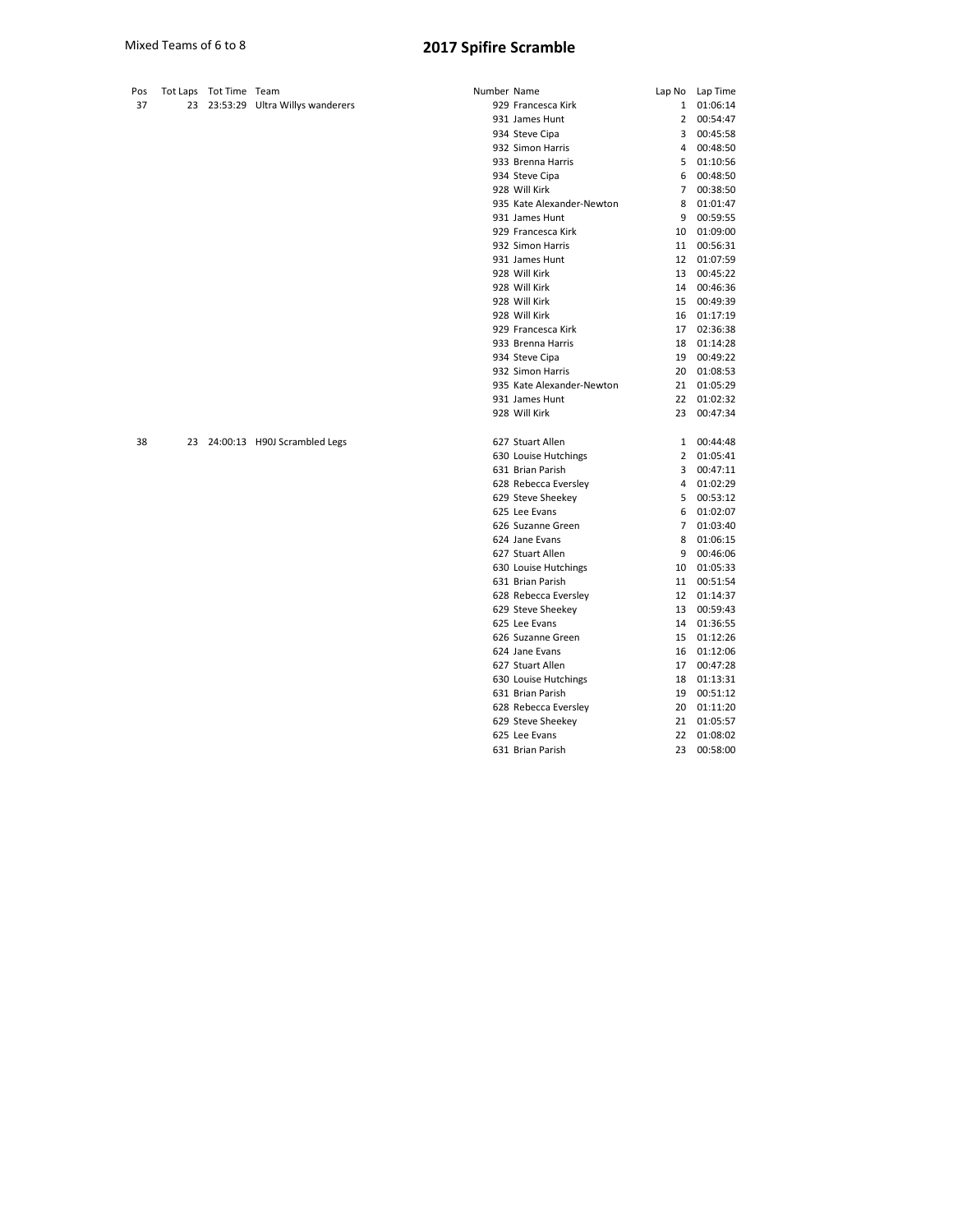| Pos | Tot Laps Tot Time Team |                                    | Number Name |                           |                | Lap No Lap Time |
|-----|------------------------|------------------------------------|-------------|---------------------------|----------------|-----------------|
| 37  |                        | 23 23:53:29 Ultra Willys wanderers |             | 929 Francesca Kirk        | 1              | 01:06:14        |
|     |                        |                                    |             | 931 James Hunt            | $\overline{2}$ | 00:54:47        |
|     |                        |                                    |             | 934 Steve Cipa            | 3              | 00:45:58        |
|     |                        |                                    |             | 932 Simon Harris          | 4              | 00:48:50        |
|     |                        |                                    |             | 933 Brenna Harris         | 5              | 01:10:56        |
|     |                        |                                    |             | 934 Steve Cipa            | 6              | 00:48:50        |
|     |                        |                                    |             | 928 Will Kirk             | $7^{\circ}$    | 00:38:50        |
|     |                        |                                    |             | 935 Kate Alexander-Newton | 8              | 01:01:47        |
|     |                        |                                    |             | 931 James Hunt            | 9              | 00:59:55        |
|     |                        |                                    |             | 929 Francesca Kirk        | 10             | 01:09:00        |
|     |                        |                                    |             | 932 Simon Harris          | 11             | 00:56:31        |
|     |                        |                                    |             | 931 James Hunt            |                | 12 01:07:59     |
|     |                        |                                    |             | 928 Will Kirk             |                | 13 00:45:22     |
|     |                        |                                    |             | 928 Will Kirk             |                | 14 00:46:36     |
|     |                        |                                    |             | 928 Will Kirk             | 15             | 00:49:39        |
|     |                        |                                    |             | 928 Will Kirk             | 16             | 01:17:19        |
|     |                        |                                    |             | 929 Francesca Kirk        |                | 17 02:36:38     |
|     |                        |                                    |             | 933 Brenna Harris         | 18             | 01:14:28        |
|     |                        |                                    |             | 934 Steve Cipa            | 19             | 00:49:22        |
|     |                        |                                    |             | 932 Simon Harris          | 20             | 01:08:53        |
|     |                        |                                    |             | 935 Kate Alexander-Newton |                | 21 01:05:29     |
|     |                        |                                    |             | 931 James Hunt            |                | 22 01:02:32     |
|     |                        |                                    |             | 928 Will Kirk             |                | 23 00:47:34     |
| 38  |                        | 23 24:00:13 H90J Scrambled Legs    |             | 627 Stuart Allen          | $\mathbf{1}$   | 00:44:48        |
|     |                        |                                    |             | 630 Louise Hutchings      |                | 2 01:05:41      |
|     |                        |                                    |             | 631 Brian Parish          | 3              | 00:47:11        |
|     |                        |                                    |             | 628 Rebecca Eversley      |                | 4 01:02:29      |
|     |                        |                                    |             | 629 Steve Sheekey         | 5              | 00:53:12        |
|     |                        |                                    |             | 625 Lee Evans             | 6              | 01:02:07        |
|     |                        |                                    |             | 626 Suzanne Green         | $\overline{7}$ | 01:03:40        |
|     |                        |                                    |             | 624 Jane Evans            | 8              | 01:06:15        |
|     |                        |                                    |             | 627 Stuart Allen          | 9              | 00:46:06        |
|     |                        |                                    |             | 630 Louise Hutchings      | 10             | 01:05:33        |
|     |                        |                                    |             | 631 Brian Parish          |                | 11 00:51:54     |
|     |                        |                                    |             | 628 Rebecca Eversley      |                | 12 01:14:37     |
|     |                        |                                    |             | 629 Steve Sheekey         | 13             | 00:59:43        |
|     |                        |                                    |             | 625 Lee Evans             | 14             | 01:36:55        |
|     |                        |                                    |             | 626 Suzanne Green         |                | 15 01:12:26     |
|     |                        |                                    |             | 624 Jane Evans            |                | 16 01:12:06     |
|     |                        |                                    |             | 627 Stuart Allen          | 17             | 00:47:28        |
|     |                        |                                    |             | 630 Louise Hutchings      | 18             | 01:13:31        |

 Brian Parish 19 00:51:12 Rebecca Eversley 20 01:11:20 Steve Sheekey 21 01:05:57 Lee Evans 22 01:08:02 Brian Parish 23 00:58:00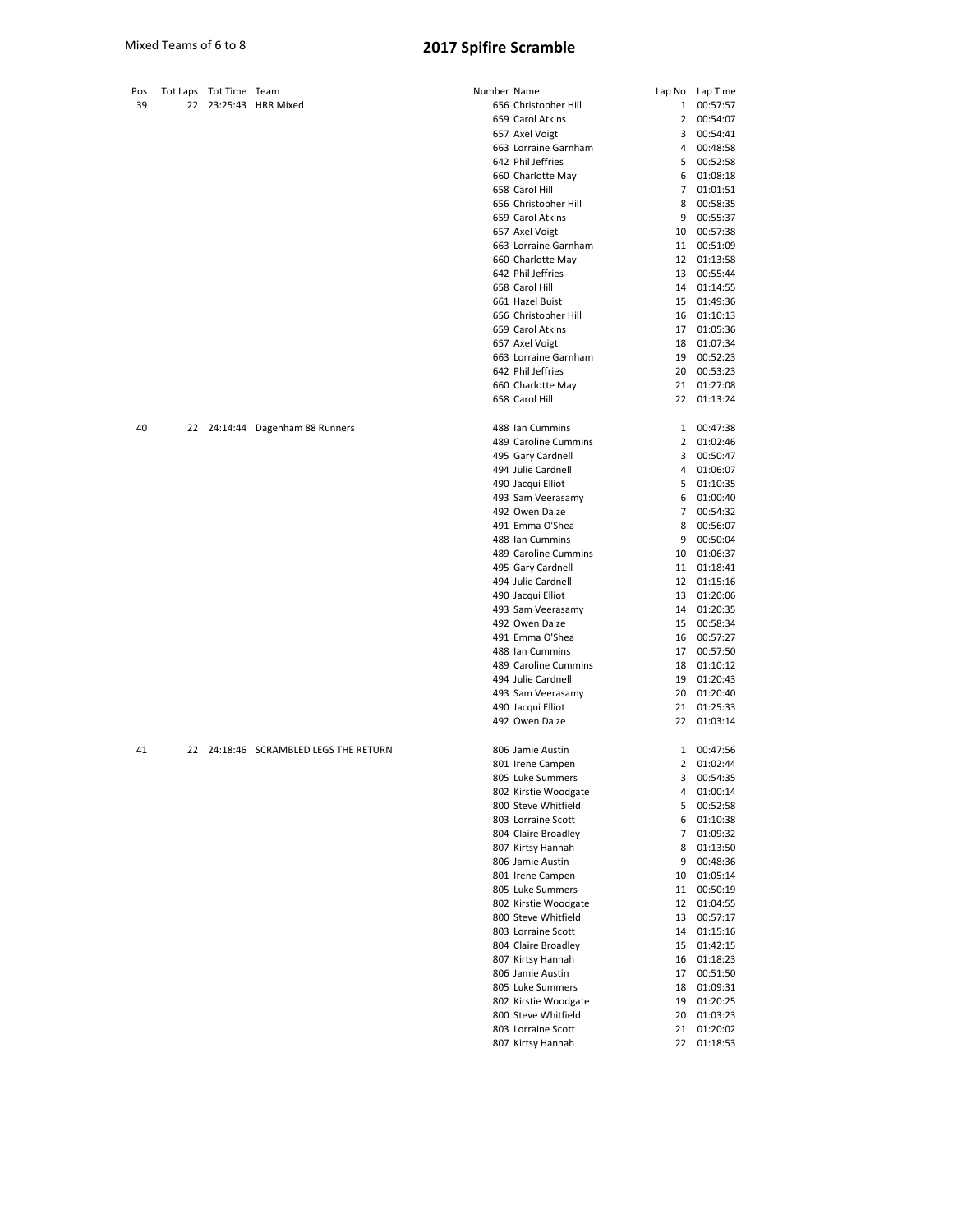| Pos |    | Tot Laps Tot Time Team |                                    | Number Name |                                        |          | Lap No Lap Time         |
|-----|----|------------------------|------------------------------------|-------------|----------------------------------------|----------|-------------------------|
| 39  | 22 |                        | 23:25:43 HRR Mixed                 |             | 656 Christopher Hill                   | 1        | 00:57:57                |
|     |    |                        |                                    |             | 659 Carol Atkins                       | 2        | 00:54:07                |
|     |    |                        |                                    |             | 657 Axel Voigt                         | 3        | 00:54:41                |
|     |    |                        |                                    |             | 663 Lorraine Garnham                   | 4        | 00:48:58                |
|     |    |                        |                                    |             | 642 Phil Jeffries                      |          | 5 00:52:58              |
|     |    |                        |                                    |             | 660 Charlotte May                      | 6        | 01:08:18                |
|     |    |                        |                                    |             | 658 Carol Hill                         |          | 7 01:01:51              |
|     |    |                        |                                    |             | 656 Christopher Hill                   |          | 8 00:58:35              |
|     |    |                        |                                    |             | 659 Carol Atkins                       |          | 9 00:55:37              |
|     |    |                        |                                    |             | 657 Axel Voigt<br>663 Lorraine Garnham | 10       | 00:57:38<br>11 00:51:09 |
|     |    |                        |                                    |             | 660 Charlotte May                      |          | 12 01:13:58             |
|     |    |                        |                                    |             | 642 Phil Jeffries                      | 13       | 00:55:44                |
|     |    |                        |                                    |             | 658 Carol Hill                         |          | 14 01:14:55             |
|     |    |                        |                                    |             | 661 Hazel Buist                        |          | 15 01:49:36             |
|     |    |                        |                                    |             | 656 Christopher Hill                   |          | 16 01:10:13             |
|     |    |                        |                                    |             | 659 Carol Atkins                       | 17       | 01:05:36                |
|     |    |                        |                                    |             | 657 Axel Voigt                         | 18       | 01:07:34                |
|     |    |                        |                                    |             | 663 Lorraine Garnham                   | 19       | 00:52:23                |
|     |    |                        |                                    |             | 642 Phil Jeffries                      | 20       | 00:53:23                |
|     |    |                        |                                    |             | 660 Charlotte May                      | 21       | 01:27:08                |
|     |    |                        |                                    |             | 658 Carol Hill                         | 22       | 01:13:24                |
| 40  |    |                        | 22 24:14:44 Dagenham 88 Runners    |             | 488 Ian Cummins                        |          | 1 00:47:38              |
|     |    |                        |                                    |             | 489 Caroline Cummins                   |          | 2 01:02:46              |
|     |    |                        |                                    |             | 495 Gary Cardnell                      |          | 3 00:50:47              |
|     |    |                        |                                    |             | 494 Julie Cardnell                     |          | 4 01:06:07              |
|     |    |                        |                                    |             | 490 Jacqui Elliot                      |          | 5 01:10:35              |
|     |    |                        |                                    |             | 493 Sam Veerasamy                      |          | 6 01:00:40              |
|     |    |                        |                                    |             | 492 Owen Daize                         |          | 7 00:54:32              |
|     |    |                        |                                    |             | 491 Emma O'Shea                        |          | 8 00:56:07              |
|     |    |                        |                                    |             | 488 Ian Cummins                        | 9        | 00:50:04                |
|     |    |                        |                                    |             | 489 Caroline Cummins                   | 10       | 01:06:37                |
|     |    |                        |                                    |             | 495 Gary Cardnell                      |          | 11 01:18:41             |
|     |    |                        |                                    |             | 494 Julie Cardnell                     |          | 12 01:15:16             |
|     |    |                        |                                    |             | 490 Jacqui Elliot                      |          | 13 01:20:06             |
|     |    |                        |                                    |             | 493 Sam Veerasamy<br>492 Owen Daize    | 14<br>15 | 01:20:35<br>00:58:34    |
|     |    |                        |                                    |             | 491 Emma O'Shea                        |          | 16 00:57:27             |
|     |    |                        |                                    |             | 488 Ian Cummins                        | 17       | 00:57:50                |
|     |    |                        |                                    |             | 489 Caroline Cummins                   | 18       | 01:10:12                |
|     |    |                        |                                    |             | 494 Julie Cardnell                     | 19       | 01:20:43                |
|     |    |                        |                                    |             | 493 Sam Veerasamy                      | 20       | 01:20:40                |
|     |    |                        |                                    |             | 490 Jacqui Elliot                      | 21       | 01:25:33                |
|     |    |                        |                                    |             | 492 Owen Daize                         | 22       | 01:03:14                |
| 41  | 22 |                        | 24:18:46 SCRAMBLED LEGS THE RETURN |             | 806 Jamie Austin                       | 1        | 00:47:56                |
|     |    |                        |                                    |             | 801 Irene Campen                       | 2        | 01:02:44                |
|     |    |                        |                                    |             | 805 Luke Summers                       | 3        | 00:54:35                |
|     |    |                        |                                    |             | 802 Kirstie Woodgate                   | 4        | 01:00:14                |
|     |    |                        |                                    |             | 800 Steve Whitfield                    | 5        | 00:52:58                |
|     |    |                        |                                    |             | 803 Lorraine Scott                     | 6        | 01:10:38                |
|     |    |                        |                                    |             | 804 Claire Broadley                    | 7        | 01:09:32                |
|     |    |                        |                                    |             | 807 Kirtsy Hannah                      | 8        | 01:13:50                |
|     |    |                        |                                    |             | 806 Jamie Austin                       | 9        | 00:48:36                |
|     |    |                        |                                    |             | 801 Irene Campen                       | 10       | 01:05:14                |
|     |    |                        |                                    |             | 805 Luke Summers                       | 11       | 00:50:19                |
|     |    |                        |                                    |             | 802 Kirstie Woodgate                   | 12       | 01:04:55                |
|     |    |                        |                                    |             | 800 Steve Whitfield                    | 13       | 00:57:17                |
|     |    |                        |                                    |             | 803 Lorraine Scott                     | 14       | 01:15:16                |
|     |    |                        |                                    |             | 804 Claire Broadley                    | 15       | 01:42:15                |
|     |    |                        |                                    |             | 807 Kirtsy Hannah<br>806 Jamie Austin  | 16       | 01:18:23                |
|     |    |                        |                                    |             | 805 Luke Summers                       | 17<br>18 | 00:51:50<br>01:09:31    |
|     |    |                        |                                    |             | 802 Kirstie Woodgate                   | 19       | 01:20:25                |
|     |    |                        |                                    |             | 800 Steve Whitfield                    | 20       | 01:03:23                |
|     |    |                        |                                    |             | 803 Lorraine Scott                     | 21       | 01:20:02                |
|     |    |                        |                                    |             | 807 Kirtsy Hannah                      | 22       | 01:18:53                |
|     |    |                        |                                    |             |                                        |          |                         |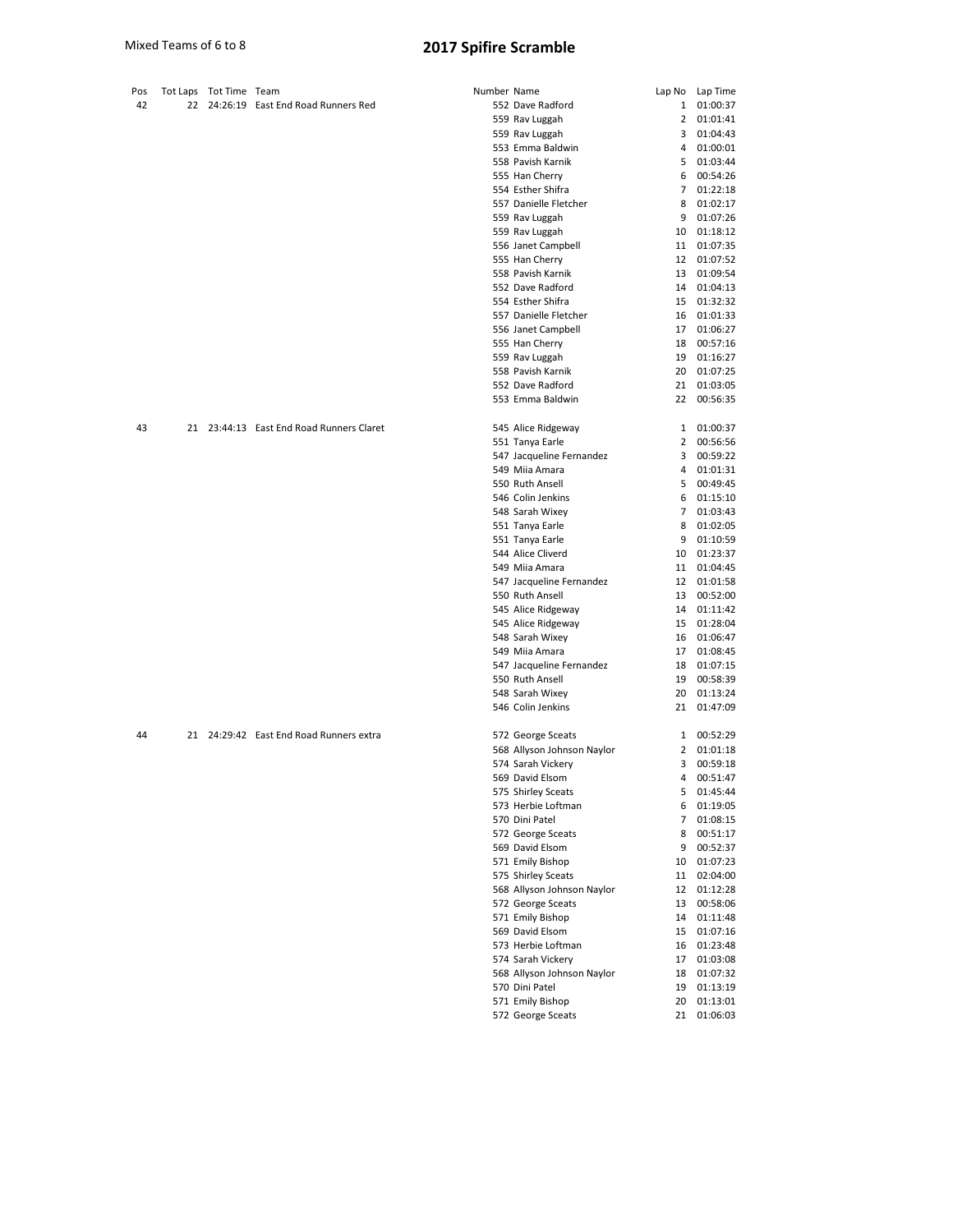| Pos |  | Tot Laps Tot Time Team |                                          | Number Name |                            | Lap No | Lap Time    |
|-----|--|------------------------|------------------------------------------|-------------|----------------------------|--------|-------------|
| 42  |  |                        | 22 24:26:19 East End Road Runners Red    |             | 552 Dave Radford           | 1      | 01:00:37    |
|     |  |                        |                                          |             | 559 Rav Luggah             | 2      | 01:01:41    |
|     |  |                        |                                          |             | 559 Rav Luggah             | 3      | 01:04:43    |
|     |  |                        |                                          |             | 553 Emma Baldwin           | 4      | 01:00:01    |
|     |  |                        |                                          |             | 558 Pavish Karnik          |        | 5 01:03:44  |
|     |  |                        |                                          |             | 555 Han Cherry             |        | 6 00:54:26  |
|     |  |                        |                                          |             | 554 Esther Shifra          | 7      | 01:22:18    |
|     |  |                        |                                          |             | 557 Danielle Fletcher      | 8      | 01:02:17    |
|     |  |                        |                                          |             | 559 Rav Luggah             |        | 9 01:07:26  |
|     |  |                        |                                          |             | 559 Rav Luggah             | 10     | 01:18:12    |
|     |  |                        |                                          |             | 556 Janet Campbell         | 11     | 01:07:35    |
|     |  |                        |                                          |             | 555 Han Cherry             | 12     | 01:07:52    |
|     |  |                        |                                          |             | 558 Pavish Karnik          | 13     | 01:09:54    |
|     |  |                        |                                          |             | 552 Dave Radford           |        | 14 01:04:13 |
|     |  |                        |                                          |             | 554 Esther Shifra          |        |             |
|     |  |                        |                                          |             |                            | 15     | 01:32:32    |
|     |  |                        |                                          |             | 557 Danielle Fletcher      | 16     | 01:01:33    |
|     |  |                        |                                          |             | 556 Janet Campbell         | 17     | 01:06:27    |
|     |  |                        |                                          |             | 555 Han Cherry             | 18     | 00:57:16    |
|     |  |                        |                                          |             | 559 Rav Luggah             | 19     | 01:16:27    |
|     |  |                        |                                          |             | 558 Pavish Karnik          | 20     | 01:07:25    |
|     |  |                        |                                          |             | 552 Dave Radford           | 21     | 01:03:05    |
|     |  |                        |                                          |             | 553 Emma Baldwin           |        | 22 00:56:35 |
|     |  |                        |                                          |             |                            |        |             |
| 43  |  |                        | 21 23:44:13 East End Road Runners Claret |             | 545 Alice Ridgeway         |        | 1 01:00:37  |
|     |  |                        |                                          |             | 551 Tanya Earle            | 2      | 00:56:56    |
|     |  |                        |                                          |             | 547 Jacqueline Fernandez   | 3      | 00:59:22    |
|     |  |                        |                                          |             | 549 Miia Amara             |        | 4 01:01:31  |
|     |  |                        |                                          |             | 550 Ruth Ansell            | 5      | 00:49:45    |
|     |  |                        |                                          |             | 546 Colin Jenkins          |        | 6 01:15:10  |
|     |  |                        |                                          |             | 548 Sarah Wixey            |        | 7 01:03:43  |
|     |  |                        |                                          |             | 551 Tanya Earle            |        | 8 01:02:05  |
|     |  |                        |                                          |             | 551 Tanya Earle            | 9      | 01:10:59    |
|     |  |                        |                                          |             | 544 Alice Cliverd          | 10     | 01:23:37    |
|     |  |                        |                                          |             | 549 Miia Amara             | 11     | 01:04:45    |
|     |  |                        |                                          |             | 547 Jacqueline Fernandez   | 12     | 01:01:58    |
|     |  |                        |                                          |             | 550 Ruth Ansell            | 13     | 00:52:00    |
|     |  |                        |                                          |             | 545 Alice Ridgeway         |        | 14 01:11:42 |
|     |  |                        |                                          |             |                            | 15     | 01:28:04    |
|     |  |                        |                                          |             | 545 Alice Ridgeway         |        |             |
|     |  |                        |                                          |             | 548 Sarah Wixey            | 16     | 01:06:47    |
|     |  |                        |                                          |             | 549 Miia Amara             | 17     | 01:08:45    |
|     |  |                        |                                          |             | 547 Jacqueline Fernandez   | 18     | 01:07:15    |
|     |  |                        |                                          |             | 550 Ruth Ansell            | 19     | 00:58:39    |
|     |  |                        |                                          |             | 548 Sarah Wixey            | 20     | 01:13:24    |
|     |  |                        |                                          |             | 546 Colin Jenkins          | 21     | 01:47:09    |
| 44  |  |                        | 21 24:29:42 East End Road Runners extra  |             | 572 George Sceats          |        | 1 00:52:29  |
|     |  |                        |                                          |             | 568 Allyson Johnson Naylor | 2      | 01:01:18    |
|     |  |                        |                                          |             | 574 Sarah Vickery          | 3      | 00:59:18    |
|     |  |                        |                                          |             | 569 David Elsom            | 4      | 00:51:47    |
|     |  |                        |                                          |             | 575 Shirley Sceats         | 5      | 01:45:44    |
|     |  |                        |                                          |             | 573 Herbie Loftman         | 6      | 01:19:05    |
|     |  |                        |                                          |             | 570 Dini Patel             | 7      | 01:08:15    |
|     |  |                        |                                          |             | 572 George Sceats          |        | 8 00:51:17  |
|     |  |                        |                                          |             | 569 David Elsom            | 9      | 00:52:37    |
|     |  |                        |                                          |             | 571 Emily Bishop           |        | 10 01:07:23 |
|     |  |                        |                                          |             | 575 Shirley Sceats         |        | 11 02:04:00 |
|     |  |                        |                                          |             |                            |        |             |
|     |  |                        |                                          |             | 568 Allyson Johnson Naylor |        | 12 01:12:28 |
|     |  |                        |                                          |             | 572 George Sceats          | 13     | 00:58:06    |
|     |  |                        |                                          |             | 571 Emily Bishop           |        | 14 01:11:48 |
|     |  |                        |                                          |             | 569 David Elsom            | 15     | 01:07:16    |
|     |  |                        |                                          |             | 573 Herbie Loftman         | 16     | 01:23:48    |
|     |  |                        |                                          |             | 574 Sarah Vickery          | 17     | 01:03:08    |
|     |  |                        |                                          |             | 568 Allyson Johnson Naylor |        | 18 01:07:32 |
|     |  |                        |                                          |             | 570 Dini Patel             | 19     | 01:13:19    |
|     |  |                        |                                          |             | 571 Emily Bishop           | 20     | 01:13:01    |
|     |  |                        |                                          |             | 572 George Sceats          |        | 21 01:06:03 |
|     |  |                        |                                          |             |                            |        |             |